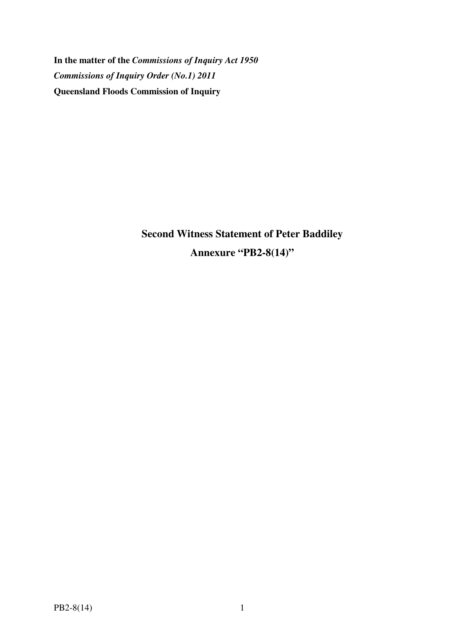**In the matter of the** *Commissions of Inquiry Act 1950 Commissions of Inquiry Order (No.1) 2011* **Queensland Floods Commission of Inquiry** 

> **Second Witness Statement of Peter Baddiley Annexure "PB2-8(14)"**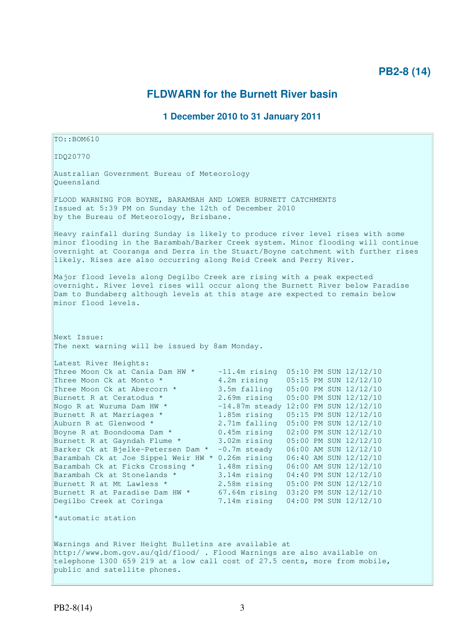# **PB2-8 (14)**

# **FLDWARN for the Burnett River basin**

## **1 December 2010 to 31 January 2011**

 $TO: **ROM610**$ IDQ20770 Australian Government Bureau of Meteorology Queensland FLOOD WARNING FOR BOYNE, BARAMBAH AND LOWER BURNETT CATCHMENTS Issued at 5:39 PM on Sunday the 12th of December 2010 by the Bureau of Meteorology, Brisbane. Heavy rainfall during Sunday is likely to produce river level rises with some minor flooding in the Barambah/Barker Creek system. Minor flooding will continue overnight at Cooranga and Derra in the Stuart/Boyne catchment with further rises likely. Rises are also occurring along Reid Creek and Perry River. Major flood levels along Degilbo Creek are rising with a peak expected overnight. River level rises will occur along the Burnett River below Paradise Dam to Bundaberg although levels at this stage are expected to remain below minor flood levels. Next Issue: The next warning will be issued by 8am Monday. Latest River Heights: Three Moon Ck at Cania Dam HW  $\star$  -11.4m rising 05:10 PM SUN 12/12/10 Three Moon Ck at Monto \* 4.2m rising 05:15 PM SUN 12/12/10 Three Moon Ck at Abercorn \* 3.5m falling 05:00 PM SUN 12/12/10 Burnett R at Ceratodus \* 2.69m rising 05:00 PM SUN 12/12/10 Nogo R at Wuruma Dam HW  $^*$   $-14.87$ m steady 12:00 PM SUN 12/12/10 Burnett R at Marriages \* 1.85m rising 05:15 PM SUN 12/12/10 Auburn R at Glenwood \* 2.71m falling 05:00 PM SUN 12/12/10 Boyne R at Boondooma Dam \* 0.45m rising 02:00 PM SUN 12/12/10 Burnett R at Gayndah Flume \* 3.02m rising 05:00 PM SUN 12/12/10 Barker Ck at Bjelke-Petersen Dam \* -0.7m steady 06:00 AM SUN 12/12/10 Barambah Ck at Joe Sippel Weir HW \* 0.26m rising 06:40 AM SUN 12/12/10<br>Barambah Ck at Ficks Crossing \* 1.48m rising 06:00 AM SUN 12/12/10 Barambah Ck at Ficks Crossing \* 1.48m rising 06:00 AM SUN 12/12/10 Barambah Ck at Stonelands \* 3.14m rising 04:40 PM SUN 12/12/10 Burnett R at Mt Lawless \* 2.58m rising 05:00 PM SUN 12/12/10 Burnett R at Paradise Dam HW  $\star$  67.64m rising 03:20 PM SUN 12/12/10 Degilbo Creek at Coringa 7.14m rising 04:00 PM SUN 12/12/10 \*automatic station Warnings and River Height Bulletins are available at http://www.bom.gov.au/qld/flood/ . Flood Warnings are also available on telephone 1300 659 219 at a low call cost of 27.5 cents, more from mobile, public and satellite phones.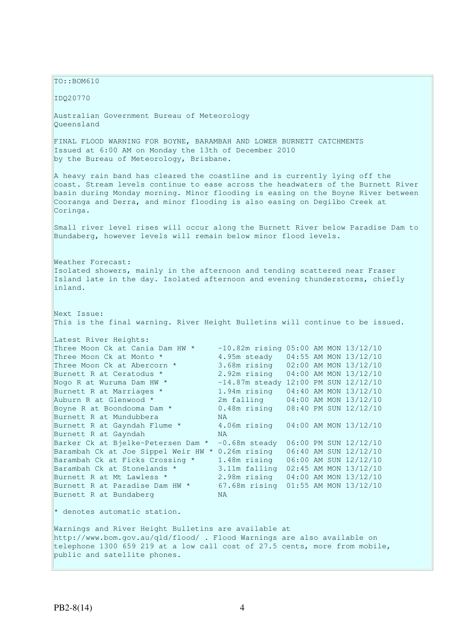$TO: **ROM610**$ IDQ20770 Australian Government Bureau of Meteorology Queensland FINAL FLOOD WARNING FOR BOYNE, BARAMBAH AND LOWER BURNETT CATCHMENTS Issued at 6:00 AM on Monday the 13th of December 2010 by the Bureau of Meteorology, Brisbane. A heavy rain band has cleared the coastline and is currently lying off the coast. Stream levels continue to ease across the headwaters of the Burnett River basin during Monday morning. Minor flooding is easing on the Boyne River between Cooranga and Derra, and minor flooding is also easing on Degilbo Creek at Coringa. Small river level rises will occur along the Burnett River below Paradise Dam to Bundaberg, however levels will remain below minor flood levels. Weather Forecast: Isolated showers, mainly in the afternoon and tending scattered near Fraser Island late in the day. Isolated afternoon and evening thunderstorms, chiefly inland. Next Issue: This is the final warning. River Height Bulletins will continue to be issued. Latest River Heights: Three Moon Ck at Cania Dam HW  $\star$  -10.82m rising 05:00 AM MON 13/12/10 Three Moon Ck at Monto \* 4.95m steady 04:55 AM MON 13/12/10 Three Moon Ck at Abercorn  $*$  3.68m rising 02:00 AM MON 13/12/10 Burnett R at Ceratodus \* 2.92m rising 04:00 AM MON 13/12/10 Nogo R at Wuruma Dam HW \*  $-14.87$ m steady 12:00 PM SUN 12/12/10<br>
Burnett R at Marriages \* 1.94m rising 04:40 AM MON 13/12/10<br>
Auburn R at Clonused \* 3m folling 04:00 AM MON 12/12/10 1.94m rising 04:40 AM MON 13/12/10<br>2m falling 04:00 AM MON 13/12/10 Auburn R at Glenwood \* 2m falling 04:00 AM MON 13/12/10 Boyne R at Boondooma Dam \* 0.48m rising 08:40 PM SUN 12/12/10 Burnett R at Mundubbera MA Burnett R at Gayndah Flume \* 4.06m rising 04:00 AM MON 13/12/10 Burnett R at Gayndah NA Barker Ck at Bjelke-Petersen Dam \* - 0.68m steady 06:00 PM SUN 12/12/10 Barambah Ck at Joe Sippel Weir HW \* 0.26m rising 06:40 AM SUN 12/12/10 Barambah Ck at Ficks Crossing \* 1.48m rising 06:00 AM SUN 12/12/10 Barambah Ck at Stonelands \* 3.11m falling 02:45 AM MON 13/12/10 Burnett R at Mt Lawless \* 2.98m rising 04:00 AM MON 13/12/10 Burnett R at Paradise Dam HW  $*$  67.68m rising  $01:55$  AM MON  $13/12/10$ Burnett R at Bundaberg NA \* denotes automatic station. Warnings and River Height Bulletins are available at http://www.bom.gov.au/qld/flood/ . Flood Warnings are also available on telephone 1300 659 219 at a low call cost of 27.5 cents, more from mobile, public and satellite phones.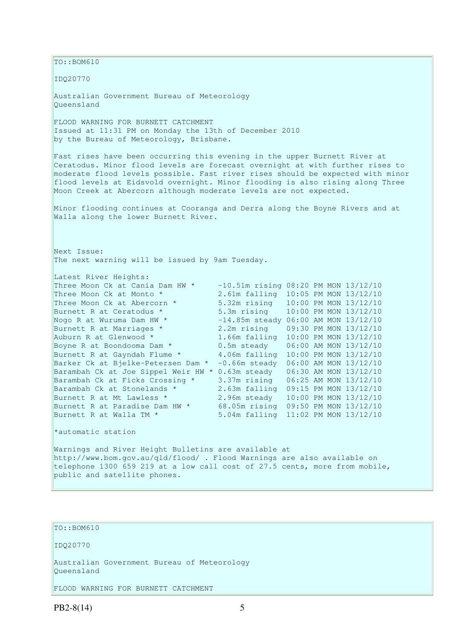$\vert$ TO::BOM610 IDQ20770 Australian Government Bureau of Meteorology Queensland FLOOD WARNING FOR BURNETT CATCHMENT Issued at 11:31 PM on Monday the 13th of December 2010 by the Bureau of Meteorology, Brisbane. Fast rises have been occurring this evening in the upper Burnett River at Ceratodus. Minor flood levels are forecast overnight at with further rises to moderate flood levels possible. Fast river rises should be expected with minor flood levels at Eidsvold overnight. Minor flooding is also rising along Three Moon Creek at Abercorn although moderate levels are not expected. Minor flooding continues at Cooranga and Derra along the Boyne Rivers and at Walla along the lower Burnett River. Next Issue: The next warning will be issued by 9am Tuesday. Latest River Heights: Three Moon Ck at Cania Dam HW \* -10.51m rising 08:20 PM MON 13/12/10<br>Three Moon Ck at Monto \* 2.61m falling 10:05 PM MON 13/12/10<br>Three Moon Ck at Abercorn \* 5.32m rising 10:00 PM MON 13/12/10 2.61m falling 10:05 PM MON 13/12/10 Three Moon Ck at Abercorn \* 5.32m rising 10:00 PM MON 13/12/10 Burnett R at Ceratodus \* 5.3m rising 10:00 PM MON 13/12/10 Nogo R at Wuruma Dam HW  $^*$   $-14.85$ m steady 06:00 AM MON  $13/12/10$ Burnett R at Marriages \* 2.2m rising 09:30 PM MON 13/12/10 Auburn R at Glenwood \* 1.66m falling 10:00 PM MON 13/12/10 Boyne R at Boondooma Dam \* 0.5m steady 06:00 AM MON 13/12/10 Burnett R at Gayndah Flume \* 4.06m falling 10:00 PM MON 13/12/10 Barker Ck at Bjelke-Petersen Dam \* -0.66m steady 06:00 AM MON 13/12/10 Barambah Ck at Joe Sippel Weir HW \* 0.63m steady 06:30 AM MON 13/12/10 Barambah Ck at Ficks Crossing  $*$  3.37m rising 06:25 AM MON 13/12/10 Barambah Ck at Stonelands \* 2.63m falling 09:15 PM MON 13/12/10 Burnett R at Mt Lawless \* 2.96m steady 10:00 PM MON 13/12/10 Burnett R at Paradise Dam HW  $*$  68.05m rising 09:50 PM MON  $13/12/10$ Burnett R at Walla TM \* 5.04m falling 11:02 PM MON 13/12/10 \*automatic station Warnings and River Height Bulletins are available at http://www.bom.gov.au/qld/flood/ . Flood Warnings are also available on telephone 1300 659 219 at a low call cost of 27.5 cents, more from mobile, public and satellite phones.

TO::BOM610

IDQ20770

Australian Government Bureau of Meteorology Queensland

FLOOD WARNING FOR BURNETT CATCHMENT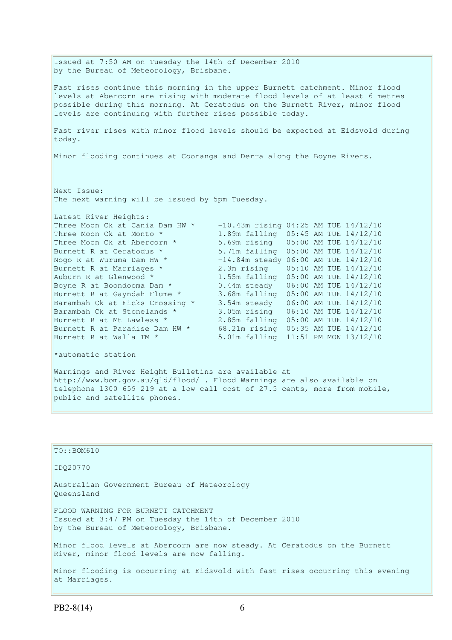Issued at 7:50 AM on Tuesday the 14th of December 2010 by the Bureau of Meteorology, Brisbane. Fast rises continue this morning in the upper Burnett catchment. Minor flood levels at Abercorn are rising with moderate flood levels of at least 6 metres possible during this morning. At Ceratodus on the Burnett River, minor flood levels are continuing with further rises possible today. Fast river rises with minor flood levels should be expected at Eidsvold during today. Minor flooding continues at Cooranga and Derra along the Boyne Rivers. Next Issue: The next warning will be issued by 5pm Tuesday. Latest River Heights: Three Moon Ck at Cania Dam HW \*  $-10.43$ m rising 04:25 AM TUE  $14/12/10$ Three Moon Ck at Monto \* 1.89m falling 05:45 AM TUE 14/12/10 Three Moon Ck at Abercorn \* 5.69m rising 05:00 AM TUE 14/12/10 Burnett R at Ceratodus \* 5.71m falling 05:00 AM TUE 14/12/10 Nogo R at Wuruma Dam HW \* -14.84m steady 06:00 AM TUE 14/12/10 Burnett R at Marriages \* 2.3m rising 05:10 AM TUE 14/12/10<br>Auburn R at Glenwood \* 1.55m falling 05:00 AM TUE 14/12/10 Auburn R at Glenwood \* 1.55m falling 05:00 AM TUE 14/12/10 Boyne R at Boondooma Dam  $*$  0.44m steady 06:00 AM TUE 14/12/10 Burnett R at Gayndah Flume \* 3.68m falling 05:00 AM TUE 14/12/10 Barambah Ck at Ficks Crossing \* 3.54m steady 06:00 AM TUE 14/12/10 Barambah Ck at Stonelands \* 3.05m rising 06:10 AM TUE 14/12/10 Burambah Ck at Fries Srooming<br>Barambah Ck at Stonelands \* 3.05m rising 06:10 AM TUE 14/12/10<br>Burnett R at Paradise Dam HW \* 68.21m rising 05:35 AM TUE 14/12/10 68.21m rising 05:35 AM TUE 14/12/10 Burnett R at Walla TM \* 5.01m falling 11:51 PM MON 13/12/10 \*automatic station Warnings and River Height Bulletins are available at http://www.bom.gov.au/qld/flood/ . Flood Warnings are also available on

| $TO: BOM610$                                                                                                                             |
|------------------------------------------------------------------------------------------------------------------------------------------|
| ID020770                                                                                                                                 |
| Australian Government Bureau of Meteorology<br>Oueensland                                                                                |
| FLOOD WARNING FOR BURNETT CATCHMENT<br>Issued at 3:47 PM on Tuesday the 14th of December 2010<br>by the Bureau of Meteorology, Brisbane. |
| Minor flood levels at Abercorn are now steady. At Ceratodus on the Burnett<br>River, minor flood levels are now falling.                 |
| Minor flooding is occurring at Eidsvold with fast rises occurring this evening<br>at Marriages.                                          |

telephone 1300 659 219 at a low call cost of 27.5 cents, more from mobile,

public and satellite phones.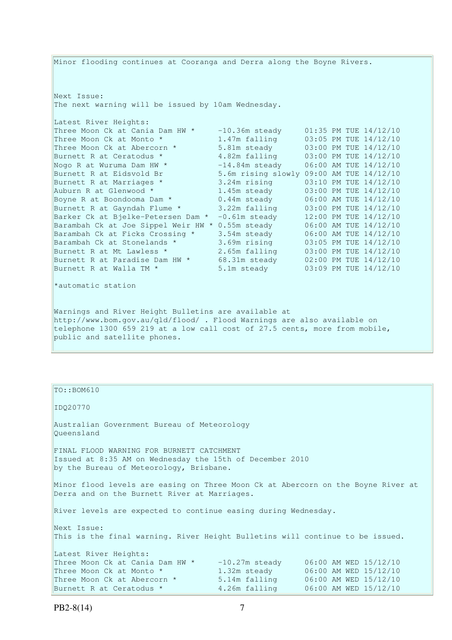Minor flooding continues at Cooranga and Derra along the Boyne Rivers. Next Issue: The next warning will be issued by 10am Wednesday. Latest River Heights: Three Moon Ck at Cania Dam HW  $*$  -10.36m steady 01:35 PM TUE 14/12/10 Three Moon Ck at Monto \* 1.47m falling 03:05 PM TUE 14/12/10 Three Moon Ck at Abercorn \* 5.81m steady 03:00 PM TUE 14/12/10 Burnett R at Ceratodus \* 3.82m falling 03:00 PM TUE 14/12/10 Nogo R at Wuruma Dam HW  $^*$   $-14.84$ m steady  $06:00$  AM TUE  $14/12/10$ Burnett R at Eidsvold Br 5.6m rising slowly 09:00 AM TUE 14/12/10 Burnett R at Marriages \* 3.24m rising 03:10 PM TUE 14/12/10 Auburn R at Glenwood \* 1.45m steady 03:00 PM TUE 14/12/10 Boyne R at Boondooma Dam  $*$  0.44m steady 06:00 AM TUE 14/12/10 Burnett R at Gayndah Flume \* 3.22m falling 03:00 PM TUE 14/12/10 Barker Ck at Bjelke-Petersen Dam \* -0.61m steady 12:00 PM TUE 14/12/10 Barambah Ck at Joe Sippel Weir HW \* 0.55m steady 06:00 AM TUE 14/12/10 Barambah Ck at Ficks Crossing \* 3.54m steady 06:00 AM TUE 14/12/10 Barambah Ck at Stonelands \* 3.69m rising 03:05 PM TUE 14/12/10 Burnett R at Mt Lawless \* 2.65m falling 03:00 PM TUE 14/12/10 Burnett R at Paradise Dam HW  $\star$  68.31m steady 02:00 PM TUE 14/12/10 Burnett R at Walla TM  $^{\star}$  5.1m steady 03:09 PM TUE 14/12/10 \*automatic station Warnings and River Height Bulletins are available at http://www.bom.gov.au/qld/flood/ . Flood Warnings are also available on telephone 1300 659 219 at a low call cost of 27.5 cents, more from mobile, public and satellite phones.

| $TO: BOM610$                                                                                                                                                                                                                   |               |                       |  |  |  |  |
|--------------------------------------------------------------------------------------------------------------------------------------------------------------------------------------------------------------------------------|---------------|-----------------------|--|--|--|--|
| ID020770                                                                                                                                                                                                                       |               |                       |  |  |  |  |
| Australian Government Bureau of Meteorology<br>Queensland                                                                                                                                                                      |               |                       |  |  |  |  |
| FINAL FLOOD WARNING FOR BURNETT CATCHMENT<br>Issued at 8:35 AM on Wednesday the 15th of December 2010<br>by the Bureau of Meteorology, Brisbane.                                                                               |               |                       |  |  |  |  |
| Minor flood levels are easing on Three Moon Ck at Abercorn on the Boyne River at<br>Derra and on the Burnett River at Marriages.                                                                                               |               |                       |  |  |  |  |
| River levels are expected to continue easing during Wednesday.                                                                                                                                                                 |               |                       |  |  |  |  |
| Next Issue:<br>This is the final warning. River Height Bulletins will continue to be issued.                                                                                                                                   |               |                       |  |  |  |  |
| Latest River Heights:                                                                                                                                                                                                          |               |                       |  |  |  |  |
| Three Moon Ck at Cania Dam HW $\star$ -10.27m steady 06:00 AM WED 15/12/10                                                                                                                                                     |               |                       |  |  |  |  |
| Three Moon Ck at Monto *                                                                                                                                                                                                       | 1.32m steady  | 06:00 AM WED 15/12/10 |  |  |  |  |
| Three Moon Ck at Abercorn * 5.14m falling                                                                                                                                                                                      |               | 06:00 AM WED 15/12/10 |  |  |  |  |
| Burnett R at Ceratodus * The Contract of the Surgeon of the Surgeon of the Surgeon of the Surgeon of the Surgeon of the Surgeon of the Surgeon of the Surgeon of the Surgeon of the Surgeon of the Surgeon of the Surgeon of t | 4.26m falling | 06:00 AM WED 15/12/10 |  |  |  |  |
|                                                                                                                                                                                                                                |               |                       |  |  |  |  |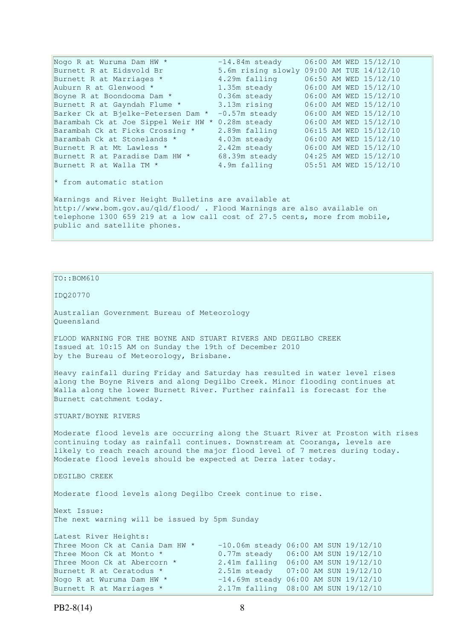Nogo R at Wuruma Dam HW \*  $-14.84$ m steady  $06:00$  AM WED  $15/12/10$ Burnett R at Eidsvold Br 5.6m rising slowly 09:00 AM TUE 14/12/10 Burnett R at Marriages \* 4.29m falling 06:50 AM WED 15/12/10 Auburn R at Glenwood  $\star$  1.35m steady 06:00 AM WED 15/12/10 Boyne R at Boondooma Dam  $*$  0.36m steady 06:00 AM WED 15/12/10 Burnett R at Gayndah Flume \* 3.13m rising 06:00 AM WED 15/12/10 Barker Ck at Bjelke-Petersen Dam \* -0.57m steady 06:00 AM WED 15/12/10 Barambah Ck at Joe Sippel Weir HW \* 0.28m steady 06:00 AM WED 15/12/10 Barambah Ck at Ficks Crossing \* 2.89m falling 06:15 AM WED 15/12/10 Barambah Ck at Stonelands \* 4.03m steady 06:00 AM WED 15/12/10 Burnett R at Mt Lawless \* 2.42m steady 06:00 AM WED 15/12/10 Burnett R at Paradise Dam HW  $\star$  68.39m steady 04:25 AM WED 15/12/10 Burnett R at Walla TM \* 4.9m falling 05:51 AM WED 15/12/10 \* from automatic station Warnings and River Height Bulletins are available at http://www.bom.gov.au/qld/flood/ . Flood Warnings are also available on telephone 1300 659 219 at a low call cost of 27.5 cents, more from mobile, public and satellite phones.

 $TO: **ROM610**$ 

IDQ20770

Australian Government Bureau of Meteorology Queensland

FLOOD WARNING FOR THE BOYNE AND STUART RIVERS AND DEGILBO CREEK Issued at 10:15 AM on Sunday the 19th of December 2010 by the Bureau of Meteorology, Brisbane.

Heavy rainfall during Friday and Saturday has resulted in water level rises along the Boyne Rivers and along Degilbo Creek. Minor flooding continues at Walla along the lower Burnett River. Further rainfall is forecast for the Burnett catchment today.

STUART/BOYNE RIVERS

Moderate flood levels are occurring along the Stuart River at Proston with rises continuing today as rainfall continues. Downstream at Cooranga, levels are likely to reach reach around the major flood level of 7 metres during today. Moderate flood levels should be expected at Derra later today.

DEGILBO CREEK

Moderate flood levels along Degilbo Creek continue to rise.

Next Issue: The next warning will be issued by 5pm Sunday

| Latest River Heights:           |                                         |  |  |
|---------------------------------|-----------------------------------------|--|--|
| Three Moon Ck at Cania Dam HW * | $-10.06$ m steady 06:00 AM SUN 19/12/10 |  |  |
| Three Moon Ck at Monto *        | 0.77m steady 06:00 AM SUN 19/12/10      |  |  |
| Three Moon Ck at Abercorn *     | 2.41m falling 06:00 AM SUN 19/12/10     |  |  |
| Burnett R at Ceratodus *        | 2.51m steady 07:00 AM SUN 19/12/10      |  |  |
| Nogo R at Wuruma Dam HW *       | $-14.69$ m steady 06:00 AM SUN 19/12/10 |  |  |
| Burnett R at Marriages *        | 2.17m falling 08:00 AM SUN 19/12/10     |  |  |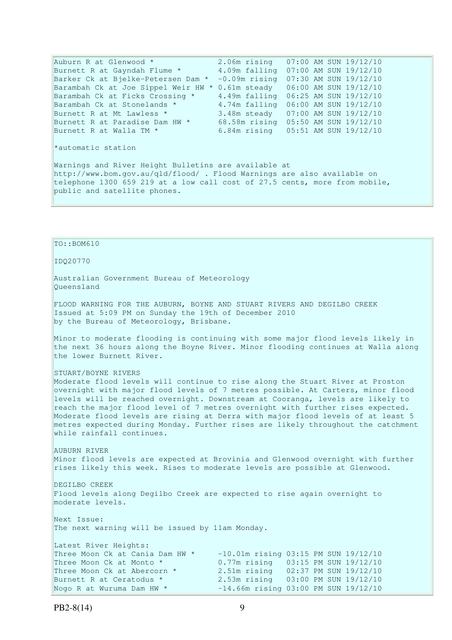Auburn R at Glenwood \* 2.06m rising 07:00 AM SUN 19/12/10 Burnett R at Gayndah Flume \* 4.09m falling 07:00 AM SUN 19/12/10 Barker Ck at Bjelke-Petersen Dam \* -0.09m rising 07:30 AM SUN 19/12/10 Barambah Ck at Joe Sippel Weir HW \* 0.61m steady 06:00 AM SUN 19/12/10 Barambah Ck at Ficks Crossing \* 4.49m falling 06:25 AM SUN 19/12/10 Barambah Ck at Stonelands \* 4.74m falling 06:00 AM SUN 19/12/10 Burnett R at Mt Lawless \* 3.48m steady 07:00 AM SUN 19/12/10 Burnett R at Paradise Dam HW  $\star$  68.58m rising 05:50 AM SUN 19/12/10 Burnett R at Walla TM \* 6.84m rising 05:51 AM SUN 19/12/10 \*automatic station Warnings and River Height Bulletins are available at http://www.bom.gov.au/qld/flood/ . Flood Warnings are also available on telephone 1300 659 219 at a low call cost of 27.5 cents, more from mobile, public and satellite phones.

TO::BOM610

IDQ20770

Australian Government Bureau of Meteorology Queensland

FLOOD WARNING FOR THE AUBURN, BOYNE AND STUART RIVERS AND DEGILBO CREEK Issued at 5:09 PM on Sunday the 19th of December 2010 by the Bureau of Meteorology, Brisbane.

Minor to moderate flooding is continuing with some major flood levels likely in the next 36 hours along the Boyne River. Minor flooding continues at Walla along the lower Burnett River.

STUART/BOYNE RIVERS

Moderate flood levels will continue to rise along the Stuart River at Proston overnight with major flood levels of 7 metres possible. At Carters, minor flood levels will be reached overnight. Downstream at Cooranga, levels are likely to reach the major flood level of 7 metres overnight with further rises expected. Moderate flood levels are rising at Derra with major flood levels of at least 5 metres expected during Monday. Further rises are likely throughout the catchment while rainfall continues.

AUBURN RIVER Minor flood levels are expected at Brovinia and Glenwood overnight with further rises likely this week. Rises to moderate levels are possible at Glenwood.

DEGILBO CREEK Flood levels along Degilbo Creek are expected to rise again overnight to moderate levels.

Next Issue: The next warning will be issued by 11am Monday.

Latest River Heights:<br>Three Moon Ck at Cania Dam HW \*  $-10.01$ m rising 03:15 PM SUN 19/12/10 Three Moon Ck at Monto \* 0.77m rising 03:15 PM SUN 19/12/10 Three Moon Ck at Abercorn \* 2.51m rising 02:37 PM SUN 19/12/10 Burnett R at Ceratodus \* 2.53m rising 03:00 PM SUN 19/12/10 Nogo R at Wuruma Dam HW  $\star$  -14.66m rising 03:00 PM SUN 19/12/10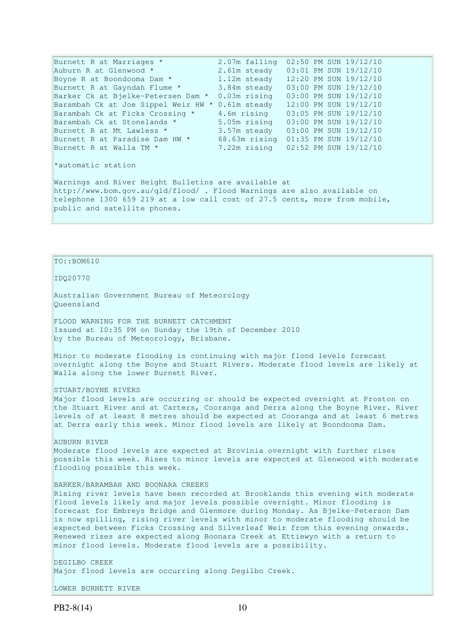Burnett R at Marriages \* 2.07m falling 02:50 PM SUN 19/12/10 Auburn R at Glenwood \* 2.61m steady 03:01 PM SUN 19/12/10 Boyne R at Boondooma Dam  $*$   $1.12m$  steady  $12:20$  PM SUN  $19/12/10$ Burnett R at Gayndah Flume \* 3.84m steady 03:00 PM SUN 19/12/10 Barker Ck at Bjelke-Petersen Dam \* 0.03m rising 03:00 PM SUN 19/12/10 Barambah Ck at Joe Sippel Weir HW \* 0.61m steady 12:00 PM SUN 19/12/10 Barambah Ck at Ficks Crossing \* 4.6m rising 03:05 PM SUN 19/12/10 Barambah Ck at Stonelands \* 5.05m rising 03:00 PM SUN 19/12/10 Burnett R at Mt Lawless \* 3.57m steady 03:00 PM SUN 19/12/10 Burnett R at Paradise Dam HW  $*$  68.63m rising  $01:35$  PM SUN  $19/12/10$ Burnett R at Walla TM \* 7.22m rising 02:52 PM SUN 19/12/10 \*automatic station Warnings and River Height Bulletins are available at http://www.bom.gov.au/qld/flood/ . Flood Warnings are also available on telephone 1300 659 219 at a low call cost of 27.5 cents, more from mobile, public and satellite phones.

### TO::BOM610

IDQ20770

Australian Government Bureau of Meteorology Queensland

FLOOD WARNING FOR THE BURNETT CATCHMENT Issued at 10:35 PM on Sunday the 19th of December 2010 by the Bureau of Meteorology, Brisbane.

Minor to moderate flooding is continuing with major flood levels forecast overnight along the Boyne and Stuart Rivers. Moderate flood levels are likely at Walla along the lower Burnett River.

STUART/BOYNE RIVERS

Major flood levels are occurring or should be expected overnight at Proston on the Stuart River and at Carters, Cooranga and Derra along the Boyne River. River levels of at least 8 metres should be expected at Cooranga and at least 6 metres at Derra early this week. Minor flood levels are likely at Boondooma Dam.

AUBURN RIVER Moderate flood levels are expected at Brovinia overnight with further rises possible this week. Rises to minor levels are expected at Glenwood with moderate flooding possible this week.

### BARKER/BARAMBAH AND BOONARA CREEKS

Rising river levels have been recorded at Brooklands this evening with moderate flood levels likely and major levels possible overnight. Minor flooding is forecast for Embreys Bridge and Glenmore during Monday. As Bjelke-Peterson Dam is now spilling, rising river levels with minor to moderate flooding should be expected between Ficks Crossing and Silverleaf Weir from this evening onwards. Renewed rises are expected along Boonara Creek at Ettiewyn with a return to minor flood levels. Moderate flood levels are a possibility.

DEGILBO CREEK Major flood levels are occurring along Degilbo Creek.

LOWER BURNETT RIVER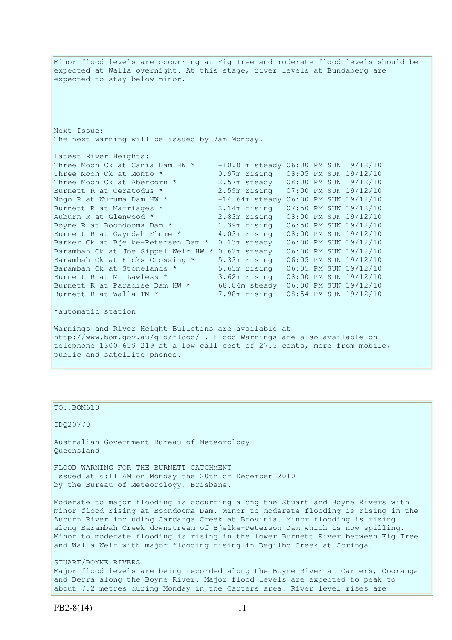Minor flood levels are occurring at Fig Tree and moderate flood levels should be expected at Walla overnight. At this stage, river levels at Bundaberg are expected to stay below minor. Next Issue: The next warning will be issued by 7am Monday. Latest River Heights: Three Moon Ck at Cania Dam HW  $*$  -10.01m steady 06:00 PM SUN 19/12/10 Three Moon Ck at Monto \* 0.97m rising 08:05 PM SUN 19/12/10 Three Moon Ck at Abercorn \* 2.57m steady 08:00 PM SUN 19/12/10 Burnett R at Ceratodus \* 2.59m rising 07:00 PM SUN 19/12/10 Nogo R at Wuruma Dam HW  $^{\star}$   $-14.64$ m steady 06:00 PM SUN 19/12/10 Burnett R at Marriages \* 2.14m rising 07:50 PM SUN 19/12/10 Auburn R at Glenwood \* 2.83m rising 08:00 PM SUN 19/12/10 Boyne R at Boondooma Dam \* 1.39m rising 06:50 PM SUN 19/12/10 Burnett R at Gayndah Flume \* 4.03m rising 08:00 PM SUN 19/12/10 Barker Ck at Bjelke-Petersen Dam \* 0.13m steady 06:00 PM SUN 19/12/10 Barambah Ck at Joe Sippel Weir HW \* 0.62m steady 06:00 PM SUN 19/12/10 Barambah Ck at Ficks Crossing \* 5.33m rising 06:05 PM SUN 19/12/10 Barambah Ck at Stonelands \* 5.65m rising 06:05 PM SUN 19/12/10 Burnett R at Mt Lawless \* 3.62m rising 08:00 PM SUN 19/12/10 Burnett R at Paradise Dam HW  $\star$  68.84m steady  $06:00$  PM SUN 19/12/10 Burnett R at Walla TM \* 7.98m rising 08:54 PM SUN 19/12/10 \*automatic station Warnings and River Height Bulletins are available at http://www.bom.gov.au/qld/flood/ . Flood Warnings are also available on telephone 1300 659 219 at a low call cost of 27.5 cents, more from mobile, public and satellite phones.

TO::BOM610

IDQ20770

Australian Government Bureau of Meteorology Queensland

FLOOD WARNING FOR THE BURNETT CATCHMENT Issued at 6:11 AM on Monday the 20th of December 2010 by the Bureau of Meteorology, Brisbane.

Moderate to major flooding is occurring along the Stuart and Boyne Rivers with minor flood rising at Boondooma Dam. Minor to moderate flooding is rising in the Auburn River including Cardarga Creek at Brovinia. Minor flooding is rising along Barambah Creek downstream of Bjelke-Peterson Dam which is now spilling. Minor to moderate flooding is rising in the lower Burnett River between Fig Tree and Walla Weir with major flooding rising in Degilbo Creek at Coringa.

STUART/BOYNE RIVERS Major flood levels are being recorded along the Boyne River at Carters, Cooranga and Derra along the Boyne River. Major flood levels are expected to peak to about 7.2 metres during Monday in the Carters area. River level rises are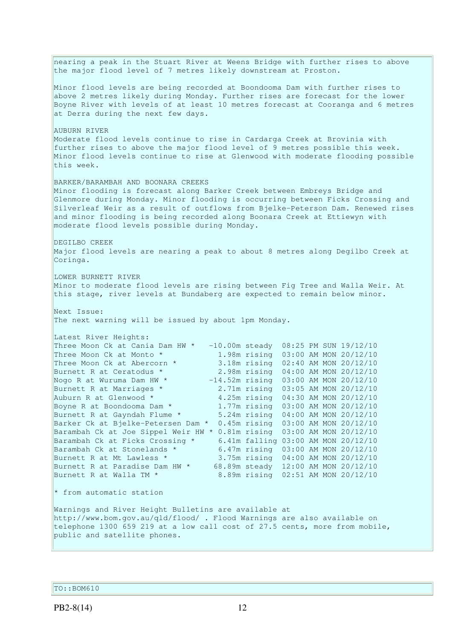nearing a peak in the Stuart River at Weens Bridge with further rises to above the major flood level of 7 metres likely downstream at Proston. Minor flood levels are being recorded at Boondooma Dam with further rises to above 2 metres likely during Monday. Further rises are forecast for the lower Boyne River with levels of at least 10 metres forecast at Cooranga and 6 metres at Derra during the next few days. AUBURN RIVER Moderate flood levels continue to rise in Cardarga Creek at Brovinia with further rises to above the major flood level of 9 metres possible this week. Minor flood levels continue to rise at Glenwood with moderate flooding possible this week. BARKER/BARAMBAH AND BOONARA CREEKS Minor flooding is forecast along Barker Creek between Embreys Bridge and Glenmore during Monday. Minor flooding is occurring between Ficks Crossing and Silverleaf Weir as a result of outflows from Bjelke-Peterson Dam. Renewed rises and minor flooding is being recorded along Boonara Creek at Ettiewyn with moderate flood levels possible during Monday. DEGILBO CREEK Major flood levels are nearing a peak to about 8 metres along Degilbo Creek at Coringa. LOWER BURNETT RIVER Minor to moderate flood levels are rising between Fig Tree and Walla Weir. At this stage, river levels at Bundaberg are expected to remain below minor. Next Issue: The next warning will be issued by about 1pm Monday. Latest River Heights: Three Moon Ck at Cania Dam HW  $\star$  -10.00m steady 08:25 PM SUN 19/12/10 Three Moon Ck at Monto \* 1.98m rising 03:00 AM MON 20/12/10 Three Moon Ck at Abercorn \* 3.18m rising 02:40 AM MON 20/12/10 Burnett R at Ceratodus \* 2.98m rising 04:00 AM MON 20/12/10 Nogo R at Wuruma Dam HW \* -14.52m rising 03:00 AM MON 20/12/10 Burnett R at Marriages \* 2.71m rising 03:05 AM MON 20/12/10 Auburn R at Glenwood  $*$   $4.25$ m rising  $04:30$  AM MON 20/12/10 Boyne R at Boondooma Dam  $*$  1.77m rising  $03:00$  AM MON 20/12/10 Burnett R at Gayndah Flume \* 5.24m rising 04:00 AM MON 20/12/10 Barker Ck at Bjelke-Petersen Dam \* 0.45m rising 03:00 AM MON 20/12/10 Barambah Ck at Joe Sippel Weir HW \* 0.81m rising 03:00 AM MON 20/12/10 Barambah Ck at Ficks Crossing \* 6.41m falling 03:00 AM MON 20/12/10 Barambah Ck at Stonelands \* 6.47m rising 03:00 AM MON 20/12/10 Burnett R at Mt Lawless \* 3.75m rising 04:00 AM MON 20/12/10 Burnett R at Paradise Dam HW \* 68.89m steady 12:00 AM MON 20/12/10 Burnett R at Walla TM \* 8.89m rising 02:51 AM MON 20/12/10 \* from automatic station Warnings and River Height Bulletins are available at http://www.bom.gov.au/qld/flood/ . Flood Warnings are also available on telephone 1300 659 219 at a low call cost of 27.5 cents, more from mobile, public and satellite phones.

TO::BOM610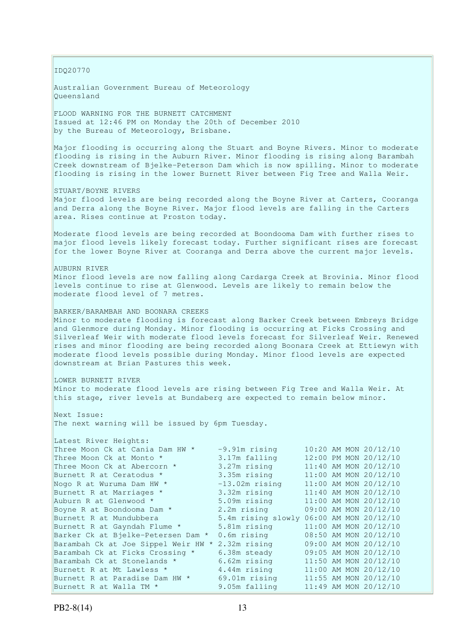IDQ20770

Australian Government Bureau of Meteorology Queensland

FLOOD WARNING FOR THE BURNETT CATCHMENT Issued at 12:46 PM on Monday the 20th of December 2010 by the Bureau of Meteorology, Brisbane.

Major flooding is occurring along the Stuart and Boyne Rivers. Minor to moderate flooding is rising in the Auburn River. Minor flooding is rising along Barambah Creek downstream of Bjelke-Peterson Dam which is now spilling. Minor to moderate flooding is rising in the lower Burnett River between Fig Tree and Walla Weir.

STUART/BOYNE RIVERS

Major flood levels are being recorded along the Boyne River at Carters, Cooranga and Derra along the Boyne River. Major flood levels are falling in the Carters area. Rises continue at Proston today.

Moderate flood levels are being recorded at Boondooma Dam with further rises to major flood levels likely forecast today. Further significant rises are forecast for the lower Boyne River at Cooranga and Derra above the current major levels.

AUBURN RIVER Minor flood levels are now falling along Cardarga Creek at Brovinia. Minor flood levels continue to rise at Glenwood. Levels are likely to remain below the moderate flood level of 7 metres.

BARKER/BARAMBAH AND BOONARA CREEKS Minor to moderate flooding is forecast along Barker Creek between Embreys Bridge and Glenmore during Monday. Minor flooding is occurring at Ficks Crossing and Silverleaf Weir with moderate flood levels forecast for Silverleaf Weir. Renewed rises and minor flooding are being recorded along Boonara Creek at Ettiewyn with moderate flood levels possible during Monday. Minor flood levels are expected downstream at Brian Pastures this week.

LOWER BURNETT RIVER Minor to moderate flood levels are rising between Fig Tree and Walla Weir. At this stage, river levels at Bundaberg are expected to remain below minor.

Next Issue: The next warning will be issued by 6pm Tuesday.

| Latest River Heights:               |                                          |  |                       |
|-------------------------------------|------------------------------------------|--|-----------------------|
| Three Moon Ck at Cania Dam HW *     | $-9.91m$ rising                          |  | 10:20 AM MON 20/12/10 |
| Three Moon Ck at Monto *            | 3.17m falling                            |  | 12:00 PM MON 20/12/10 |
| Three Moon Ck at Abercorn *         | 3.27m rising                             |  | 11:40 AM MON 20/12/10 |
| Burnett R at Ceratodus *            | 3.35m rising                             |  | 11:00 AM MON 20/12/10 |
| Nogo R at Wuruma Dam HW *           | $-13.02m$ rising                         |  | 11:00 AM MON 20/12/10 |
| Burnett R at Marriages *            | 3.32m rising                             |  | 11:40 AM MON 20/12/10 |
| Auburn R at Glenwood *              | 5.09m rising                             |  | 11:00 AM MON 20/12/10 |
| Boyne R at Boondooma Dam *          | 2.2m rising                              |  | 09:00 AM MON 20/12/10 |
| Burnett R at Mundubbera             | 5.4m rising slowly 06:00 AM MON 20/12/10 |  |                       |
| Burnett R at Gayndah Flume *        | 5.81m rising                             |  | 11:00 AM MON 20/12/10 |
| Barker Ck at Bjelke-Petersen Dam *  | $0.6m$ rising                            |  | 08:50 AM MON 20/12/10 |
| Barambah Ck at Joe Sippel Weir HW * | 2.32m rising                             |  | 09:00 AM MON 20/12/10 |
| Barambah Ck at Ficks Crossing *     | 6.38m steady                             |  | 09:05 AM MON 20/12/10 |
| Barambah Ck at Stonelands *         | 6.62m rising                             |  | 11:50 AM MON 20/12/10 |
| Burnett R at Mt Lawless *           | 4.44m rising                             |  | 11:00 AM MON 20/12/10 |
| Burnett R at Paradise Dam HW *      | 69.01m rising                            |  | 11:55 AM MON 20/12/10 |
| Burnett R at Walla TM *             | 9.05m falling                            |  | 11:49 AM MON 20/12/10 |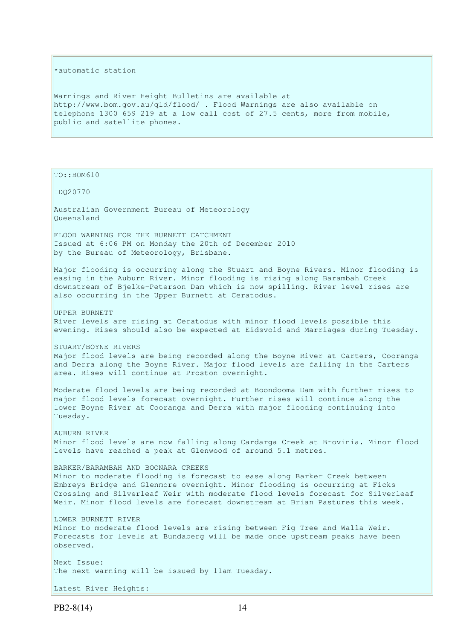#### \*automatic station

Warnings and River Height Bulletins are available at http://www.bom.gov.au/qld/flood/ . Flood Warnings are also available on telephone 1300 659 219 at a low call cost of 27.5 cents, more from mobile, public and satellite phones.

TO::BOM610 IDQ20770 Australian Government Bureau of Meteorology Queensland FLOOD WARNING FOR THE BURNETT CATCHMENT Issued at 6:06 PM on Monday the 20th of December 2010 by the Bureau of Meteorology, Brisbane. Major flooding is occurring along the Stuart and Boyne Rivers. Minor flooding is easing in the Auburn River. Minor flooding is rising along Barambah Creek downstream of Bjelke-Peterson Dam which is now spilling. River level rises are also occurring in the Upper Burnett at Ceratodus. UPPER BURNETT River levels are rising at Ceratodus with minor flood levels possible this evening. Rises should also be expected at Eidsvold and Marriages during Tuesday. STUART/BOYNE RIVERS Major flood levels are being recorded along the Boyne River at Carters, Cooranga and Derra along the Boyne River. Major flood levels are falling in the Carters area. Rises will continue at Proston overnight. Moderate flood levels are being recorded at Boondooma Dam with further rises to major flood levels forecast overnight. Further rises will continue along the lower Boyne River at Cooranga and Derra with major flooding continuing into Tuesday. AUBURN RIVER Minor flood levels are now falling along Cardarga Creek at Brovinia. Minor flood levels have reached a peak at Glenwood of around 5.1 metres. BARKER/BARAMBAH AND BOONARA CREEKS Minor to moderate flooding is forecast to ease along Barker Creek between Embreys Bridge and Glenmore overnight. Minor flooding is occurring at Ficks Crossing and Silverleaf Weir with moderate flood levels forecast for Silverleaf Weir. Minor flood levels are forecast downstream at Brian Pastures this week. LOWER BURNETT RIVER Minor to moderate flood levels are rising between Fig Tree and Walla Weir. Forecasts for levels at Bundaberg will be made once upstream peaks have been observed. Next Issue: The next warning will be issued by 11am Tuesday.

Latest River Heights: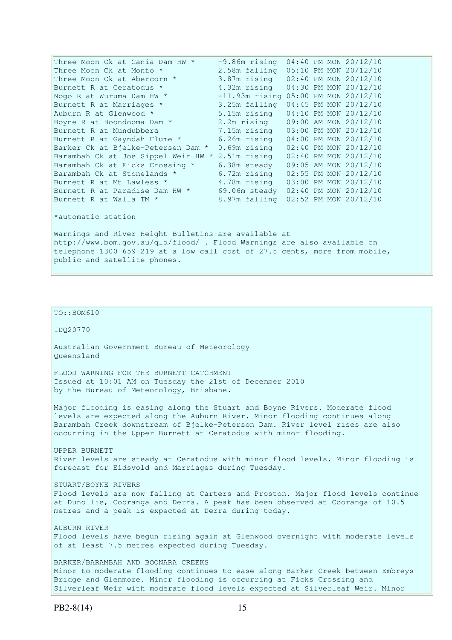| Three Moon Ck at Cania Dam HW *     | $-9.86m$ rising                     |  | 04:40 PM MON 20/12/10 |
|-------------------------------------|-------------------------------------|--|-----------------------|
| Three Moon Ck at Monto *            | 2.58m falling 05:10 PM MON 20/12/10 |  |                       |
| Three Moon Ck at Abercorn *         | 3.87m rising                        |  | 02:40 PM MON 20/12/10 |
| Burnett R at Ceratodus *            | 4.32m rising                        |  | 04:30 PM MON 20/12/10 |
| Nogo R at Wuruma Dam HW *           | $-11.93m$ rising                    |  | 05:00 PM MON 20/12/10 |
| Burnett R at Marriages *            | 3.25m falling                       |  | 04:45 PM MON 20/12/10 |
| Auburn R at Glenwood *              | 5.15m rising                        |  | 04:10 PM MON 20/12/10 |
| Boyne R at Boondooma Dam *          | 2.2m rising                         |  | 09:00 AM MON 20/12/10 |
| Burnett R at Mundubbera             | 7.15m rising                        |  | 03:00 PM MON 20/12/10 |
| Burnett R at Gayndah Flume *        | 6.26m rising                        |  | 04:00 PM MON 20/12/10 |
| Barker Ck at Bjelke-Petersen Dam *  | $0.69$ m rising                     |  | 02:40 PM MON 20/12/10 |
| Barambah Ck at Joe Sippel Weir HW * | 2.51m rising                        |  | 02:40 PM MON 20/12/10 |
| Barambah Ck at Ficks Crossing *     | 6.38m steady                        |  | 09:05 AM MON 20/12/10 |
| Barambah Ck at Stonelands *         | 6.72m rising                        |  | 02:55 PM MON 20/12/10 |
| Burnett R at Mt Lawless *           | 4.78m rising                        |  | 03:00 PM MON 20/12/10 |
| Burnett R at Paradise Dam HW *      | 69.06m steady                       |  | 02:40 PM MON 20/12/10 |
| Burnett R at Walla TM *             | 8.97m falling                       |  | 02:52 PM MON 20/12/10 |
|                                     |                                     |  |                       |

\*automatic station

Warnings and River Height Bulletins are available at http://www.bom.gov.au/qld/flood/ . Flood Warnings are also available on telephone 1300 659 219 at a low call cost of 27.5 cents, more from mobile, public and satellite phones.

 $\vert$ TO::BOM610

IDQ20770

Australian Government Bureau of Meteorology Queensland

FLOOD WARNING FOR THE BURNETT CATCHMENT Issued at 10:01 AM on Tuesday the 21st of December 2010 by the Bureau of Meteorology, Brisbane.

Major flooding is easing along the Stuart and Boyne Rivers. Moderate flood levels are expected along the Auburn River. Minor flooding continues along Barambah Creek downstream of Bjelke-Peterson Dam. River level rises are also occurring in the Upper Burnett at Ceratodus with minor flooding.

UPPER BURNETT River levels are steady at Ceratodus with minor flood levels. Minor flooding is forecast for Eidsvold and Marriages during Tuesday.

STUART/BOYNE RIVERS

Flood levels are now falling at Carters and Proston. Major flood levels continue at Dunollie, Cooranga and Derra. A peak has been observed at Cooranga of 10.5 metres and a peak is expected at Derra during today.

AUBURN RIVER Flood levels have begun rising again at Glenwood overnight with moderate levels of at least 7.5 metres expected during Tuesday.

BARKER/BARAMBAH AND BOONARA CREEKS Minor to moderate flooding continues to ease along Barker Creek between Embreys Bridge and Glenmore. Minor flooding is occurring at Ficks Crossing and Silverleaf Weir with moderate flood levels expected at Silverleaf Weir. Minor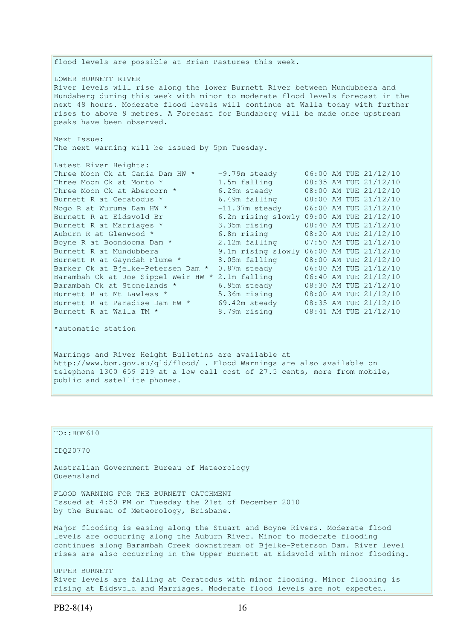flood levels are possible at Brian Pastures this week. LOWER BURNETT RIVER River levels will rise along the lower Burnett River between Mundubbera and Bundaberg during this week with minor to moderate flood levels forecast in the next 48 hours. Moderate flood levels will continue at Walla today with further rises to above 9 metres. A Forecast for Bundaberg will be made once upstream peaks have been observed. Next Issue: The next warning will be issued by 5pm Tuesday. Latest River Heights: Three Moon Ck at Cania Dam HW  $*$  -9.79m steady 06:00 AM TUE 21/12/10 Three Moon Ck at Monto  $*$  1.5m falling 08:35 AM TUE 21/12/10 Three Moon Ck at Abercorn  $\star$  6.29m steady 08:00 AM TUE 21/12/10 Burnett R at Ceratodus \* 6.49m falling 08:00 AM TUE 21/12/10 Nogo R at Wuruma Dam HW  $^*$   $-11.37$ m steady  $06:00$  AM TUE  $21/12/10$ Burnett R at Eidsvold Br 6.2m rising slowly 09:00 AM TUE 21/12/10 Burnett R at Marriages \* 3.35m rising 08:40 AM TUE 21/12/10 Auburn R at Glenwood \* 6.8m rising 08:20 AM TUE 21/12/10 Boyne R at Boondooma Dam \* 2.12m falling 07:50 AM TUE 21/12/10 Burnett R at Mundubbera 9.1m rising slowly 06:00 AM TUE 21/12/10 Burnett R at Gayndah Flume \* 8.05m falling 08:00 AM TUE 21/12/10 Barker Ck at Bjelke-Petersen Dam \* 0.87m steady 06:00 AM TUE 21/12/10 Barambah Ck at Joe Sippel Weir HW \* 2.1m falling 06:40 AM TUE 21/12/10 Barambah Ck at Stonelands \* 6.95m steady 08:30 AM TUE 21/12/10 Burnett R at Mt Lawless \* 5.36m rising 08:00 AM TUE 21/12/10 Burnett R at Paradise Dam HW  $\star$  69.42m steady 08:35 AM TUE 21/12/10 Burnett R at Walla TM \* 3.79m rising 08:41 AM TUE 21/12/10 \*automatic station

Warnings and River Height Bulletins are available at http://www.bom.gov.au/qld/flood/ . Flood Warnings are also available on telephone 1300 659 219 at a low call cost of 27.5 cents, more from mobile, public and satellite phones.

| $TO: BOM610$                                                                                                                                                                                                                                                                                                             |
|--------------------------------------------------------------------------------------------------------------------------------------------------------------------------------------------------------------------------------------------------------------------------------------------------------------------------|
| ID020770                                                                                                                                                                                                                                                                                                                 |
| Australian Government Bureau of Meteorology<br>Oueensland                                                                                                                                                                                                                                                                |
| FLOOD WARNING FOR THE BURNETT CATCHMENT<br>Issued at 4:50 PM on Tuesday the 21st of December 2010<br>by the Bureau of Meteorology, Brisbane.                                                                                                                                                                             |
| Major flooding is easing along the Stuart and Boyne Rivers. Moderate flood<br>levels are occurring along the Auburn River. Minor to moderate flooding<br>continues along Barambah Creek downstream of Bjelke-Peterson Dam. River level<br>rises are also occurring in the Upper Burnett at Eidsvold with minor flooding. |
| UPPER BURNETT<br>River levels are falling at Ceratodus with minor flooding. Minor flooding is<br>rising at Eidsvold and Marriages. Moderate flood levels are not expected.                                                                                                                                               |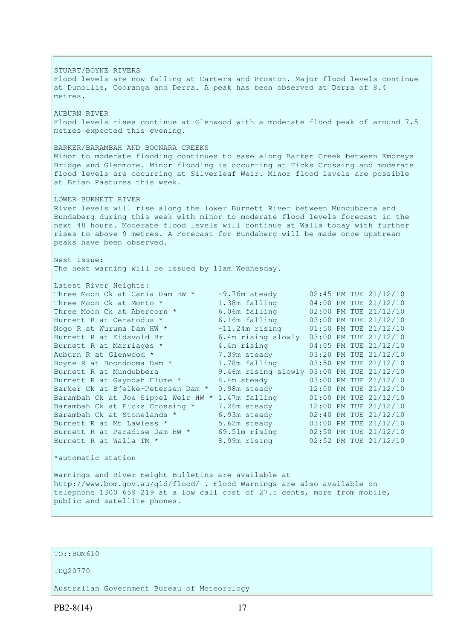STUART/BOYNE RIVERS Flood levels are now falling at Carters and Proston. Major flood levels continue at Dunollie, Cooranga and Derra. A peak has been observed at Derra of 8.4 metres. AUBURN RIVER Flood levels rises continue at Glenwood with a moderate flood peak of around 7.5 metres expected this evening. BARKER/BARAMBAH AND BOONARA CREEKS Minor to moderate flooding continues to ease along Barker Creek between Embreys Bridge and Glenmore. Minor flooding is occurring at Ficks Crossing and moderate flood levels are occurring at Silverleaf Weir. Minor flood levels are possible at Brian Pastures this week. LOWER BURNETT RIVER River levels will rise along the lower Burnett River between Mundubbera and Bundaberg during this week with minor to moderate flood levels forecast in the next 48 hours. Moderate flood levels will continue at Walla today with further rises to above 9 metres. A Forecast for Bundaberg will be made once upstream peaks have been observed. Next Issue: The next warning will be issued by 11am Wednesday. Latest River Heights: Three Moon Ck at Cania Dam HW  $\star$  -9.76m steady 02:45 PM TUE 21/12/10 Three Moon Ck at Monto  $*$  1.38m falling 04:00 PM TUE 21/12/10 Three Moon Ck at Abercorn \* 6.06m falling 02:00 PM TUE 21/12/10 Burnett R at Ceratodus \* 6.16m falling 03:00 PM TUE 21/12/10 Nogo R at Wuruma Dam HW  $\star$   $-11.24$ m rising  $01:50$  PM TUE 21/12/10 Burnett R at Eidsvold Br 6.4m rising slowly 03:00 PM TUE 21/12/10 Burnett R at Marriages \* 3.4m rising 04:05 PM TUE 21/12/10 Auburn R at Glenwood \* 7.39m steady 03:20 PM TUE 21/12/10 Boyne R at Boondooma Dam \* 1.78m falling 03:50 PM TUE 21/12/10 Burnett R at Mundubbera 9.46m rising slowly 03:00 PM TUE 21/12/10 Burnett R at Gayndah Flume \* 8.4m steady 03:00 PM TUE 21/12/10 Barker Ck at Bjelke-Petersen Dam \* 0.98m steady 12:00 PM TUE 21/12/10 Barambah Ck at Joe Sippel Weir HW \* 1.47m falling 01:00 PM TUE 21/12/10 Barambah Ck at Ficks Crossing \* 7.26m steady 12:00 PM TUE 21/12/10 Barambah Ck at Stonelands \* 6.93m steady 02:40 PM TUE 21/12/10 Burnett R at Mt Lawless \* 5.62m steady 03:00 PM TUE 21/12/10 Burnett R at Paradise Dam HW  $*$  69.51m rising 02:50 PM TUE 21/12/10 Burnett R at Walla TM \* 8.99m rising 02:52 PM TUE 21/12/10 \*automatic station Warnings and River Height Bulletins are available at http://www.bom.gov.au/qld/flood/ . Flood Warnings are also available on telephone 1300 659 219 at a low call cost of 27.5 cents, more from mobile, public and satellite phones.

## TO::BOM610

#### IDQ20770

Australian Government Bureau of Meteorology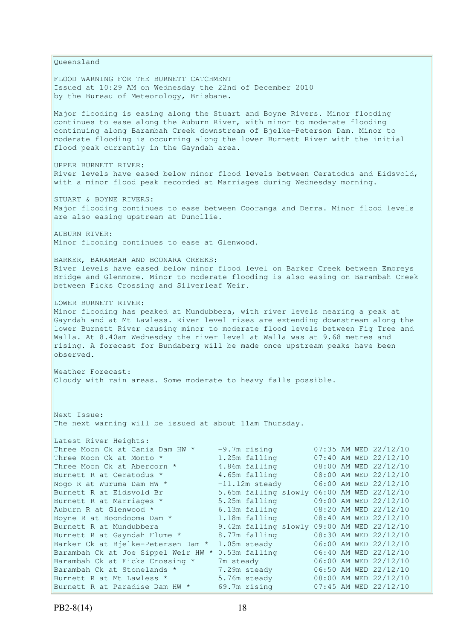Queensland FLOOD WARNING FOR THE BURNETT CATCHMENT Issued at 10:29 AM on Wednesday the 22nd of December 2010 by the Bureau of Meteorology, Brisbane. Major flooding is easing along the Stuart and Boyne Rivers. Minor flooding continues to ease along the Auburn River, with minor to moderate flooding continuing along Barambah Creek downstream of Bjelke-Peterson Dam. Minor to moderate flooding is occurring along the lower Burnett River with the initial flood peak currently in the Gayndah area. UPPER BURNETT RIVER: River levels have eased below minor flood levels between Ceratodus and Eidsvold, with a minor flood peak recorded at Marriages during Wednesday morning. STUART & BOYNE RIVERS: Major flooding continues to ease between Cooranga and Derra. Minor flood levels are also easing upstream at Dunollie. AUBURN RIVER: Minor flooding continues to ease at Glenwood. BARKER, BARAMBAH AND BOONARA CREEKS: River levels have eased below minor flood level on Barker Creek between Embreys Bridge and Glenmore. Minor to moderate flooding is also easing on Barambah Creek between Ficks Crossing and Silverleaf Weir. LOWER BURNETT RIVER: Minor flooding has peaked at Mundubbera, with river levels nearing a peak at Gayndah and at Mt Lawless. River level rises are extending downstream along the lower Burnett River causing minor to moderate flood levels between Fig Tree and Walla. At 8.40am Wednesday the river level at Walla was at 9.68 metres and rising. A forecast for Bundaberg will be made once upstream peaks have been observed. Weather Forecast: Cloudy with rain areas. Some moderate to heavy falls possible. Next Issue: The next warning will be issued at about 11am Thursday. Latest River Heights: Three Moon Ck at Cania Dam HW  $*$  -9.7m rising 07:35 AM WED 22/12/10 Three Moon Ck at Monto  $*$  1.25m falling 07:40 AM WED 22/12/10 Three Moon Ck at Abercorn \* 4.86m falling 08:00 AM WED 22/12/10 Burnett R at Ceratodus \* 3.65m falling 08:00 AM WED 22/12/10 Nogo R at Wuruma Dam HW  $\star$  -11.12m steady 06:00 AM WED 22/12/10 Burnett R at Eidsvold Br 5.65m falling slowly 06:00 AM WED 22/12/10 Burnett R at Marriages \* 5.25m falling 09:00 AM WED 22/12/10 Auburn R at Glenwood \* 6.13m falling 08:20 AM WED 22/12/10 Boyne R at Boondooma Dam \* 1.18m falling 08:40 AM WED 22/12/10 Burnett R at Mundubbera 9.42m falling slowly 09:00 AM WED 22/12/10 Burnett R at Gayndah Flume \* 8.77m falling 08:30 AM WED 22/12/10 Barker Ck at Bjelke-Petersen Dam \* 1.05m steady 06:00 AM WED 22/12/10 Barambah Ck at Joe Sippel Weir HW \* 0.53m falling 06:40 AM WED 22/12/10 Barambah Ck at Ficks Crossing \* 7m steady 06:00 AM WED 22/12/10 Barambah Ck at Stonelands \* 7.29m steady 06:50 AM WED 22/12/10 Burnett R at Mt Lawless \* 5.76m steady 08:00 AM WED 22/12/10 Burnett R at Paradise Dam HW \* 69.7m rising 07:45 AM WED 22/12/10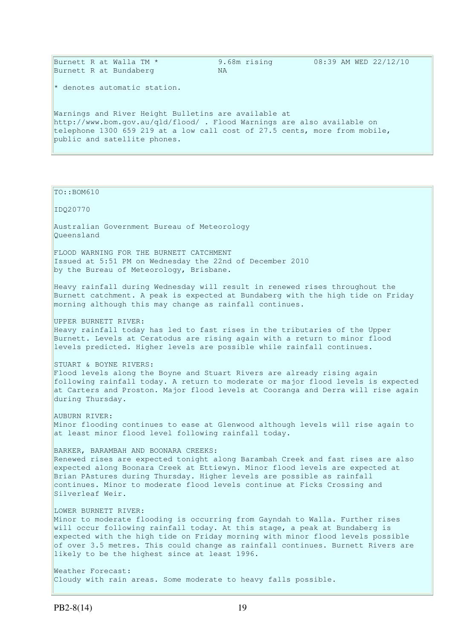| Burnett R at Walla TM *<br>Burnett R at Bundaberg                                                                                                                                                                                             | 9.68m rising<br>NA. | 08:39 AM WED 22/12/10 |
|-----------------------------------------------------------------------------------------------------------------------------------------------------------------------------------------------------------------------------------------------|---------------------|-----------------------|
| $\star$ denotes automatic station.                                                                                                                                                                                                            |                     |                       |
| Warnings and River Height Bulletins are available at<br>http://www.bom.gov.au/gld/flood/ . Flood Warnings are also available on<br>telephone 1300 659 219 at a low call cost of 27.5 cents, more from mobile,<br>public and satellite phones. |                     |                       |

TO::BOM610

IDQ20770

Australian Government Bureau of Meteorology Queensland

FLOOD WARNING FOR THE BURNETT CATCHMENT Issued at 5:51 PM on Wednesday the 22nd of December 2010 by the Bureau of Meteorology, Brisbane.

Heavy rainfall during Wednesday will result in renewed rises throughout the Burnett catchment. A peak is expected at Bundaberg with the high tide on Friday morning although this may change as rainfall continues.

UPPER BURNETT RIVER:

Heavy rainfall today has led to fast rises in the tributaries of the Upper Burnett. Levels at Ceratodus are rising again with a return to minor flood levels predicted. Higher levels are possible while rainfall continues.

STUART & BOYNE RIVERS:

Flood levels along the Boyne and Stuart Rivers are already rising again following rainfall today. A return to moderate or major flood levels is expected at Carters and Proston. Major flood levels at Cooranga and Derra will rise again during Thursday.

AUBURN RIVER: Minor flooding continues to ease at Glenwood although levels will rise again to at least minor flood level following rainfall today.

BARKER, BARAMBAH AND BOONARA CREEKS: Renewed rises are expected tonight along Barambah Creek and fast rises are also expected along Boonara Creek at Ettiewyn. Minor flood levels are expected at Brian PAstures during Thursday. Higher levels are possible as rainfall continues. Minor to moderate flood levels continue at Ficks Crossing and Silverleaf Weir.

LOWER BURNETT RIVER:

Minor to moderate flooding is occurring from Gayndah to Walla. Further rises will occur following rainfall today. At this stage, a peak at Bundaberg is expected with the high tide on Friday morning with minor flood levels possible of over 3.5 metres. This could change as rainfall continues. Burnett Rivers are likely to be the highest since at least 1996.

Weather Forecast: Cloudy with rain areas. Some moderate to heavy falls possible.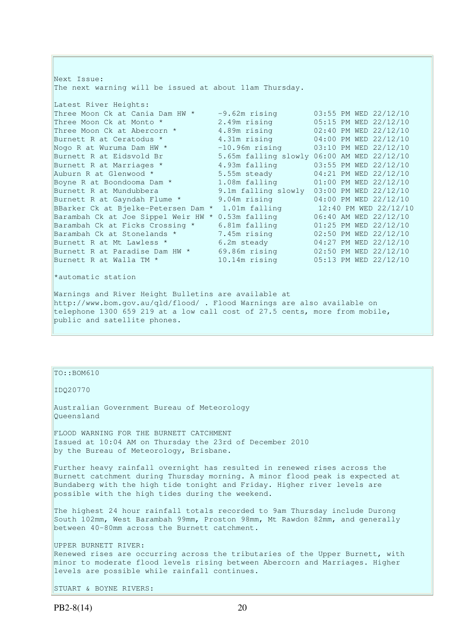Next Issue: The next warning will be issued at about 11am Thursday. Latest River Heights: Three Moon Ck at Cania Dam HW  $*$   $-9.62$ m rising  $03:55$  PM WED 22/12/10 Three Moon Ck at Monto \* 2.49m rising 05:15 PM WED 22/12/10 Three Moon Ck at Abercorn \* 4.89m rising 02:40 PM WED 22/12/10 Burnett R at Ceratodus \* 31m rising 04:00 PM WED 22/12/10 Nogo R at Wuruma Dam HW \* -10.96m rising 03:10 PM WED 22/12/10 Burnett R at Eidsvold Br 5.65m falling slowly 06:00 AM WED 22/12/10 Burnett R at Marriages \* 3.93m falling 5.55 PM WED 22/12/10 Auburn R at Glenwood  $*$  5.55m steady 04:21 PM WED 22/12/10 Boyne R at Boondooma Dam \* 1.08m falling 01:00 PM WED 22/12/10 Burnett R at Mundubbera 9.1m falling slowly 03:00 PM WED 22/12/10 Burnett R at Gayndah Flume \* 9.04m rising 04:00 PM WED 22/12/10 BBarker Ck at Bjelke-Petersen Dam \* 1.01m falling 12:40 PM WED 22/12/10 Barambah Ck at Joe Sippel Weir HW \* 0.53m falling 06:40 AM WED 22/12/10 Barambah Ck at Ficks Crossing \* 6.81m falling 01:25 PM WED 22/12/10 Barambah Ck at Stonelands \* 7.45m rising 02:50 PM WED 22/12/10 Burnett R at Mt Lawless \* 6.2m steady 04:27 PM WED 22/12/10 Burnett R at Paradise Dam HW \* 69.86m rising 02:50 PM WED 22/12/10 Burnett R at Walla TM \* 10.14m rising 05:13 PM WED 22/12/10 \*automatic station Warnings and River Height Bulletins are available at http://www.bom.gov.au/qld/flood/ . Flood Warnings are also available on telephone 1300 659 219 at a low call cost of 27.5 cents, more from mobile, public and satellite phones.

#### TO::BOM610

IDQ20770

Australian Government Bureau of Meteorology Queensland

FLOOD WARNING FOR THE BURNETT CATCHMENT Issued at 10:04 AM on Thursday the 23rd of December 2010 by the Bureau of Meteorology, Brisbane.

Further heavy rainfall overnight has resulted in renewed rises across the Burnett catchment during Thursday morning. A minor flood peak is expected at Bundaberg with the high tide tonight and Friday. Higher river levels are possible with the high tides during the weekend.

The highest 24 hour rainfall totals recorded to 9am Thursday include Durong South 102mm, West Barambah 99mm, Proston 98mm, Mt Rawdon 82mm, and generally between 40-80mm across the Burnett catchment.

UPPER BURNETT RIVER: Renewed rises are occurring across the tributaries of the Upper Burnett, with minor to moderate flood levels rising between Abercorn and Marriages. Higher levels are possible while rainfall continues.

STUART & BOYNE RIVERS: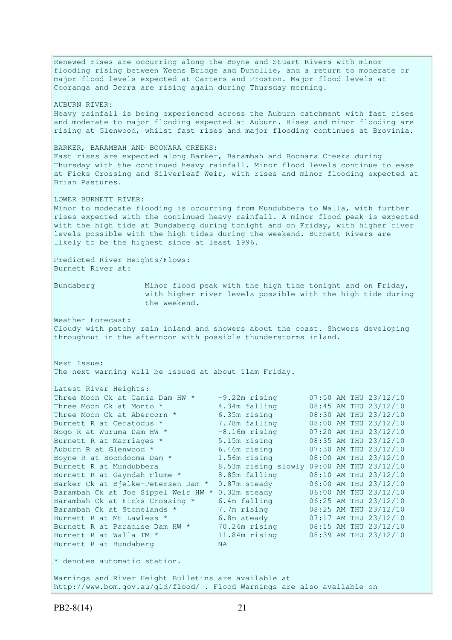Renewed rises are occurring along the Boyne and Stuart Rivers with minor flooding rising between Weens Bridge and Dunollie, and a return to moderate or major flood levels expected at Carters and Proston. Major flood levels at Cooranga and Derra are rising again during Thursday morning. AUBURN RIVER: Heavy rainfall is being experienced across the Auburn catchment with fast rises and moderate to major flooding expected at Auburn. Rises and minor flooding are rising at Glenwood, whilst fast rises and major flooding continues at Brovinia. BARKER, BARAMBAH AND BOONARA CREEKS: Fast rises are expected along Barker, Barambah and Boonara Creeks during Thursday with the continued heavy rainfall. Minor flood levels continue to ease at Ficks Crossing and Silverleaf Weir, with rises and minor flooding expected at Brian Pastures. LOWER BURNETT RIVER: Minor to moderate flooding is occurring from Mundubbera to Walla, with further rises expected with the continued heavy rainfall. A minor flood peak is expected with the high tide at Bundaberg during tonight and on Friday, with higher river levels possible with the high tides during the weekend. Burnett Rivers are likely to be the highest since at least 1996. Predicted River Heights/Flows: Burnett River at: Bundaberg Minor flood peak with the high tide tonight and on Friday, with higher river levels possible with the high tide during the weekend. Weather Forecast: Cloudy with patchy rain inland and showers about the coast. Showers developing throughout in the afternoon with possible thunderstorms inland. Next Issue: The next warning will be issued at about 11am Friday. Latest River Heights: Three Moon Ck at Cania Dam HW  $\star$  -9.22m rising 07:50 AM THU 23/12/10 Three Moon Ck at Monto  $*$  4.34m falling 08:45 AM THU 23/12/10 Three Moon Ck at Abercorn \* 6.35m rising 08:30 AM THU 23/12/10 Burnett R at Ceratodus \* 7.78m falling 08:00 AM THU 23/12/10 Nogo R at Wuruma Dam HW  $\star$  -8.16m rising 07:20 AM THU 23/12/10 Burnett R at Marriages \* 5.15m rising 08:35 AM THU 23/12/10 Auburn R at Glenwood \* 6.46m rising 07:30 AM THU 23/12/10 Boyne R at Boondooma Dam  $*$  1.56m rising 08:00 AM THU 23/12/10 Burnett R at Mundubbera 8.53m rising slowly 09:00 AM THU 23/12/10 Burnett R at Gayndah Flume \* 8.85m falling 08:10 AM THU 23/12/10 Barker Ck at Bjelke-Petersen Dam \* 0.87m steady 06:00 AM THU 23/12/10 Barambah Ck at Joe Sippel Weir HW \* 0.32m steady 06:00 AM THU 23/12/10 Barambah Ck at Ficks Crossing \* 6.4m falling 06:25 AM THU 23/12/10 Barambah Ck at Stonelands \* 7.7m rising 08:25 AM THU 23/12/10 Burnett R at Mt Lawless  $\star$  6.8m steady 07:17 AM THU 23/12/10 Burnett R at Paradise Dam HW  $*$  70.24m rising 08:15 AM THU 23/12/10 Burnett R at Walla TM \* 11.84m rising 08:39 AM THU 23/12/10 Burnett R at Bundaberg NA \* denotes automatic station. Warnings and River Height Bulletins are available at http://www.bom.gov.au/qld/flood/ . Flood Warnings are also available on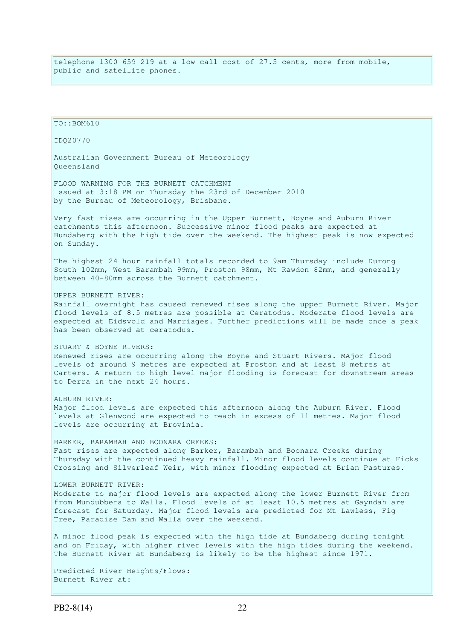telephone 1300 659 219 at a low call cost of 27.5 cents, more from mobile, public and satellite phones.

TO::BOM610 IDQ20770 Australian Government Bureau of Meteorology Queensland FLOOD WARNING FOR THE BURNETT CATCHMENT Issued at 3:18 PM on Thursday the 23rd of December 2010 by the Bureau of Meteorology, Brisbane. Very fast rises are occurring in the Upper Burnett, Boyne and Auburn River catchments this afternoon. Successive minor flood peaks are expected at Bundaberg with the high tide over the weekend. The highest peak is now expected on Sunday. The highest 24 hour rainfall totals recorded to 9am Thursday include Durong South 102mm, West Barambah 99mm, Proston 98mm, Mt Rawdon 82mm, and generally between 40-80mm across the Burnett catchment. UPPER BURNETT RIVER: Rainfall overnight has caused renewed rises along the upper Burnett River. Major flood levels of 8.5 metres are possible at Ceratodus. Moderate flood levels are expected at Eidsvold and Marriages. Further predictions will be made once a peak has been observed at ceratodus. STUART & BOYNE RIVERS: Renewed rises are occurring along the Boyne and Stuart Rivers. MAjor flood levels of around 9 metres are expected at Proston and at least 8 metres at Carters. A return to high level major flooding is forecast for downstream areas to Derra in the next 24 hours. AUBURN RIVER: Major flood levels are expected this afternoon along the Auburn River. Flood levels at Glenwood are expected to reach in excess of 11 metres. Major flood levels are occurring at Brovinia. BARKER, BARAMBAH AND BOONARA CREEKS: Fast rises are expected along Barker, Barambah and Boonara Creeks during Thursday with the continued heavy rainfall. Minor flood levels continue at Ficks Crossing and Silverleaf Weir, with minor flooding expected at Brian Pastures. LOWER BURNETT RIVER: Moderate to major flood levels are expected along the lower Burnett River from from Mundubbera to Walla. Flood levels of at least 10.5 metres at Gayndah are forecast for Saturday. Major flood levels are predicted for Mt Lawless, Fig Tree, Paradise Dam and Walla over the weekend. A minor flood peak is expected with the high tide at Bundaberg during tonight and on Friday, with higher river levels with the high tides during the weekend. The Burnett River at Bundaberg is likely to be the highest since 1971. Predicted River Heights/Flows: Burnett River at: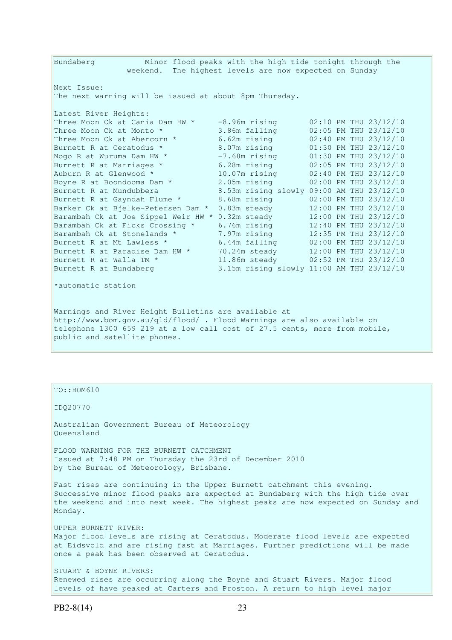Bundaberg Minor flood peaks with the high tide tonight through the weekend. The highest levels are now expected on Sunday Next Issue: The next warning will be issued at about 8pm Thursday. Latest River Heights: Three Moon Ck at Cania Dam HW  $\star$  -8.96m rising 02:10 PM THU 23/12/10 Three Moon Ck at Monto  $*$  3.86m falling 02:05 PM THU 23/12/10 Three Moon Ck at Abercorn \* 6.62m rising 02:40 PM THU 23/12/10 Burnett R at Ceratodus \* 8.07m rising 01:30 PM THU 23/12/10 Nogo R at Wuruma Dam HW  $\star$  -7.68m rising 01:30 PM THU 23/12/10 Burnett R at Marriages \* 6.28m rising 02:05 PM THU 23/12/10 Auburn R at Glenwood \* 10.07m rising 02:40 PM THU 23/12/10 Boyne R at Boondooma Dam \* 2.05m rising 02:00 PM THU 23/12/10 Burnett R at Mundubbera 8.53m rising slowly 09:00 AM THU 23/12/10 Burnett R at Gayndah Flume \* 8.68m rising 02:00 PM THU 23/12/10 Barker Ck at Bjelke-Petersen Dam \* 0.83m steady 12:00 PM THU 23/12/10 Barambah Ck at Joe Sippel Weir HW \* 0.32m steady 12:00 PM THU 23/12/10 Barambah Ck at Ficks Crossing \* 6.76m rising 12:40 PM THU 23/12/10 Barambah Ck at Stonelands \* 7.97m rising 12:35 PM THU 23/12/10 Burnett R at Mt Lawless \* 6.44m falling 02:00 PM THU 23/12/10 Burnett R at Paradise Dam HW  $\star$  70.24m steady 12:00 PM THU 23/12/10 Burnett R at Walla TM  $\star$  11.86m steady 02:52 PM THU 23/12/10 Burnett R at Bundaberg 3.15m rising slowly 11:00 AM THU 23/12/10 \*automatic station Warnings and River Height Bulletins are available at http://www.bom.gov.au/qld/flood/ . Flood Warnings are also available on telephone 1300 659 219 at a low call cost of 27.5 cents, more from mobile,

public and satellite phones.

TO::BOM610

IDQ20770

Australian Government Bureau of Meteorology Queensland

FLOOD WARNING FOR THE BURNETT CATCHMENT Issued at 7:48 PM on Thursday the 23rd of December 2010 by the Bureau of Meteorology, Brisbane.

Fast rises are continuing in the Upper Burnett catchment this evening. Successive minor flood peaks are expected at Bundaberg with the high tide over the weekend and into next week. The highest peaks are now expected on Sunday and Monday.

UPPER BURNETT RIVER: Major flood levels are rising at Ceratodus. Moderate flood levels are expected at Eidsvold and are rising fast at Marriages. Further predictions will be made once a peak has been observed at Ceratodus.

STUART & BOYNE RIVERS: Renewed rises are occurring along the Boyne and Stuart Rivers. Major flood levels of have peaked at Carters and Proston. A return to high level major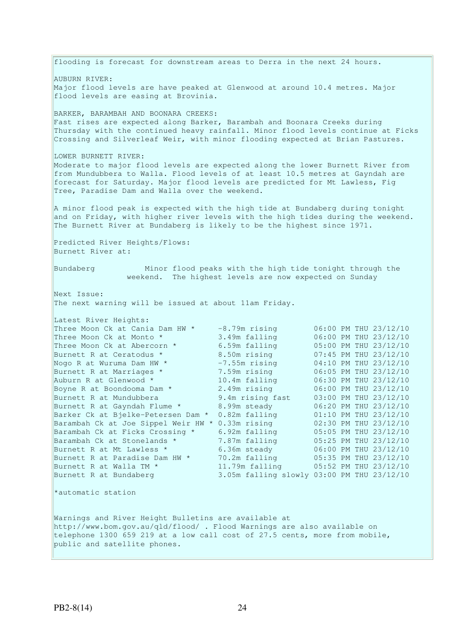flooding is forecast for downstream areas to Derra in the next 24 hours. AUBURN RIVER: Major flood levels are have peaked at Glenwood at around 10.4 metres. Major flood levels are easing at Brovinia. BARKER, BARAMBAH AND BOONARA CREEKS: Fast rises are expected along Barker, Barambah and Boonara Creeks during Thursday with the continued heavy rainfall. Minor flood levels continue at Ficks Crossing and Silverleaf Weir, with minor flooding expected at Brian Pastures. LOWER BURNETT RIVER: Moderate to major flood levels are expected along the lower Burnett River from from Mundubbera to Walla. Flood levels of at least 10.5 metres at Gayndah are forecast for Saturday. Major flood levels are predicted for Mt Lawless, Fig Tree, Paradise Dam and Walla over the weekend. A minor flood peak is expected with the high tide at Bundaberg during tonight and on Friday, with higher river levels with the high tides during the weekend. The Burnett River at Bundaberg is likely to be the highest since 1971. Predicted River Heights/Flows: Burnett River at: Bundaberg Minor flood peaks with the high tide tonight through the weekend. The highest levels are now expected on Sunday Next Issue: The next warning will be issued at about 11am Friday. Latest River Heights: Three Moon Ck at Cania Dam HW  $*$   $-8.79$ m rising  $06:00$  PM THU 23/12/10 Three Moon Ck at Monto  $*$  3.49m falling 06:00 PM THU 23/12/10 Three Moon Ck at Abercorn \* 6.59m falling 05:00 PM THU 23/12/10 Burnett R at Ceratodus \* 8.50m rising 07:45 PM THU 23/12/10 Nogo R at Wuruma Dam HW  $^*$   $-7.55$ m rising  $04:10$  PM THU 23/12/10 Burnett R at Marriages \* 7.59m rising 06:05 PM THU 23/12/10 Auburn R at Glenwood  $*$  10.4m falling  $06:30$  PM THU 23/12/10 Boyne R at Boondooma Dam \* 2.49m rising 06:00 PM THU 23/12/10 Burnett R at Mundubbera 9.4m rising fast 03:00 PM THU 23/12/10 Burnett R at Gayndah Flume  $*$  8.99m steady 06:20 PM THU 23/12/10 Barker Ck at Bjelke-Petersen Dam \* 0.82m falling  $0.1:10$  PM THU 23/12/10 Barambah Ck at Joe Sippel Weir HW \* 0.33m rising 02:30 PM THU 23/12/10 Barambah Ck at Ficks Crossing \* 6.92m falling 05:05 PM THU 23/12/10 Barambah Ck at Stonelands \* 7.87m falling 05:25 PM THU 23/12/10 Burnett R at Mt Lawless \* 6.36m steady 06:00 PM THU 23/12/10 Burnett R at Paradise Dam HW \* 70.2m falling 05:35 PM THU 23/12/10 Burnett R at Walla TM \* 11.79m falling 05:52 PM THU 23/12/10 Burnett R at Bundaberg 3.05m falling slowly 03:00 PM THU 23/12/10 \*automatic station Warnings and River Height Bulletins are available at http://www.bom.gov.au/qld/flood/ . Flood Warnings are also available on telephone 1300 659 219 at a low call cost of 27.5 cents, more from mobile, public and satellite phones.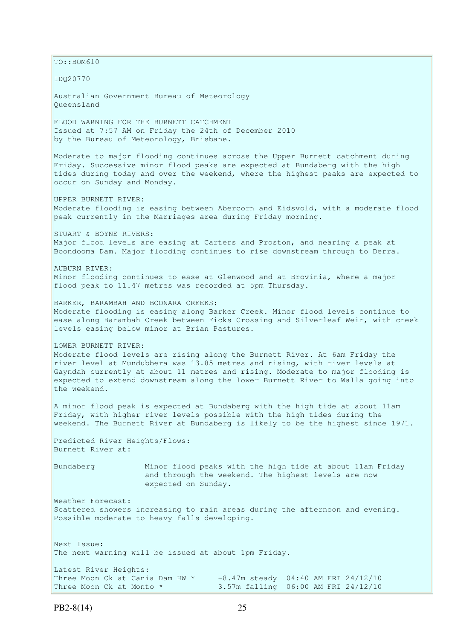$\vert$ TO::BOM610 IDQ20770 Australian Government Bureau of Meteorology Queensland FLOOD WARNING FOR THE BURNETT CATCHMENT Issued at 7:57 AM on Friday the 24th of December 2010 by the Bureau of Meteorology, Brisbane. Moderate to major flooding continues across the Upper Burnett catchment during Friday. Successive minor flood peaks are expected at Bundaberg with the high tides during today and over the weekend, where the highest peaks are expected to occur on Sunday and Monday. UPPER BURNETT RIVER: Moderate flooding is easing between Abercorn and Eidsvold, with a moderate flood peak currently in the Marriages area during Friday morning. STUART & BOYNE RIVERS: Major flood levels are easing at Carters and Proston, and nearing a peak at Boondooma Dam. Major flooding continues to rise downstream through to Derra. AUBURN RIVER: Minor flooding continues to ease at Glenwood and at Brovinia, where a major flood peak to 11.47 metres was recorded at 5pm Thursday. BARKER, BARAMBAH AND BOONARA CREEKS: Moderate flooding is easing along Barker Creek. Minor flood levels continue to ease along Barambah Creek between Ficks Crossing and Silverleaf Weir, with creek levels easing below minor at Brian Pastures. LOWER BURNETT RIVER: Moderate flood levels are rising along the Burnett River. At 6am Friday the river level at Mundubbera was 13.85 metres and rising, with river levels at Gayndah currently at about 11 metres and rising. Moderate to major flooding is expected to extend downstream along the lower Burnett River to Walla going into the weekend. A minor flood peak is expected at Bundaberg with the high tide at about 11am Friday, with higher river levels possible with the high tides during the weekend. The Burnett River at Bundaberg is likely to be the highest since 1971. Predicted River Heights/Flows: Burnett River at: Bundaberg Minor flood peaks with the high tide at about 11am Friday and through the weekend. The highest levels are now expected on Sunday. Weather Forecast: Scattered showers increasing to rain areas during the afternoon and evening. Possible moderate to heavy falls developing. Next Issue: The next warning will be issued at about 1pm Friday. Latest River Heights:<br>Three Moon Ck at Cania Dam HW \*  $-8.47$ m steady 04:40 AM FRI 24/12/10 Three Moon Ck at Monto  $*$  3.57m falling 06:00 AM FRI 24/12/10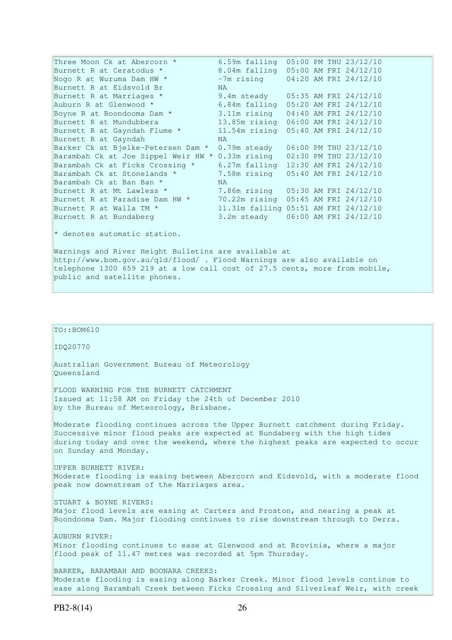Three Moon Ck at Abercorn \* 6.59m falling 05:00 PM THU 23/12/10 Burnett R at Ceratodus \* 8.04m falling 05:00 AM FRI 24/12/10 Nogo R at Wuruma Dam HW  $\star$  -7m rising 04:20 AM FRI 24/12/10 Burnett R at Eidsvold Br MA Burnett R at Marriages \* 9.4m steady 05:35 AM FRI 24/12/10 Auburn R at Glenwood \* 6.84m falling 05:20 AM FRI 24/12/10 Boyne R at Boondooma Dam \* 3.11m rising 04:40 AM FRI 24/12/10 Burnett R at Mundubbera 13.85m rising 06:00 AM FRI 24/12/10 Burnett R at Gayndah Flume \* 11.54m rising 05:40 AM FRI 24/12/10 Burnett R at Gayndah NA Barker Ck at Bjelke-Petersen Dam \* 0.79m steady 06:00 PM THU 23/12/10 Barambah Ck at Joe Sippel Weir HW \* 0.33m rising 02:30 PM THU 23/12/10 Barambah Ck at Ficks Crossing \* 6.27m falling 12:30 AM FRI 24/12/10 Barambah Ck at Stonelands \* 7.58m rising 05:40 AM FRI 24/12/10 Barambah Ck at Ban Ban \* NA Burnett R at Mt Lawless \* 7.86m rising 05:30 AM FRI 24/12/10 Burnett R at Paradise Dam HW \* 70.22m rising 05:45 AM FRI 24/12/10 Burnett R at Walla TM \* 11.31m falling 05:51 AM FRI 24/12/10 Burnett R at Bundaberg 3.2m steady 06:00 AM FRI 24/12/10 \* denotes automatic station. Warnings and River Height Bulletins are available at

http://www.bom.gov.au/qld/flood/ . Flood Warnings are also available on telephone 1300 659 219 at a low call cost of 27.5 cents, more from mobile, public and satellite phones.

### $To::BOM610$

IDQ20770

Australian Government Bureau of Meteorology Queensland

FLOOD WARNING FOR THE BURNETT CATCHMENT Issued at 11:58 AM on Friday the 24th of December 2010 by the Bureau of Meteorology, Brisbane.

Moderate flooding continues across the Upper Burnett catchment during Friday. Successive minor flood peaks are expected at Bundaberg with the high tides during today and over the weekend, where the highest peaks are expected to occur on Sunday and Monday.

UPPER BURNETT RIVER: Moderate flooding is easing between Abercorn and Eidsvold, with a moderate flood peak now downstream of the Marriages area.

STUART & BOYNE RIVERS: Major flood levels are easing at Carters and Proston, and nearing a peak at Boondooma Dam. Major flooding continues to rise downstream through to Derra.

AUBURN RIVER: Minor flooding continues to ease at Glenwood and at Brovinia, where a major flood peak of 11.47 metres was recorded at 5pm Thursday.

BARKER, BARAMBAH AND BOONARA CREEKS: Moderate flooding is easing along Barker Creek. Minor flood levels continue to ease along Barambah Creek between Ficks Crossing and Silverleaf Weir, with creek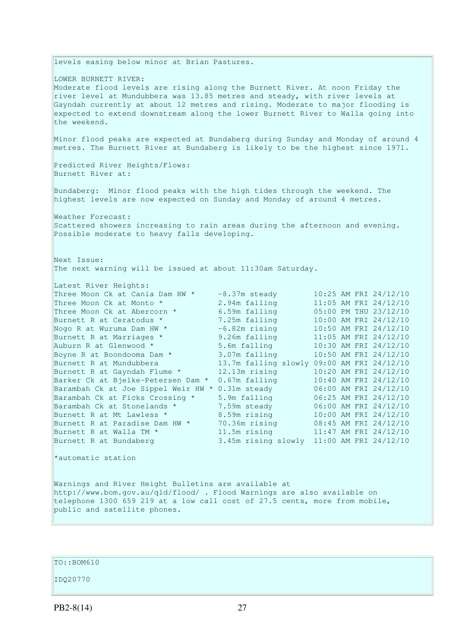levels easing below minor at Brian Pastures. LOWER BURNETT RIVER: Moderate flood levels are rising along the Burnett River. At noon Friday the river level at Mundubbera was 13.85 metres and steady, with river levels at Gayndah currently at about 12 metres and rising. Moderate to major flooding is expected to extend downstream along the lower Burnett River to Walla going into the weekend. Minor flood peaks are expected at Bundaberg during Sunday and Monday of around 4 metres. The Burnett River at Bundaberg is likely to be the highest since 1971. Predicted River Heights/Flows: Burnett River at: Bundaberg: Minor flood peaks with the high tides through the weekend. The highest levels are now expected on Sunday and Monday of around 4 metres. Weather Forecast: Scattered showers increasing to rain areas during the afternoon and evening. Possible moderate to heavy falls developing. Next Issue: The next warning will be issued at about 11:30am Saturday. Latest River Heights: Three Moon Ck at Cania Dam HW \* -8.37m steady 10:25 AM FRI 24/12/10<br>Three Moon Ck at Monto \* 2.94m falling 11:05 AM FRI 24/12/10 Three Moon Ck at Monto \*  $2.94$ m falling  $11:05$  AM FRI 24/12/10<br>Three Moon Ck at Abercorn \*  $6.59$ m falling  $05:00$  PM THU 23/12/10 Three Moon Ck at Abercorn \*  $= 6.59$ m falling 05:00 PM THU 23/12/10<br>
Burnett R at Ceratodus \* 7.25m falling 10:00 AM FRI 24/12/10<br>
Nogo R at Wuruma Dam HW \* -6.82m rising 10:50 AM FRI 24/12/10<br>
Burnett R at Marriages \* 9.2 Burnett R at Ceratodus \* 7.25m falling 10:00 AM FRI 24/12/10 Nogo R at Wuruma Dam HW  $^*$   $-6.82$ m rising  $10:50$  AM FRI 24/12/10 Burnett R at Marriages \* 3.26m falling 11:05 AM FRI 24/12/10 Auburn R at Glenwood \* 5.6m falling 10:30 AM FRI 24/12/10 Boyne R at Boondooma Dam \* 3.07m falling 10:50 AM FRI 24/12/10 Burnett R at Mundubbera 13.7m falling slowly 09:00 AM FRI 24/12/10 Burnett R at Gayndah Flume  $*$  12.13m rising  $10:20$  AM FRI 24/12/10 Barker Ck at Bjelke-Petersen Dam \* 0.67m falling 10:40 AM FRI 24/12/10 Barambah Ck at Joe Sippel Weir HW \* 0.31m steady 06:00 AM FRI 24/12/10<br>Barambah Ck at Ficks Crossing \* 5.9m falling 06:25 AM FRI 24/12/10 Barambah Ck at Ficks Crossing \* 5.9m falling 06:25 AM FRI 24/12/10 Barambah Ck at Stonelands \* 7.59m steady 06:00 AM FRI 24/12/10 Burnett R at Mt Lawless \* 3.59m rising 10:00 AM FRI 24/12/10 Burnett R at Paradise Dam HW \* 70.36m rising 08:45 AM FRI 24/12/10 Burnett R at Walla TM  $^{\star}$  11.5m rising 11:47 AM FRI 24/12/10 Burnett R at Bundaberg 3.45m rising slowly 11:00 AM FRI 24/12/10 \*automatic station Warnings and River Height Bulletins are available at http://www.bom.gov.au/qld/flood/ . Flood Warnings are also available on telephone 1300 659 219 at a low call cost of 27.5 cents, more from mobile,

 $To::BOM610$ 

public and satellite phones.

IDQ20770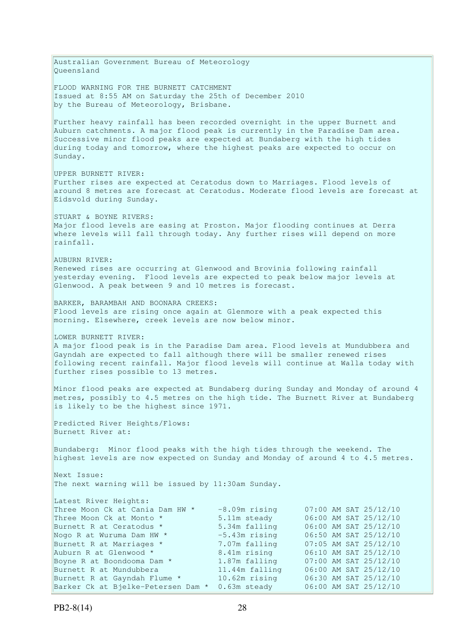Australian Government Bureau of Meteorology Queensland FLOOD WARNING FOR THE BURNETT CATCHMENT Issued at 8:55 AM on Saturday the 25th of December 2010 by the Bureau of Meteorology, Brisbane. Further heavy rainfall has been recorded overnight in the upper Burnett and Auburn catchments. A major flood peak is currently in the Paradise Dam area. Successive minor flood peaks are expected at Bundaberg with the high tides during today and tomorrow, where the highest peaks are expected to occur on Sunday. UPPER BURNETT RIVER: Further rises are expected at Ceratodus down to Marriages. Flood levels of around 8 metres are forecast at Ceratodus. Moderate flood levels are forecast at Eidsvold during Sunday. STUART & BOYNE RIVERS: Major flood levels are easing at Proston. Major flooding continues at Derra where levels will fall through today. Any further rises will depend on more rainfall. AUBURN RIVER: Renewed rises are occurring at Glenwood and Brovinia following rainfall yesterday evening. Flood levels are expected to peak below major levels at Glenwood. A peak between 9 and 10 metres is forecast. BARKER, BARAMBAH AND BOONARA CREEKS: Flood levels are rising once again at Glenmore with a peak expected this morning. Elsewhere, creek levels are now below minor. LOWER BURNETT RIVER: A major flood peak is in the Paradise Dam area. Flood levels at Mundubbera and Gayndah are expected to fall although there will be smaller renewed rises following recent rainfall. Major flood levels will continue at Walla today with further rises possible to 13 metres. Minor flood peaks are expected at Bundaberg during Sunday and Monday of around 4 metres, possibly to 4.5 metres on the high tide. The Burnett River at Bundaberg is likely to be the highest since 1971. Predicted River Heights/Flows: Burnett River at: Bundaberg: Minor flood peaks with the high tides through the weekend. The highest levels are now expected on Sunday and Monday of around 4 to 4.5 metres. Next Issue: The next warning will be issued by 11:30am Sunday. Latest River Heights: Three Moon Ck at Cania Dam HW \* -8.09m rising<br>Three Moon Ck at Monto \* 5.11m steady Three Moon Ck at Monto  $*$  5.11m steady 06:00 AM SAT 25/12/10 Burnett R at Ceratodus \* 5.34m falling 06:00 AM SAT 25/12/10 Nogo R at Wuruma Dam HW  $\star$   $-5.43$ m rising  $06:50$  AM SAT 25/12/10 Burnett R at Marriages \* 7.07m falling 07:05 AM SAT 25/12/10 Nogo R at Wuruma Dam HW \*  $-5.43m$  rising 06:50 AM SAT 25/12/10<br>
Burnett R at Marriages \* 7.07m falling 07:05 AM SAT 25/12/10<br>
Auburn R at Glenwood \* 8.41m rising 06:10 AM SAT 25/12/10<br>
Boyne R at Boondooma Dam \* 1.87m fal Boyne R at Boondooma Dam \* 1.87m falling 07:00 AM SAT 25/12/10 Burnett R at Mundubbera 11.44m falling 06:00 AM SAT 25/12/10 Burnett R at Gayndah Flume \* 10.62m rising 06:30 AM SAT 25/12/10 Barker Ck at Bjelke-Petersen Dam \* 0.63m steady 06:00 AM SAT 25/12/10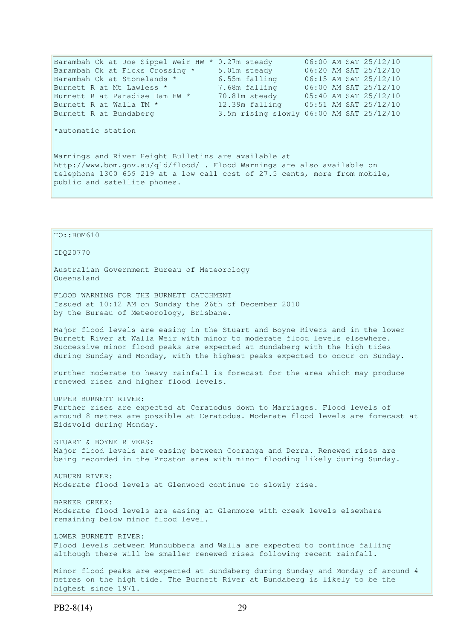Barambah Ck at Joe Sippel Weir HW \* 0.27m steady 06:00 AM SAT 25/12/10 Barambah Ck at Ficks Crossing \* 5.01m steady 06:20 AM SAT 25/12/10 Barambah Ck at Stonelands \* 6.55m falling 06:15 AM SAT 25/12/10 Burnett R at Mt Lawless \* 7.68m falling 06:00 AM SAT 25/12/10 Burnett R at Paradise Dam HW  $\star$  70.81m steady 05:40 AM SAT 25/12/10 Burnett R at Walla TM \* 12.39m falling 05:51 AM SAT 25/12/10 Burnett R at Walla TM \* 12.39m falling 05:51 AM SAT 25/12/10<br>Burnett R at Bundaberg 3.5m rising slowly 06:00 AM SAT 25/12/10 \*automatic station Warnings and River Height Bulletins are available at http://www.bom.gov.au/qld/flood/ . Flood Warnings are also available on telephone 1300 659 219 at a low call cost of 27.5 cents, more from mobile, public and satellite phones. TO::BOM610 IDQ20770 Australian Government Bureau of Meteorology Queensland FLOOD WARNING FOR THE BURNETT CATCHMENT Issued at 10:12 AM on Sunday the 26th of December 2010 by the Bureau of Meteorology, Brisbane.

Major flood levels are easing in the Stuart and Boyne Rivers and in the lower Burnett River at Walla Weir with minor to moderate flood levels elsewhere. Successive minor flood peaks are expected at Bundaberg with the high tides during Sunday and Monday, with the highest peaks expected to occur on Sunday.

Further moderate to heavy rainfall is forecast for the area which may produce renewed rises and higher flood levels.

UPPER BURNETT RIVER: Further rises are expected at Ceratodus down to Marriages. Flood levels of around 8 metres are possible at Ceratodus. Moderate flood levels are forecast at Eidsvold during Monday.

STUART & BOYNE RIVERS: Major flood levels are easing between Cooranga and Derra. Renewed rises are being recorded in the Proston area with minor flooding likely during Sunday.

AUBURN RIVER: Moderate flood levels at Glenwood continue to slowly rise.

BARKER CREEK: Moderate flood levels are easing at Glenmore with creek levels elsewhere remaining below minor flood level.

LOWER BURNETT RIVER: Flood levels between Mundubbera and Walla are expected to continue falling although there will be smaller renewed rises following recent rainfall.

Minor flood peaks are expected at Bundaberg during Sunday and Monday of around 4 metres on the high tide. The Burnett River at Bundaberg is likely to be the highest since 1971.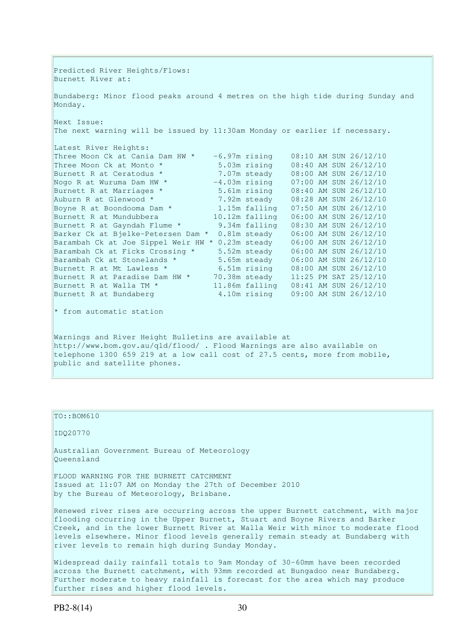Predicted River Heights/Flows: Burnett River at: Bundaberg: Minor flood peaks around 4 metres on the high tide during Sunday and Monday. Next Issue: The next warning will be issued by 11:30am Monday or earlier if necessary. Latest River Heights: Three Moon Ck at Cania Dam HW  $* -6.97$ m rising 08:10 AM SUN 26/12/10 Three Moon Ck at Monto \* 5.03m rising 08:40 AM SUN 26/12/10 Burnett R at Ceratodus \* 7.07m steady 08:00 AM SUN 26/12/10 Nogo R at Wuruma Dam HW \*  $-4.03$ m rising  $07:00$  AM SUN 26/12/10 Burnett R at Marriages \* 5.61m rising 08:40 AM SUN 26/12/10 Auburn R at Glenwood \* 7.92m steady 08:28 AM SUN 26/12/10 Boyne R at Boondooma Dam  $*$  1.15m falling 07:50 AM SUN 26/12/10 Burnett R at Mundubbera 10.12m falling 06:00 AM SUN 26/12/10 Burnett R at Gayndah Flume \* 9.34m falling 08:30 AM SUN 26/12/10 Barker Ck at Bjelke-Petersen Dam \* 0.81m steady 06:00 AM SUN 26/12/10 Barambah Ck at Joe Sippel Weir HW \* 0.23m steady 06:00 AM SUN 26/12/10 Barambah Ck at Ficks Crossing \* 5.52m steady 06:00 AM SUN 26/12/10 Barambah Ck at Stonelands \* 5.65m steady 06:00 AM SUN 26/12/10 Burnett R at Mt Lawless \* 6.51m rising 08:00 AM SUN 26/12/10 Burnett R at Paradise Dam HW \* 70.38m steady 11:25 PM SAT 25/12/10 Burnett R at Walla TM \* 11.86m falling 08:41 AM SUN 26/12/10 Burnett R at Bundaberg 4.10m rising 09:00 AM SUN 26/12/10  $*$  from automatic station Warnings and River Height Bulletins are available at http://www.bom.gov.au/qld/flood/ . Flood Warnings are also available on

# telephone 1300 659 219 at a low call cost of 27.5 cents, more from mobile, public and satellite phones.

### TO::BOM610

IDQ20770

Australian Government Bureau of Meteorology Queensland

FLOOD WARNING FOR THE BURNETT CATCHMENT Issued at 11:07 AM on Monday the 27th of December 2010 by the Bureau of Meteorology, Brisbane.

Renewed river rises are occurring across the upper Burnett catchment, with major flooding occurring in the Upper Burnett, Stuart and Boyne Rivers and Barker Creek, and in the lower Burnett River at Walla Weir with minor to moderate flood levels elsewhere. Minor flood levels generally remain steady at Bundaberg with river levels to remain high during Sunday Monday.

Widespread daily rainfall totals to 9am Monday of 30-60mm have been recorded across the Burnett catchment, with 93mm recorded at Bungadoo near Bundaberg. Further moderate to heavy rainfall is forecast for the area which may produce further rises and higher flood levels.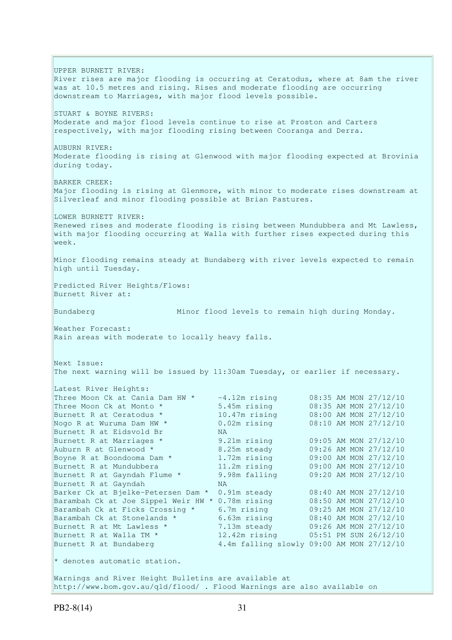UPPER BURNETT RIVER: River rises are major flooding is occurring at Ceratodus, where at 8am the river was at 10.5 metres and rising. Rises and moderate flooding are occurring downstream to Marriages, with major flood levels possible. STUART & BOYNE RIVERS: Moderate and major flood levels continue to rise at Proston and Carters respectively, with major flooding rising between Cooranga and Derra. AUBURN RIVER: Moderate flooding is rising at Glenwood with major flooding expected at Brovinia during today. BARKER CREEK: Major flooding is rising at Glenmore, with minor to moderate rises downstream at Silverleaf and minor flooding possible at Brian Pastures. LOWER BURNETT RIVER: Renewed rises and moderate flooding is rising between Mundubbera and Mt Lawless, with major flooding occurring at Walla with further rises expected during this week. Minor flooding remains steady at Bundaberg with river levels expected to remain high until Tuesday. Predicted River Heights/Flows: Burnett River at: Bundaberg Minor flood levels to remain high during Monday. Weather Forecast: Rain areas with moderate to locally heavy falls. Next Issue: The next warning will be issued by 11:30am Tuesday, or earlier if necessary. Latest River Heights: Three Moon Ck at Cania Dam HW  $\star$  -4.12m rising 08:35 AM MON 27/12/10 Three Moon Ck at Monto \* 5.45m rising 08:35 AM MON 27/12/10 Burnett R at Ceratodus \* 10.47m rising 08:00 AM MON 27/12/10 Nogo R at Wuruma Dam HW \* 0.02m rising 08:10 AM MON 27/12/10 Nogo R at Wuruma Dam HW \* 0.02m rising 08:10 AM MON 27/12/10<br>
Burnett R at Eidsvold Br NA<br>
Burnett R at Marriages \* 9.21m rising 09:05 AM MON 27/12/10<br>
Auburn R at Glenwood \* 8.25m steady 09:26 AM MON 27/12/10<br>
Boyne R at Burnett R at Marriages \* 9.21m rising 09:05 AM MON 27/12/10 Auburn R at Glenwood \* 8.25m steady 09:26 AM MON 27/12/10 Boyne R at Boondooma Dam  $*$  1.72m rising 09:00 AM MON 27/12/10 Burnett R at Mundubbera 11.2m rising 09:00 AM MON 27/12/10 Burnett R at Gayndah Flume \* 9.98m falling 09:20 AM MON 27/12/10 Burnett R at Gayndah NA Barker Ck at Bjelke-Petersen Dam \* 0.91m steady 08:40 AM MON 27/12/10 Barambah Ck at Joe Sippel Weir HW \* 0.78m rising 08:50 AM MON 27/12/10 Barambah Ck at Ficks Crossing \* 6.7m rising 09:25 AM MON 27/12/10 Barambah Ck at Stonelands \* 6.63m rising 08:40 AM MON 27/12/10 Burnett R at Mt Lawless  $\star$  7.13m steady 09:26 AM MON 27/12/10 Burnett R at Mt Lawless \* 7.13m steady 09:26 AM MON 27/12/10<br>Burnett R at Walla TM \* 12.42m rising 05:51 PM SUN 26/12/10 Burnett R at Bundaberg 4.4m falling slowly 09:00 AM MON 27/12/10  $*$  denotes automatic station. Warnings and River Height Bulletins are available at http://www.bom.gov.au/qld/flood/ . Flood Warnings are also available on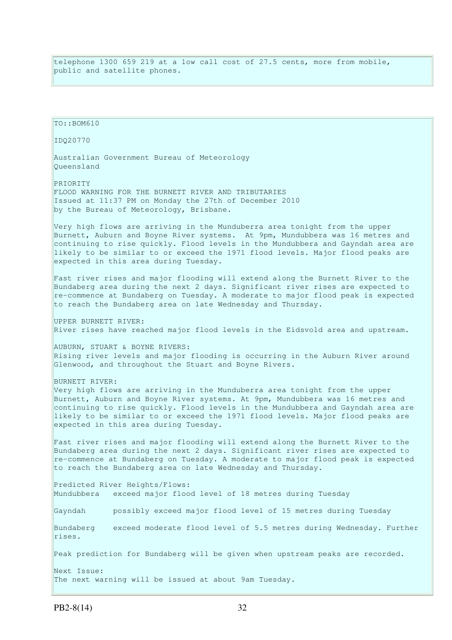telephone 1300 659 219 at a low call cost of 27.5 cents, more from mobile, public and satellite phones.

TO::BOM610 IDQ20770 Australian Government Bureau of Meteorology Queensland PRIORITY FLOOD WARNING FOR THE BURNETT RIVER AND TRIBUTARIES Issued at 11:37 PM on Monday the 27th of December 2010 by the Bureau of Meteorology, Brisbane. Very high flows are arriving in the Munduberra area tonight from the upper Burnett, Auburn and Boyne River systems. At 9pm, Mundubbera was 16 metres and continuing to rise quickly. Flood levels in the Mundubbera and Gayndah area are likely to be similar to or exceed the 1971 flood levels. Major flood peaks are expected in this area during Tuesday. Fast river rises and major flooding will extend along the Burnett River to the Bundaberg area during the next 2 days. Significant river rises are expected to re-commence at Bundaberg on Tuesday. A moderate to major flood peak is expected to reach the Bundaberg area on late Wednesday and Thursday. UPPER BURNETT RIVER: River rises have reached major flood levels in the Eidsvold area and upstream. AUBURN, STUART & BOYNE RIVERS: Rising river levels and major flooding is occurring in the Auburn River around Glenwood, and throughout the Stuart and Boyne Rivers. BURNETT RIVER: Very high flows are arriving in the Munduberra area tonight from the upper Burnett, Auburn and Boyne River systems. At 9pm, Mundubbera was 16 metres and continuing to rise quickly. Flood levels in the Mundubbera and Gayndah area are likely to be similar to or exceed the 1971 flood levels. Major flood peaks are expected in this area during Tuesday. Fast river rises and major flooding will extend along the Burnett River to the Bundaberg area during the next 2 days. Significant river rises are expected to re-commence at Bundaberg on Tuesday. A moderate to major flood peak is expected to reach the Bundaberg area on late Wednesday and Thursday. Predicted River Heights/Flows: Mundubbera exceed major flood level of 18 metres during Tuesday Gayndah possibly exceed major flood level of 15 metres during Tuesday Bundaberg exceed moderate flood level of 5.5 metres during Wednesday. Further rises. Peak prediction for Bundaberg will be given when upstream peaks are recorded. Next Issue: The next warning will be issued at about 9am Tuesday.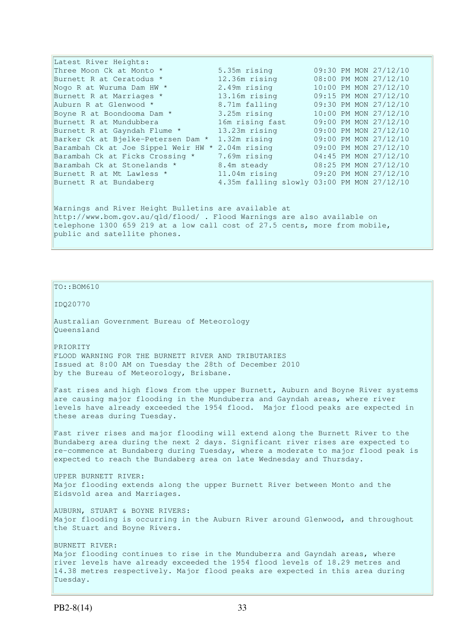| Latest River Heights:                                                      |                                            |  |  |  |                       |
|----------------------------------------------------------------------------|--------------------------------------------|--|--|--|-----------------------|
| Three Moon Ck at Monto * Three Moon Ck                                     | 5.35m rising                               |  |  |  | 09:30 PM MON 27/12/10 |
| Burnett R at Ceratodus *                                                   | 12.36m rising                              |  |  |  | 08:00 PM MON 27/12/10 |
| Nogo R at Wuruma Dam HW *                                                  | 2.49m rising                               |  |  |  | 10:00 PM MON 27/12/10 |
| Burnett R at Marriages *                                                   | 13.16m rising                              |  |  |  | 09:15 PM MON 27/12/10 |
| Auburn R at Glenwood *                                                     | 8.71m falling                              |  |  |  | 09:30 PM MON 27/12/10 |
| Boyne R at Boondooma Dam *                                                 | 3.25m rising                               |  |  |  | 10:00 PM MON 27/12/10 |
| Burnett R at Mundubbera                                                    | 16m rising fast                            |  |  |  | 09:00 PM MON 27/12/10 |
| Burnett R at Gayndah Flume *                                               | 13.23m rising                              |  |  |  | 09:00 PM MON 27/12/10 |
| Barker Ck at Bjelke-Petersen Dam *                                         | 1.32m rising                               |  |  |  | 09:00 PM MON 27/12/10 |
| Barambah Ck at Joe Sippel Weir HW *                                        | 2.04m rising                               |  |  |  | 09:00 PM MON 27/12/10 |
| Barambah Ck at Ficks Crossing *                                            | 7.69m rising                               |  |  |  | 04:45 PM MON 27/12/10 |
| Barambah Ck at Stonelands *                                                | 8.4m steady 08:25 PM MON 27/12/10          |  |  |  |                       |
| Burnett R at Mt Lawless *                                                  | 11.04m rising                              |  |  |  | 09:20 PM MON 27/12/10 |
| Burnett R at Bundaberg                                                     | 4.35m falling slowly 03:00 PM MON 27/12/10 |  |  |  |                       |
|                                                                            |                                            |  |  |  |                       |
| Warnings and River Height Bulletins are available at                       |                                            |  |  |  |                       |
| http://www.bom.gov.au/gld/flood/ . Flood Warnings are also available on    |                                            |  |  |  |                       |
| telephone 1300 659 219 at a low call cost of 27.5 cents, more from mobile, |                                            |  |  |  |                       |
| public and satellite phones.                                               |                                            |  |  |  |                       |

 $TO::BOM610$ 

IDQ20770

Australian Government Bureau of Meteorology Queensland

PRIORITY FLOOD WARNING FOR THE BURNETT RIVER AND TRIBUTARIES Issued at 8:00 AM on Tuesday the 28th of December 2010 by the Bureau of Meteorology, Brisbane.

Fast rises and high flows from the upper Burnett, Auburn and Boyne River systems are causing major flooding in the Munduberra and Gayndah areas, where river levels have already exceeded the 1954 flood. Major flood peaks are expected in these areas during Tuesday.

Fast river rises and major flooding will extend along the Burnett River to the Bundaberg area during the next 2 days. Significant river rises are expected to re-commence at Bundaberg during Tuesday, where a moderate to major flood peak is expected to reach the Bundaberg area on late Wednesday and Thursday.

UPPER BURNETT RIVER: Major flooding extends along the upper Burnett River between Monto and the Eidsvold area and Marriages.

AUBURN, STUART & BOYNE RIVERS: Major flooding is occurring in the Auburn River around Glenwood, and throughout the Stuart and Boyne Rivers.

BURNETT RIVER: Major flooding continues to rise in the Munduberra and Gayndah areas, where river levels have already exceeded the 1954 flood levels of 18.29 metres and 14.38 metres respectively. Major flood peaks are expected in this area during Tuesday.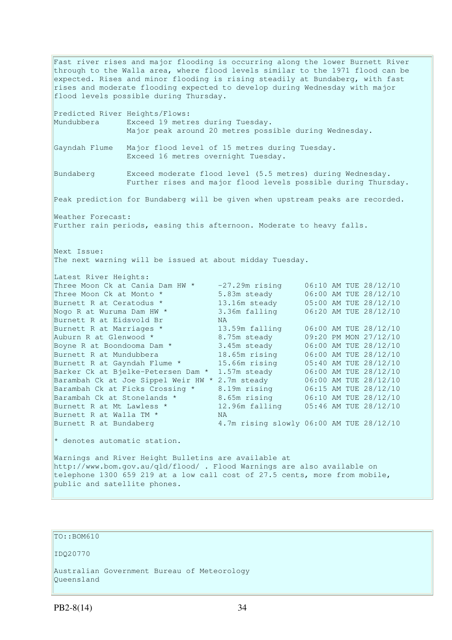Fast river rises and major flooding is occurring along the lower Burnett River through to the Walla area, where flood levels similar to the 1971 flood can be expected. Rises and minor flooding is rising steadily at Bundaberg, with fast rises and moderate flooding expected to develop during Wednesday with major flood levels possible during Thursday. Predicted River Heights/Flows: Mundubbera Exceed 19 metres during Tuesday. Major peak around 20 metres possible during Wednesday. Gayndah Flume Major flood level of 15 metres during Tuesday. Exceed 16 metres overnight Tuesday. Bundaberg Exceed moderate flood level (5.5 metres) during Wednesday. Further rises and major flood levels possible during Thursday. Peak prediction for Bundaberg will be given when upstream peaks are recorded. Weather Forecast: Further rain periods, easing this afternoon. Moderate to heavy falls. Next Issue: The next warning will be issued at about midday Tuesday. Latest River Heights: Three Moon Ck at Cania Dam HW \* -27.29m rising 06:10 AM TUE 28/12/10<br>
Three Moon Ck at Monto \* 5.83m steady 06:00 AM TUE 28/12/10<br>
Burnett R at Ceratodus \* 13.16m steady 05:00 AM TUE 28/12/10 Three Moon Ck at Monto  $*$  5.83m steady 06:00 AM TUE 28/12/10 Burnett R at Ceratodus \* 13.16m steady 05:00 AM TUE 28/12/10 Nogo R at Wuruma Dam HW  $^*$  3.36m falling  $06:20$  AM TUE 28/12/10 Nogo R at Wuruma Dam HW \* 3.3<br>Burnett R at Eidsvold Br MA<br>Burnett R at Marriages \* 13.<br>Auburn R at Glenwood \* 8.7 13.59m falling 06:00 AM TUE 28/12/10 Auburn R at Glenwood  $\star$  8.75m steady 09:20 PM MON 27/12/10 Boyne R at Boondooma Dam  $*$  3.45m steady 06:00 AM TUE 28/12/10 Burnett R at Mundubbera 18.65m rising 06:00 AM TUE 28/12/10 Burnett R at Gayndah Flume \* 15.66m rising 05:40 AM TUE 28/12/10 Barker Ck at Bjelke-Petersen Dam \* 1.57m steady 06:00 AM TUE 28/12/10 Barambah Ck at Joe Sippel Weir HW \* 2.7m steady 06:00 AM TUE 28/12/10<br>Barambah Ck at Ficks Crossing \* 8.19m rising 06:15 AM TUE 28/12/10 Barambah Ck at Ficks Crossing \* 8.19m rising 06:15 AM TUE 28/12/10 Barambah Ck at Stonelands \* 3.65m rising 06:10 AM TUE 28/12/10 Burnett R at Mt Lawless \* 12.96m falling 05:46 AM TUE 28/12/10 Burnett R at Walla TM \* NA Burnett R at Bundaberg 4.7m rising slowly 06:00 AM TUE 28/12/10  $*$  denotes automatic station.

Warnings and River Height Bulletins are available at http://www.bom.gov.au/qld/flood/ . Flood Warnings are also available on telephone 1300 659 219 at a low call cost of 27.5 cents, more from mobile, public and satellite phones.

TO::BOM610

IDQ20770

Australian Government Bureau of Meteorology Queensland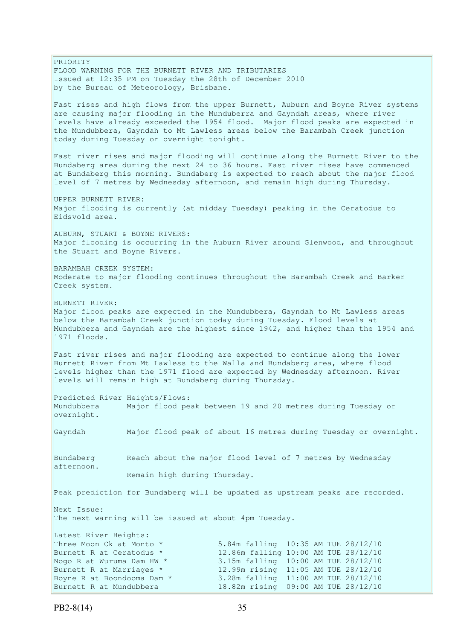PRIORITY FLOOD WARNING FOR THE BURNETT RIVER AND TRIBUTARIES Issued at 12:35 PM on Tuesday the 28th of December 2010 by the Bureau of Meteorology, Brisbane. Fast rises and high flows from the upper Burnett, Auburn and Boyne River systems are causing major flooding in the Munduberra and Gayndah areas, where river levels have already exceeded the 1954 flood. Major flood peaks are expected in the Mundubbera, Gayndah to Mt Lawless areas below the Barambah Creek junction today during Tuesday or overnight tonight. Fast river rises and major flooding will continue along the Burnett River to the Bundaberg area during the next 24 to 36 hours. Fast river rises have commenced at Bundaberg this morning. Bundaberg is expected to reach about the major flood level of 7 metres by Wednesday afternoon, and remain high during Thursday. UPPER BURNETT RIVER: Major flooding is currently (at midday Tuesday) peaking in the Ceratodus to Eidsvold area. AUBURN, STUART & BOYNE RIVERS: Major flooding is occurring in the Auburn River around Glenwood, and throughout the Stuart and Boyne Rivers. BARAMBAH CREEK SYSTEM: Moderate to major flooding continues throughout the Barambah Creek and Barker Creek system. BURNETT RIVER: Major flood peaks are expected in the Mundubbera, Gayndah to Mt Lawless areas below the Barambah Creek junction today during Tuesday. Flood levels at Mundubbera and Gayndah are the highest since 1942, and higher than the 1954 and 1971 floods. Fast river rises and major flooding are expected to continue along the lower Burnett River from Mt Lawless to the Walla and Bundaberg area, where flood levels higher than the 1971 flood are expected by Wednesday afternoon. River levels will remain high at Bundaberg during Thursday. Predicted River Heights/Flows: Mundubbera Major flood peak between 19 and 20 metres during Tuesday or overnight. Gayndah Major flood peak of about 16 metres during Tuesday or overnight. Bundaberg Reach about the major flood level of 7 metres by Wednesday afternoon. Remain high during Thursday. Peak prediction for Bundaberg will be updated as upstream peaks are recorded. Next Issue: The next warning will be issued at about 4pm Tuesday. Latest River Heights: Three Moon Ck at Monto  $*$  5.84m falling  $10:35$  AM TUE 28/12/10 Burnett R at Ceratodus \* 12.86m falling 10:00 AM TUE 28/12/10 Nogo R at Wuruma Dam HW \* 3.15m falling 10:00 AM TUE 28/12/10<br>Burnett R at Marriages \* 12.99m rising 11:05 AM TUE 28/12/10 12.99m rising 11:05 AM TUE 28/12/10 Boyne R at Boondooma Dam \* 3.28m falling 11:00 AM TUE 28/12/10 Burnett R at Mundubbera 18.82m rising 09:00 AM TUE 28/12/10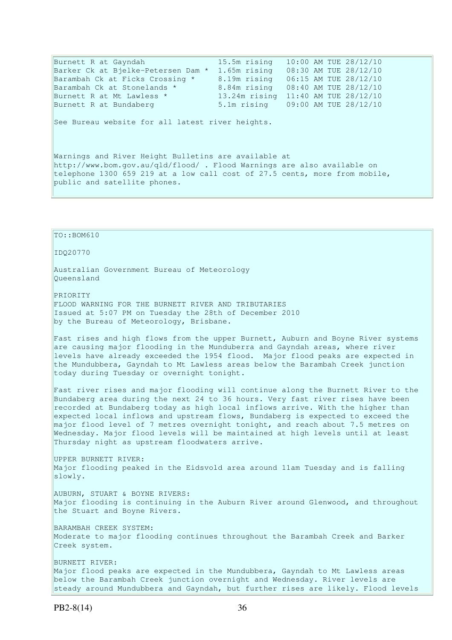| Burnett R at Gayndah                             | 15.5m rising 10:00 AM TUE 28/12/10 |  |                       |
|--------------------------------------------------|------------------------------------|--|-----------------------|
| Barker Ck at Bjelke-Petersen Dam * 1.65m rising  |                                    |  | 08:30 AM TUE 28/12/10 |
| Barambah Ck at Ficks Crossing *                  | 8.19m rising                       |  | 06:15 AM TUE 28/12/10 |
| Barambah Ck at Stonelands *                      | 8.84m rising                       |  | 08:40 AM TUE 28/12/10 |
| Burnett R at Mt Lawless *                        | 13.24m rising                      |  | 11:40 AM TUE 28/12/10 |
| Burnett R at Bundaberg                           | 5.1m rising                        |  | 09:00 AM TUE 28/12/10 |
| See Bureau website for all latest river heights. |                                    |  |                       |

Warnings and River Height Bulletins are available at http://www.bom.gov.au/qld/flood/ . Flood Warnings are also available on telephone 1300 659 219 at a low call cost of 27.5 cents, more from mobile, public and satellite phones.

TO::BOM610 IDQ20770 Australian Government Bureau of Meteorology Queensland PRIORITY FLOOD WARNING FOR THE BURNETT RIVER AND TRIBUTARIES Issued at 5:07 PM on Tuesday the 28th of December 2010 by the Bureau of Meteorology, Brisbane. Fast rises and high flows from the upper Burnett, Auburn and Boyne River systems are causing major flooding in the Munduberra and Gayndah areas, where river levels have already exceeded the 1954 flood. Major flood peaks are expected in the Mundubbera, Gayndah to Mt Lawless areas below the Barambah Creek junction today during Tuesday or overnight tonight. Fast river rises and major flooding will continue along the Burnett River to the Bundaberg area during the next 24 to 36 hours. Very fast river rises have been recorded at Bundaberg today as high local inflows arrive. With the higher than expected local inflows and upstream flows, Bundaberg is expected to exceed the major flood level of 7 metres overnight tonight, and reach about 7.5 metres on Wednesday. Major flood levels will be maintained at high levels until at least Thursday night as upstream floodwaters arrive. UPPER BURNETT RIVER: Major flooding peaked in the Eidsvold area around 11am Tuesday and is falling slowly. AUBURN, STUART & BOYNE RIVERS: Major flooding is continuing in the Auburn River around Glenwood, and throughout the Stuart and Boyne Rivers. BARAMBAH CREEK SYSTEM: Moderate to major flooding continues throughout the Barambah Creek and Barker Creek system. BURNETT RIVER: Major flood peaks are expected in the Mundubbera, Gayndah to Mt Lawless areas below the Barambah Creek junction overnight and Wednesday. River levels are steady around Mundubbera and Gayndah, but further rises are likely. Flood levels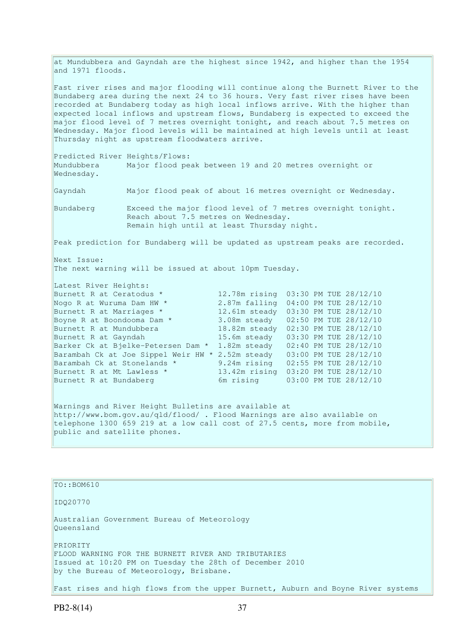at Mundubbera and Gayndah are the highest since 1942, and higher than the 1954 and 1971 floods.

Fast river rises and major flooding will continue along the Burnett River to the Bundaberg area during the next 24 to 36 hours. Very fast river rises have been recorded at Bundaberg today as high local inflows arrive. With the higher than expected local inflows and upstream flows, Bundaberg is expected to exceed the major flood level of 7 metres overnight tonight, and reach about 7.5 metres on Wednesday. Major flood levels will be maintained at high levels until at least Thursday night as upstream floodwaters arrive.

Predicted River Heights/Flows: Mundubbera Major flood peak between 19 and 20 metres overnight or Wednesday.

Gayndah Major flood peak of about 16 metres overnight or Wednesday.

Bundaberg Exceed the major flood level of 7 metres overnight tonight. Reach about 7.5 metres on Wednesday. Remain high until at least Thursday night.

Peak prediction for Bundaberg will be updated as upstream peaks are recorded.

Next Issue: The next warning will be issued at about 10pm Tuesday.

| Latest River Heights:                                |               |  |                       |
|------------------------------------------------------|---------------|--|-----------------------|
| Burnett R at Ceratodus *                             | 12.78m rising |  | 03:30 PM TUE 28/12/10 |
| Nogo R at Wuruma Dam HW *                            | 2.87m falling |  | 04:00 PM TUE 28/12/10 |
| Burnett R at Marriages *                             | 12.61m steady |  | 03:30 PM TUE 28/12/10 |
| Boyne R at Boondooma Dam *                           | 3.08m steady  |  | 02:50 PM TUE 28/12/10 |
| Burnett R at Mundubbera                              | 18.82m steady |  | 02:30 PM TUE 28/12/10 |
| Burnett R at Gayndah                                 | 15.6m steady  |  | 03:30 PM TUE 28/12/10 |
| Barker Ck at Bjelke-Petersen Dam *                   | 1.82m steady  |  | 02:40 PM TUE 28/12/10 |
| Barambah Ck at Joe Sippel Weir HW *                  | 2.52m steady  |  | 03:00 PM TUE 28/12/10 |
| Barambah Ck at Stonelands *                          | 9.24m rising  |  | 02:55 PM TUE 28/12/10 |
| Burnett R at Mt Lawless *                            | 13.42m rising |  | 03:20 PM TUE 28/12/10 |
| Burnett R at Bundaberg                               | 6m rising     |  | 03:00 PM TUE 28/12/10 |
|                                                      |               |  |                       |
| Warnings and River Height Bulletins are available at |               |  |                       |

http://www.bom.gov.au/qld/flood/ . Flood Warnings are also available on telephone 1300 659 219 at a low call cost of 27.5 cents, more from mobile, public and satellite phones.

TO::BOM610 IDQ20770 Australian Government Bureau of Meteorology Queensland PRIORITY FLOOD WARNING FOR THE BURNETT RIVER AND TRIBUTARIES Issued at 10:20 PM on Tuesday the 28th of December 2010 by the Bureau of Meteorology, Brisbane. Fast rises and high flows from the upper Burnett, Auburn and Boyne River systems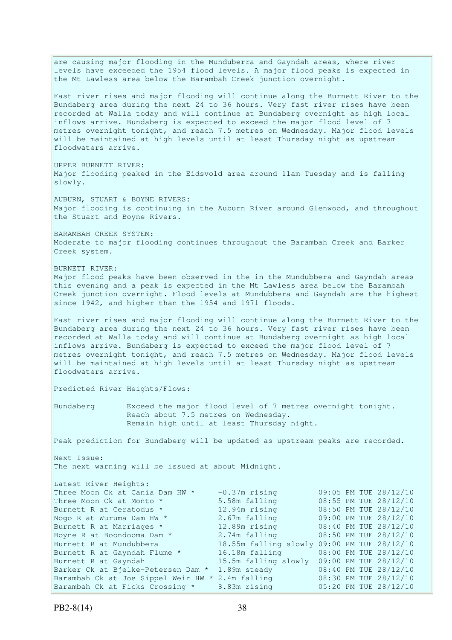are causing major flooding in the Munduberra and Gayndah areas, where river levels have exceeded the 1954 flood levels. A major flood peaks is expected in the Mt Lawless area below the Barambah Creek junction overnight. Fast river rises and major flooding will continue along the Burnett River to the Bundaberg area during the next 24 to 36 hours. Very fast river rises have been recorded at Walla today and will continue at Bundaberg overnight as high local inflows arrive. Bundaberg is expected to exceed the major flood level of 7 metres overnight tonight, and reach 7.5 metres on Wednesday. Major flood levels will be maintained at high levels until at least Thursday night as upstream floodwaters arrive. UPPER BURNETT RIVER: Major flooding peaked in the Eidsvold area around 11am Tuesday and is falling slowly. AUBURN, STUART & BOYNE RIVERS: Major flooding is continuing in the Auburn River around Glenwood, and throughout the Stuart and Boyne Rivers. BARAMBAH CREEK SYSTEM: Moderate to major flooding continues throughout the Barambah Creek and Barker Creek system. BURNETT RIVER: Major flood peaks have been observed in the in the Mundubbera and Gayndah areas this evening and a peak is expected in the Mt Lawless area below the Barambah Creek junction overnight. Flood levels at Mundubbera and Gayndah are the highest since 1942, and higher than the 1954 and 1971 floods. Fast river rises and major flooding will continue along the Burnett River to the Bundaberg area during the next 24 to 36 hours. Very fast river rises have been recorded at Walla today and will continue at Bundaberg overnight as high local inflows arrive. Bundaberg is expected to exceed the major flood level of 7 metres overnight tonight, and reach 7.5 metres on Wednesday. Major flood levels will be maintained at high levels until at least Thursday night as upstream floodwaters arrive. Predicted River Heights/Flows: Bundaberg Exceed the major flood level of 7 metres overnight tonight. Reach about 7.5 metres on Wednesday. Remain high until at least Thursday night. Peak prediction for Bundaberg will be updated as upstream peaks are recorded. Next Issue: The next warning will be issued at about Midnight. Latest River Heights: Three Moon Ck at Cania Dam HW  $*$  -0.37m rising 09:05 PM TUE 28/12/10 Three Moon Ck at Monto  $*$  5.58m falling 08:55 PM TUE 28/12/10 Burnett R at Ceratodus \* 12.94m rising 08:50 PM TUE 28/12/10 Nogo R at Wuruma Dam HW \* 2.67m falling 09:00 PM TUE 28/12/10<br>
Burnett R at Marriages \* 12.89m rising 08:40 PM TUE 28/12/10<br>
Boyne R at Boondooma Dam \* 2.74m falling 08:50 PM TUE 28/12/10 Burnett R at Marriages \* 12.89m rising 08:40 PM TUE 28/12/10 Boyne R at Boondooma Dam  $*$  2.74m falling  $08:50$  PM TUE 28/12/10 Burnett R at Mundubbera 18.55m falling slowly 09:00 PM TUE 28/12/10 Burnett R at Gayndah Flume \* 16.18m falling 08:00 PM TUE 28/12/10 Burnett R at Gayndah 15.5m falling slowly 09:00 PM TUE 28/12/10 Barker Ck at Bjelke-Petersen Dam \* 1.89m steady 08:40 PM TUE 28/12/10 Barambah Ck at Joe Sippel Weir HW \* 2.4m falling 08:30 PM TUE 28/12/10 Barambah Ck at Ficks Crossing \* 8.83m rising 05:20 PM TUE 28/12/10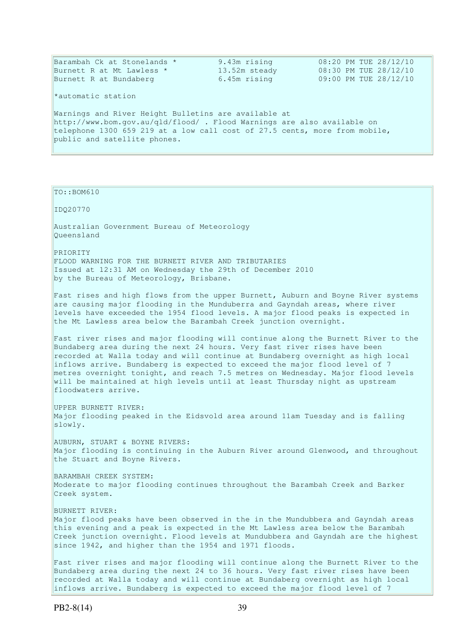| Barambah Ck at Stonelands *                                                | 9.43m rising  | 08:20 PM TUE 28/12/10 |
|----------------------------------------------------------------------------|---------------|-----------------------|
| Burnett R at Mt Lawless *                                                  | 13.52m steady | 08:30 PM TUE 28/12/10 |
| Burnett R at Bundaberg                                                     | 6.45m rising  | 09:00 PM TUE 28/12/10 |
| *automatic station                                                         |               |                       |
| Warnings and River Height Bulletins are available at                       |               |                       |
| http://www.bom.gov.au/qld/flood/ . Flood Warnings are also available on    |               |                       |
| telephone 1300 659 219 at a low call cost of 27.5 cents, more from mobile, |               |                       |
| public and satellite phones.                                               |               |                       |

TO::BOM610

IDQ20770

Australian Government Bureau of Meteorology Queensland

PRIORITY FLOOD WARNING FOR THE BURNETT RIVER AND TRIBUTARIES Issued at 12:31 AM on Wednesday the 29th of December 2010 by the Bureau of Meteorology, Brisbane.

Fast rises and high flows from the upper Burnett, Auburn and Boyne River systems are causing major flooding in the Munduberra and Gayndah areas, where river levels have exceeded the 1954 flood levels. A major flood peaks is expected in the Mt Lawless area below the Barambah Creek junction overnight.

Fast river rises and major flooding will continue along the Burnett River to the Bundaberg area during the next 24 hours. Very fast river rises have been recorded at Walla today and will continue at Bundaberg overnight as high local inflows arrive. Bundaberg is expected to exceed the major flood level of 7 metres overnight tonight, and reach 7.5 metres on Wednesday. Major flood levels will be maintained at high levels until at least Thursday night as upstream floodwaters arrive.

UPPER BURNETT RIVER: Major flooding peaked in the Eidsvold area around 11am Tuesday and is falling slowly.

AUBURN, STUART & BOYNE RIVERS: Major flooding is continuing in the Auburn River around Glenwood, and throughout the Stuart and Boyne Rivers.

BARAMBAH CREEK SYSTEM: Moderate to major flooding continues throughout the Barambah Creek and Barker Creek system.

BURNETT RIVER: Major flood peaks have been observed in the in the Mundubbera and Gayndah areas this evening and a peak is expected in the Mt Lawless area below the Barambah Creek junction overnight. Flood levels at Mundubbera and Gayndah are the highest since 1942, and higher than the 1954 and 1971 floods.

Fast river rises and major flooding will continue along the Burnett River to the Bundaberg area during the next 24 to 36 hours. Very fast river rises have been recorded at Walla today and will continue at Bundaberg overnight as high local inflows arrive. Bundaberg is expected to exceed the major flood level of 7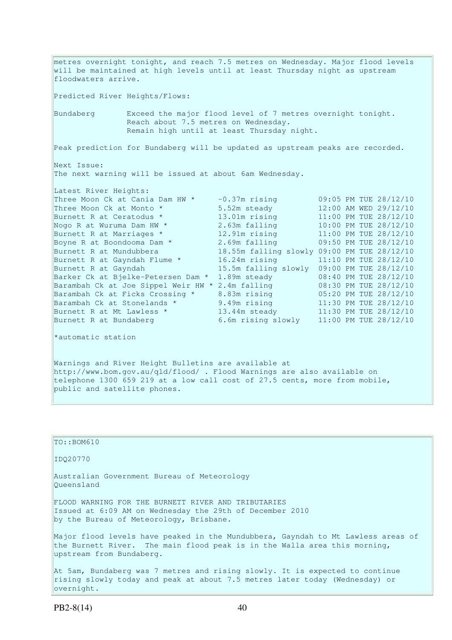metres overnight tonight, and reach 7.5 metres on Wednesday. Major flood levels will be maintained at high levels until at least Thursday night as upstream floodwaters arrive. Predicted River Heights/Flows: Bundaberg Exceed the major flood level of 7 metres overnight tonight. Reach about 7.5 metres on Wednesday. Remain high until at least Thursday night. Peak prediction for Bundaberg will be updated as upstream peaks are recorded. Next Issue: The next warning will be issued at about 6am Wednesday. Latest River Heights: Three Moon Ck at Cania Dam HW \*  $-0.37$ m rising 09:05 PM TUE 28/12/10<br>Three Moon Ck at Monto \* 5.52m steady 12:00 AM WED 29/12/10 Three Moon Ck at Monto  $*$  5.52m steady 12:00 AM WED 29/12/10 Burnett R at Ceratodus \* 13.01m rising 11:00 PM TUE 28/12/10 Nogo R at Wuruma Dam HW  $^{\star}$  2.63m falling 10:00 PM TUE 28/12/10 Burnett R at Marriages \* 12.91m rising 11:00 PM TUE 28/12/10 Boyne R at Boondooma Dam \* 2.69m falling 09:50 PM TUE 28/12/10 Burnett R at Mundubbera 18.55m falling slowly 09:00 PM TUE 28/12/10 Burnett R at Mundubbera<br>Burnett R at Gayndah Flume \* 16.24m rising 11:10 PM TUE 28/12/10<br>Rurnett R at Gayndah 15.5m falling slowly 09:00 PM TUE 28/12/10 Burnett R at Gayndah 15.5m falling slowly 09:00 PM TUE 28/12/10 Barker Ck at Bjelke-Petersen Dam \* 1.89m steady 08:40 PM TUE 28/12/10 Barambah Ck at Joe Sippel Weir HW \* 2.4m falling 08:30 PM TUE 28/12/10 Barambah Ck at Ficks Crossing \* 8.83m rising 05:20 PM TUE 28/12/10 Barambah Ck at Stonelands \* 9.49m rising 11:30 PM TUE 28/12/10 Burnett R at Mt Lawless  $\star$  13.44m steady 11:30 PM TUE 28/12/10 Burnett R at Bundaberg 6.6m rising slowly 11:00 PM TUE 28/12/10 \*automatic station

Warnings and River Height Bulletins are available at http://www.bom.gov.au/qld/flood/ . Flood Warnings are also available on telephone 1300 659 219 at a low call cost of 27.5 cents, more from mobile, public and satellite phones.

 $\vert$ TO::BOM610 IDQ20770 Australian Government Bureau of Meteorology Queensland FLOOD WARNING FOR THE BURNETT RIVER AND TRIBUTARIES Issued at 6:09 AM on Wednesday the 29th of December 2010 by the Bureau of Meteorology, Brisbane. Major flood levels have peaked in the Mundubbera, Gayndah to Mt Lawless areas of the Burnett River. The main flood peak is in the Walla area this morning, upstream from Bundaberg. At 5am, Bundaberg was 7 metres and rising slowly. It is expected to continue rising slowly today and peak at about 7.5 metres later today (Wednesday) or

overnight.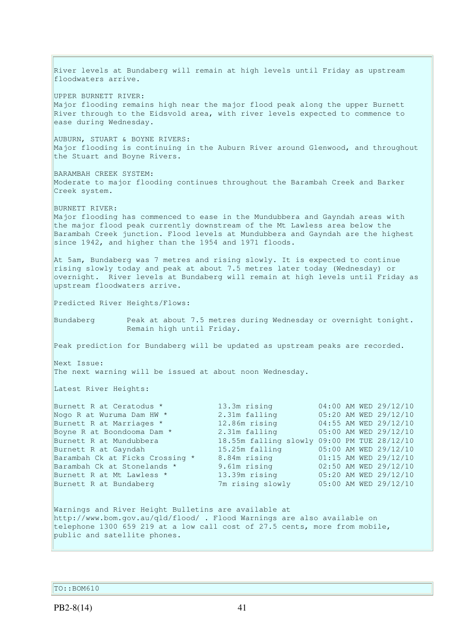River levels at Bundaberg will remain at high levels until Friday as upstream floodwaters arrive. UPPER BURNETT RIVER: Major flooding remains high near the major flood peak along the upper Burnett River through to the Eidsvold area, with river levels expected to commence to ease during Wednesday. AUBURN, STUART & BOYNE RIVERS: Major flooding is continuing in the Auburn River around Glenwood, and throughout the Stuart and Boyne Rivers. BARAMBAH CREEK SYSTEM: Moderate to major flooding continues throughout the Barambah Creek and Barker Creek system. BURNETT RIVER: Major flooding has commenced to ease in the Mundubbera and Gayndah areas with the major flood peak currently downstream of the Mt Lawless area below the Barambah Creek junction. Flood levels at Mundubbera and Gayndah are the highest since 1942, and higher than the 1954 and 1971 floods. At 5am, Bundaberg was 7 metres and rising slowly. It is expected to continue rising slowly today and peak at about 7.5 metres later today (Wednesday) or overnight. River levels at Bundaberg will remain at high levels until Friday as upstream floodwaters arrive. Predicted River Heights/Flows: Bundaberg Peak at about 7.5 metres during Wednesday or overnight tonight. Remain high until Friday. Peak prediction for Bundaberg will be updated as upstream peaks are recorded. Next Issue: The next warning will be issued at about noon Wednesday. Latest River Heights: Burnett R at Ceratodus \* 13.3m rising 04:00 AM WED 29/12/10 Nogo R at Wuruma Dam HW  $\star$  2.31m falling 05:20 AM WED 29/12/10 Burnett R at Marriages \* 12.86m rising 04:55 AM WED 29/12/10 Boyne R at Boondooma Dam \* 2.31m falling 05:00 AM WED 29/12/10 Burnett R at Mundubbera 18.55m falling slowly 09:00 PM TUE 28/12/10 Burnett R at Gayndah 15.25m falling 05:00 AM WED 29/12/10 Barambah Ck at Ficks Crossing \* 8.84m rising 01:15 AM WED 29/12/10 Barambah Ck at Stonelands \* 3.61m rising 02:50 AM WED 29/12/10 Burnett R at Mt Lawless \* 13.39m rising 05:20 AM WED 29/12/10 Burnett R at Bundaberg 7m rising slowly 05:00 AM WED 29/12/10 Warnings and River Height Bulletins are available at http://www.bom.gov.au/qld/flood/ . Flood Warnings are also available on telephone 1300 659 219 at a low call cost of 27.5 cents, more from mobile, public and satellite phones.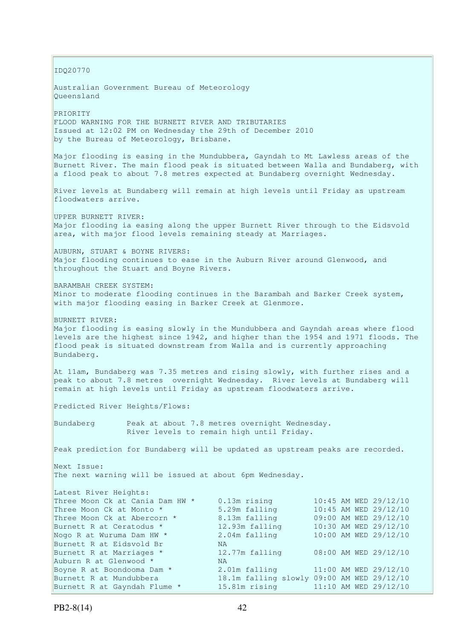IDQ20770 Australian Government Bureau of Meteorology Queensland PRIORITY FLOOD WARNING FOR THE BURNETT RIVER AND TRIBUTARIES Issued at 12:02 PM on Wednesday the 29th of December 2010 by the Bureau of Meteorology, Brisbane. Major flooding is easing in the Mundubbera, Gayndah to Mt Lawless areas of the Burnett River. The main flood peak is situated between Walla and Bundaberg, with a flood peak to about 7.8 metres expected at Bundaberg overnight Wednesday. River levels at Bundaberg will remain at high levels until Friday as upstream floodwaters arrive. UPPER BURNETT RIVER: Major flooding ia easing along the upper Burnett River through to the Eidsvold area, with major flood levels remaining steady at Marriages. AUBURN, STUART & BOYNE RIVERS: Major flooding continues to ease in the Auburn River around Glenwood, and throughout the Stuart and Boyne Rivers. BARAMBAH CREEK SYSTEM: Minor to moderate flooding continues in the Barambah and Barker Creek system, with major flooding easing in Barker Creek at Glenmore. BURNETT RIVER: Major flooding is easing slowly in the Mundubbera and Gayndah areas where flood levels are the highest since 1942, and higher than the 1954 and 1971 floods. The flood peak is situated downstream from Walla and is currently approaching Bundaberg. At 11am, Bundaberg was 7.35 metres and rising slowly, with further rises and a peak to about 7.8 metres overnight Wednesday. River levels at Bundaberg will remain at high levels until Friday as upstream floodwaters arrive. Predicted River Heights/Flows: Bundaberg Peak at about 7.8 metres overnight Wednesday. River levels to remain high until Friday. Peak prediction for Bundaberg will be updated as upstream peaks are recorded. Next Issue: The next warning will be issued at about 6pm Wednesday. Latest River Heights: Three Moon Ck at Cania Dam HW  $*$  0.13m rising 10:45 AM WED 29/12/10 Three Moon Ck at Monto \* 5.29m falling 10:45 AM WED 29/12/10 Three Moon Ck at Abercorn \* 8.13m falling 09:00 AM WED 29/12/10 Burnett R at Ceratodus \* 12.93m falling 10:30 AM WED 29/12/10 Nogo R at Wuruma Dam HW \* 2.04m falling 10:00 AM WED 29/12/10 Burnett R at Eidsvold Br MA Burnett R at Marriages \* 12.77m falling 08:00 AM WED 29/12/10 Auburn R at Glenwood \* NA Boyne R at Boondooma Dam \* 2.01m falling 11:00 AM WED 29/12/10<br>Burnett R at Mundubbera 18.1m falling slowly 09:00 AM WED 29/12/10 Burnett R at Mundubbera 18.1m falling slowly 09:00 AM WED 29/12/10 Burnett R at Gayndah Flume \* 15.81m rising 11:10 AM WED 29/12/10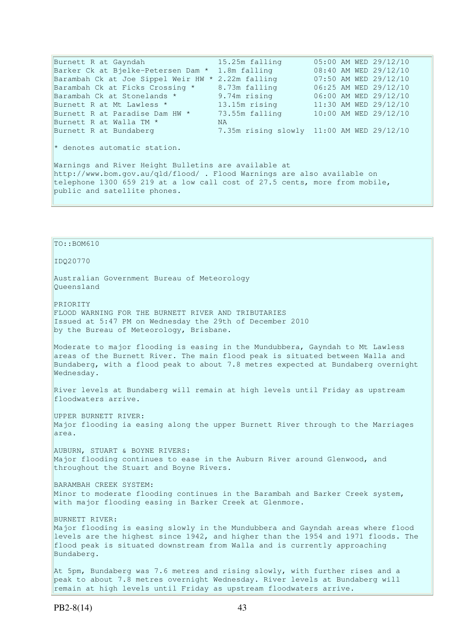Burnett R at Gayndah 15.25m falling 05:00 AM WED 29/12/10 Barker Ck at Bjelke-Petersen Dam \* 1.8m falling 08:40 AM WED 29/12/10 Barambah Ck at Joe Sippel Weir HW \* 2.22m falling 07:50 AM WED 29/12/10 Barambah Ck at Ficks Crossing \* 8.73m falling 06:25 AM WED 29/12/10 Barambah Ck at Stonelands \* 9.74m rising 06:00 AM WED 29/12/10 Burnett R at Mt Lawless \* 13.15m rising 11:30 AM WED 29/12/10 Burnett R at Paradise Dam HW \* 73.55m falling 10:00 AM WED 29/12/10 Burnett R at Walla TM \* WA Burnett R at Bundaberg 7.35m rising slowly 11:00 AM WED 29/12/10 \* denotes automatic station. Warnings and River Height Bulletins are available at http://www.bom.gov.au/qld/flood/ . Flood Warnings are also available on telephone 1300 659 219 at a low call cost of 27.5 cents, more from mobile, public and satellite phones.

TO::BOM610 IDQ20770 Australian Government Bureau of Meteorology Queensland PRIORITY FLOOD WARNING FOR THE BURNETT RIVER AND TRIBUTARIES Issued at 5:47 PM on Wednesday the 29th of December 2010 by the Bureau of Meteorology, Brisbane. Moderate to major flooding is easing in the Mundubbera, Gayndah to Mt Lawless areas of the Burnett River. The main flood peak is situated between Walla and Bundaberg, with a flood peak to about 7.8 metres expected at Bundaberg overnight Wednesday. River levels at Bundaberg will remain at high levels until Friday as upstream floodwaters arrive. UPPER BURNETT RIVER: Major flooding ia easing along the upper Burnett River through to the Marriages area. AUBURN, STUART & BOYNE RIVERS: Major flooding continues to ease in the Auburn River around Glenwood, and throughout the Stuart and Boyne Rivers. BARAMBAH CREEK SYSTEM: Minor to moderate flooding continues in the Barambah and Barker Creek system, with major flooding easing in Barker Creek at Glenmore. BURNETT RIVER: Major flooding is easing slowly in the Mundubbera and Gayndah areas where flood levels are the highest since 1942, and higher than the 1954 and 1971 floods. The flood peak is situated downstream from Walla and is currently approaching Bundaberg. At 5pm, Bundaberg was 7.6 metres and rising slowly, with further rises and a peak to about 7.8 metres overnight Wednesday. River levels at Bundaberg will remain at high levels until Friday as upstream floodwaters arrive.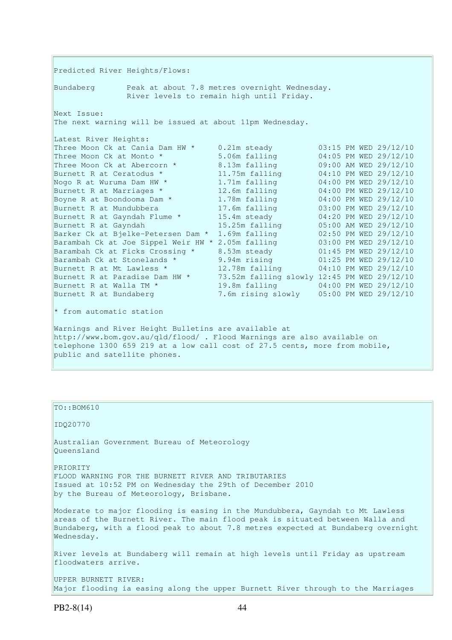Predicted River Heights/Flows: Bundaberg Peak at about 7.8 metres overnight Wednesday. River levels to remain high until Friday. Next Issue: The next warning will be issued at about 11pm Wednesday. Latest River Heights: Three Moon Ck at Cania Dam HW \* 0.21m steady 03:15 PM WED 29/12/10 Three Moon Ck at Monto \* 5.06m falling 04:05 PM WED 29/12/10<br>
Three Moon Ck at Abercorn \* 8.13m falling 09:00 AM WED 29/12/10<br>
Burnett R at Ceratodus \* 11.75m falling 04:00 PM WED 29/12/10<br>
Nogo R at Wuruma Dam HW \* 1.71m Three Moon Ck at Abercorn \* 8.13m falling 09:00 AM WED 29/12/10 Burnett R at Ceratodus \* 11.75m falling 04:10 PM WED 29/12/10 Nogo R at Wuruma Dam HW  $^{\star}$   $1.71$ m falling  $04:00$  PM WED 29/12/10 Burnett R at Marriages \* 12.6m falling 04:00 PM WED 29/12/10 Boyne R at Boondooma Dam \* 1.78m falling 04:00 PM WED 29/12/10 Burnett R at Mundubbera 17.6m falling 03:00 PM WED 29/12/10 Burnett R at Gayndah Flume \* 15.4m steady 04:20 PM WED 29/12/10 Burnett R at Gayndah 15.25m falling 05:00 AM WED 29/12/10 Barker Ck at Bjelke-Petersen Dam \* 1.69m falling 02:50 PM WED 29/12/10 Barambah Ck at Joe Sippel Weir HW \* 2.05m falling 03:00 PM WED 29/12/10 Barambah Ck at Ficks Crossing \* 8.53m steady 01:45 PM WED 29/12/10 Barambah Ck at Stonelands \* 9.94m rising 01:25 PM WED 29/12/10 Burnett R at Mt Lawless \* 12.78m falling 04:10 PM WED 29/12/10 Burnett R at Paradise Dam HW \* 73.52m falling slowly 12:45 PM WED 29/12/10 Burnett R at Walla TM \* 19.8m falling 04:00 PM WED 29/12/10 Burnett R at Bundaberg 7.6m rising slowly 05:00 PM WED 29/12/10  $*$  from automatic station Warnings and River Height Bulletins are available at http://www.bom.gov.au/qld/flood/ . Flood Warnings are also available on telephone 1300 659 219 at a low call cost of 27.5 cents, more from mobile, public and satellite phones.

TO::BOM610 IDQ20770 Australian Government Bureau of Meteorology Queensland PRIORITY FLOOD WARNING FOR THE BURNETT RIVER AND TRIBUTARIES Issued at 10:52 PM on Wednesday the 29th of December 2010 by the Bureau of Meteorology, Brisbane. Moderate to major flooding is easing in the Mundubbera, Gayndah to Mt Lawless areas of the Burnett River. The main flood peak is situated between Walla and Bundaberg, with a flood peak to about 7.8 metres expected at Bundaberg overnight Wednesday. River levels at Bundaberg will remain at high levels until Friday as upstream floodwaters arrive. UPPER BURNETT RIVER: Major flooding ia easing along the upper Burnett River through to the Marriages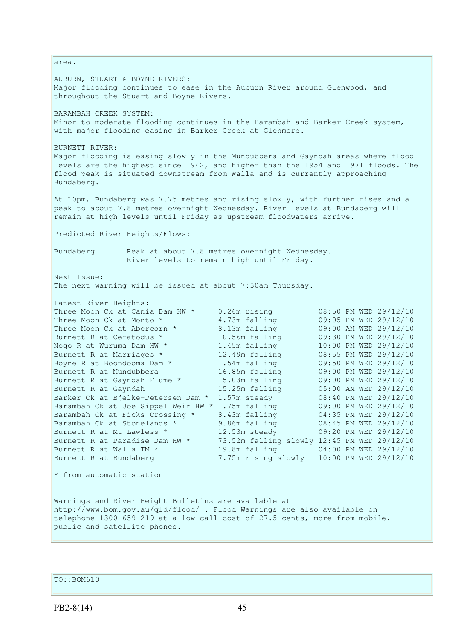area. AUBURN, STUART & BOYNE RIVERS: Major flooding continues to ease in the Auburn River around Glenwood, and throughout the Stuart and Boyne Rivers. BARAMBAH CREEK SYSTEM: Minor to moderate flooding continues in the Barambah and Barker Creek system, with major flooding easing in Barker Creek at Glenmore. BURNETT RIVER: Major flooding is easing slowly in the Mundubbera and Gayndah areas where flood levels are the highest since 1942, and higher than the 1954 and 1971 floods. The flood peak is situated downstream from Walla and is currently approaching Bundaberg. At 10pm, Bundaberg was 7.75 metres and rising slowly, with further rises and a peak to about 7.8 metres overnight Wednesday. River levels at Bundaberg will remain at high levels until Friday as upstream floodwaters arrive. Predicted River Heights/Flows: Bundaberg Peak at about 7.8 metres overnight Wednesday. River levels to remain high until Friday. Next Issue: The next warning will be issued at about 7:30am Thursday. Latest River Heights: Three Moon Ck at Cania Dam HW \* 0.26m rising 08:50 PM WED 29/12/10 Three Moon Ck at Monto  $*$  4.73m falling 09:05 PM WED 29/12/10 Three Moon Ck at Abercorn \* 8.13m falling 09:00 AM WED 29/12/10 Burnett R at Ceratodus \* 10.56m falling 09:30 PM WED 29/12/10 Nogo R at Wuruma Dam HW  $^{\star}$   $1.45$ m falling  $10:00$  PM WED 29/12/10 Burnett R at Marriages \* 12.49m falling 08:55 PM WED 29/12/10 Boyne R at Boondooma Dam \* 1.54m falling 09:50 PM WED 29/12/10 Burnett R at Mundubbera 16.85m falling 09:00 PM WED 29/12/10 Burnett R at Gayndah Flume \* 15.03m falling 09:00 PM WED 29/12/10 Burnett R at Gayndah 15.25m falling 05:00 AM WED 29/12/10 Barker Ck at Bjelke-Petersen Dam \* 1.57m steady 08:40 PM WED 29/12/10 Barambah Ck at Joe Sippel Weir HW \* 1.75m falling 09:00 PM WED 29/12/10 Barambah Ck at Ficks Crossing \* 8.43m falling 04:35 PM WED 29/12/10 Barambah Ck at Stonelands \* 9.86m falling 08:45 PM WED 29/12/10 Burnett R at Mt Lawless \* 12.53m steady 09:20 PM WED 29/12/10 Burnett R at Paradise Dam HW  $*$  73.52m falling slowly 12:45 PM WED 29/12/10 Burnett R at Walla TM \* 19.8m falling 04:00 PM WED 29/12/10 Burnett R at Bundaberg 7.75m rising slowly 10:00 PM WED 29/12/10 \* from automatic station Warnings and River Height Bulletins are available at http://www.bom.gov.au/qld/flood/ . Flood Warnings are also available on telephone 1300 659 219 at a low call cost of 27.5 cents, more from mobile, public and satellite phones.

TO::BOM610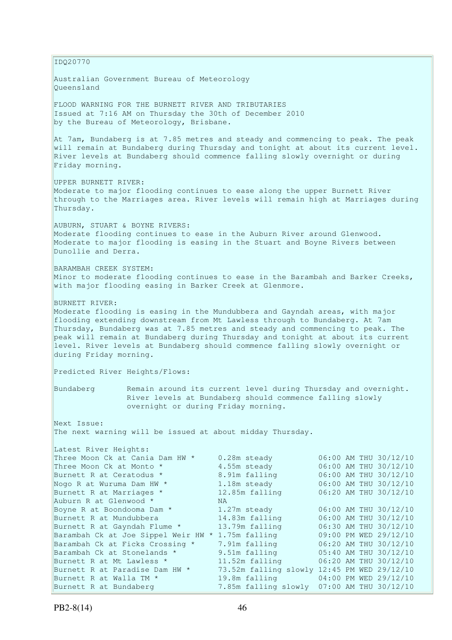IDQ20770 Australian Government Bureau of Meteorology Queensland FLOOD WARNING FOR THE BURNETT RIVER AND TRIBUTARIES Issued at 7:16 AM on Thursday the 30th of December 2010 by the Bureau of Meteorology, Brisbane. At 7am, Bundaberg is at 7.85 metres and steady and commencing to peak. The peak will remain at Bundaberg during Thursday and tonight at about its current level. River levels at Bundaberg should commence falling slowly overnight or during Friday morning. UPPER BURNETT RIVER: Moderate to major flooding continues to ease along the upper Burnett River through to the Marriages area. River levels will remain high at Marriages during Thursday. AUBURN, STUART & BOYNE RIVERS: Moderate flooding continues to ease in the Auburn River around Glenwood. Moderate to major flooding is easing in the Stuart and Boyne Rivers between Dunollie and Derra. BARAMBAH CREEK SYSTEM: Minor to moderate flooding continues to ease in the Barambah and Barker Creeks, with major flooding easing in Barker Creek at Glenmore. BURNETT RIVER: Moderate flooding is easing in the Mundubbera and Gayndah areas, with major flooding extending downstream from Mt Lawless through to Bundaberg. At 7am Thursday, Bundaberg was at 7.85 metres and steady and commencing to peak. The peak will remain at Bundaberg during Thursday and tonight at about its current level. River levels at Bundaberg should commence falling slowly overnight or during Friday morning. Predicted River Heights/Flows: Bundaberg Remain around its current level during Thursday and overnight. River levels at Bundaberg should commence falling slowly overnight or during Friday morning. Next Issue: The next warning will be issued at about midday Thursday. Latest River Heights: Three Moon Ck at Cania Dam HW  $*$  0.28m steady 06:00 AM THU 30/12/10 Three Moon Ck at Monto  $*$  4.55m steady 06:00 AM THU 30/12/10 Burnett R at Ceratodus \* 3.91m falling 06:00 AM THU 30/12/10 Nogo R at Wuruma Dam HW  $^{\star}$   $1.18$ m steady  $06:00$  AM THU 30/12/10 Burnett R at Marriages \* 12.85m falling 06:20 AM THU 30/12/10 Auburn R at Glenwood \* NA Boyne R at Boondooma Dam  $*$   $1.27$ m steady  $06:00$  AM THU 30/12/10 Burnett R at Mundubbera 14.83m falling 06:00 AM THU 30/12/10 Burnett R at Gayndah Flume \* 13.79m falling 06:30 AM THU 30/12/10 Barambah Ck at Joe Sippel Weir HW \* 1.75m falling 09:00 PM WED 29/12/10 Barambah Ck at Ficks Crossing \* 7.91m falling 06:20 AM THU 30/12/10 Barambah Ck at Stonelands \* 9.51m falling 05:40 AM THU 30/12/10 Burnett R at Mt Lawless \* 11.52m falling 06:20 AM THU 30/12/10 Burnett R at Paradise Dam HW \*  $73.52$ m falling slowly 12:45 PM WED 29/12/10 Burnett R at Walla TM \* 19.8m falling 04:00 PM WED 29/12/10 Burnett R at Bundaberg 7.85m falling slowly 07:00 AM THU 30/12/10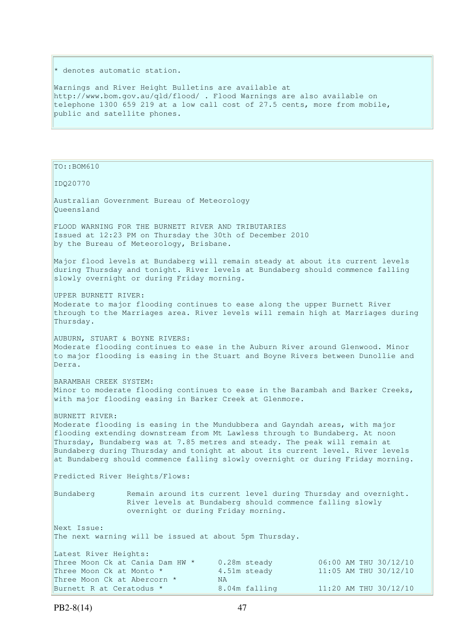\* denotes automatic station.

Warnings and River Height Bulletins are available at http://www.bom.gov.au/qld/flood/ . Flood Warnings are also available on telephone 1300 659 219 at a low call cost of 27.5 cents, more from mobile, public and satellite phones.

TO::BOM610 IDQ20770 Australian Government Bureau of Meteorology Queensland FLOOD WARNING FOR THE BURNETT RIVER AND TRIBUTARIES Issued at 12:23 PM on Thursday the 30th of December 2010 by the Bureau of Meteorology, Brisbane. Major flood levels at Bundaberg will remain steady at about its current levels during Thursday and tonight. River levels at Bundaberg should commence falling slowly overnight or during Friday morning. UPPER BURNETT RIVER: Moderate to major flooding continues to ease along the upper Burnett River through to the Marriages area. River levels will remain high at Marriages during Thursday. AUBURN, STUART & BOYNE RIVERS: Moderate flooding continues to ease in the Auburn River around Glenwood. Minor to major flooding is easing in the Stuart and Boyne Rivers between Dunollie and Derra. BARAMBAH CREEK SYSTEM: Minor to moderate flooding continues to ease in the Barambah and Barker Creeks, with major flooding easing in Barker Creek at Glenmore. BURNETT RIVER: Moderate flooding is easing in the Mundubbera and Gayndah areas, with major flooding extending downstream from Mt Lawless through to Bundaberg. At noon Thursday, Bundaberg was at 7.85 metres and steady. The peak will remain at Bundaberg during Thursday and tonight at about its current level. River levels at Bundaberg should commence falling slowly overnight or during Friday morning. Predicted River Heights/Flows: Bundaberg Remain around its current level during Thursday and overnight. River levels at Bundaberg should commence falling slowly overnight or during Friday morning. Next Issue: The next warning will be issued at about 5pm Thursday. Latest River Heights: Three Moon Ck at Cania Dam HW \*  $0.28$ m steady  $0.6:00$  AM THU 30/12/10<br>Three Moon Ck at Monto \*  $4.51$ m steady  $11:05$  AM THU 30/12/10 4.51m steady 11:05 AM THU 30/12/10 Three Moon Ck at Abercorn \* NA Burnett R at Ceratodus \* 8.04m falling 11:20 AM THU 30/12/10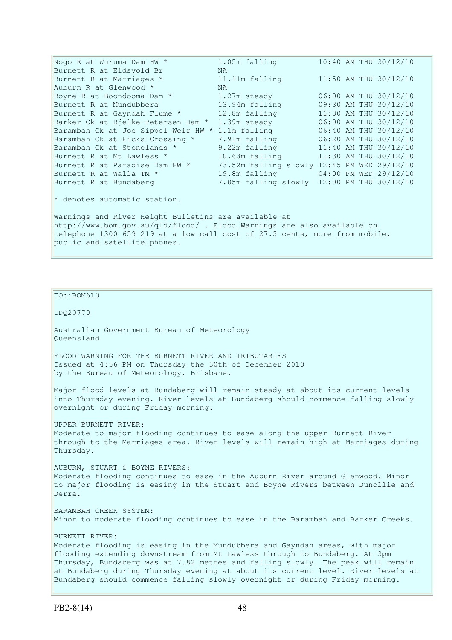Nogo R at Wuruma Dam HW  $\star$  1.05m falling 10:40 AM THU 30/12/10 Burnett R at Eidsvold Br MA Burnett R at Marriages \* 11.11m falling 11:50 AM THU 30/12/10 Auburn R at Glenwood \* NA Boyne R at Boondooma Dam  $*$  1.27m steady 06:00 AM THU 30/12/10 Burnett R at Mundubbera 13.94m falling 09:30 AM THU 30/12/10 Burnett R at Gayndah Flume \* 12.8m falling 11:30 AM THU 30/12/10 Barker Ck at Bjelke-Petersen Dam \* 1.39m steady 06:00 AM THU 30/12/10 Barambah Ck at Joe Sippel Weir HW \* 1.1m falling 06:40 AM THU 30/12/10 Barambah Ck at Ficks Crossing \* 7.91m falling 06:20 AM THU 30/12/10 Barambah Ck at Stonelands \* 9.22m falling 11:40 AM THU 30/12/10 Burnett R at Mt Lawless \* 10.63m falling 11:30 AM THU 30/12/10 Burnett R at Paradise Dam HW  $*$  73.52m falling slowly 12:45 PM WED 29/12/10 Burnett R at Walla TM \* 19.8m falling 04:00 PM WED 29/12/10 7.85m falling slowly 12:00 PM THU 30/12/10 Burnett R at Paraulou Dun<br>Burnett R at Walla TM \*  $*$  denotes automatic station. Warnings and River Height Bulletins are available at http://www.bom.gov.au/qld/flood/ . Flood Warnings are also available on telephone 1300 659 219 at a low call cost of 27.5 cents, more from mobile, public and satellite phones.

TO::BOM610

IDQ20770

Australian Government Bureau of Meteorology Queensland

FLOOD WARNING FOR THE BURNETT RIVER AND TRIBUTARIES Issued at 4:56 PM on Thursday the 30th of December 2010 by the Bureau of Meteorology, Brisbane.

Major flood levels at Bundaberg will remain steady at about its current levels into Thursday evening. River levels at Bundaberg should commence falling slowly overnight or during Friday morning.

UPPER BURNETT RIVER: Moderate to major flooding continues to ease along the upper Burnett River through to the Marriages area. River levels will remain high at Marriages during Thursday.

AUBURN, STUART & BOYNE RIVERS: Moderate flooding continues to ease in the Auburn River around Glenwood. Minor to major flooding is easing in the Stuart and Boyne Rivers between Dunollie and Derra.

BARAMBAH CREEK SYSTEM: Minor to moderate flooding continues to ease in the Barambah and Barker Creeks.

BURNETT RIVER: Moderate flooding is easing in the Mundubbera and Gayndah areas, with major flooding extending downstream from Mt Lawless through to Bundaberg. At 3pm Thursday, Bundaberg was at 7.82 metres and falling slowly. The peak will remain at Bundaberg during Thursday evening at about its current level. River levels at Bundaberg should commence falling slowly overnight or during Friday morning.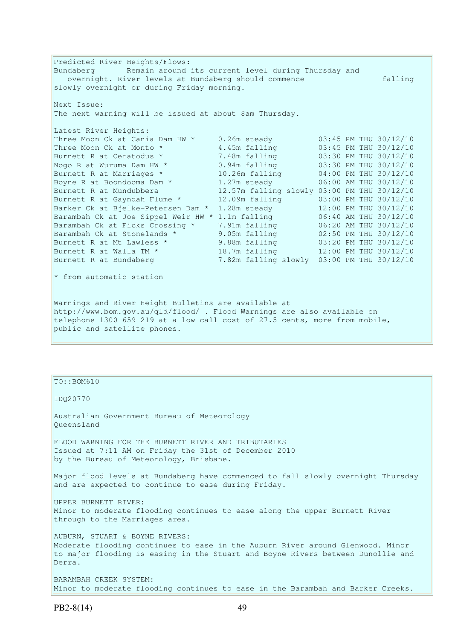Predicted River Heights/Flows: Bundaberg Remain around its current level during Thursday and overnight. River levels at Bundaberg should commence falling slowly overnight or during Friday morning. Next Issue: The next warning will be issued at about 8am Thursday. Latest River Heights: Three Moon Ck at Cania Dam HW  $*$  0.26m steady 03:45 PM THU 30/12/10 Three Moon Ck at Monto  $*$  4.45m falling 03:45 PM THU 30/12/10 Burnett R at Ceratodus \* 7.48m falling 03:30 PM THU 30/12/10 Nogo R at Wuruma Dam HW  $\star$  0.94m falling 03:30 PM THU 30/12/10 Burnett R at Marriages \* 10.26m falling 04:00 PM THU 30/12/10 Boyne R at Boondooma Dam  $*$   $1.27$ m steady  $06:00$  AM THU 30/12/10 Burnett R at Mundubbera 12.57m falling slowly 03:00 PM THU 30/12/10 Burnett R at Gayndah Flume \* 12.09m falling 03:00 PM THU 30/12/10 Barker Ck at Bjelke-Petersen Dam \* 1.28m steady 12:00 PM THU 30/12/10 Barambah Ck at Joe Sippel Weir HW \* 1.1m falling 06:40 AM THU 30/12/10 Barambah Ck at Ficks Crossing \* 7.91m falling 06:20 AM THU 30/12/10 Barambah Ck at Stonelands \* 9.05m falling 02:50 PM THU 30/12/10 Burnett R at Mt Lawless \* 9.88m falling 03:20 PM THU 30/12/10 Burnett R at Walla TM  $*$  18.7m falling 12:00 PM THU 30/12/10 Burnett R at Bundaberg 7.82m falling slowly 03:00 PM THU 30/12/10 \* from automatic station Warnings and River Height Bulletins are available at http://www.bom.gov.au/qld/flood/ . Flood Warnings are also available on telephone 1300 659 219 at a low call cost of 27.5 cents, more from mobile, public and satellite phones.

TO::BOM610 IDQ20770

Australian Government Bureau of Meteorology Queensland

FLOOD WARNING FOR THE BURNETT RIVER AND TRIBUTARIES Issued at 7:11 AM on Friday the 31st of December 2010 by the Bureau of Meteorology, Brisbane.

Major flood levels at Bundaberg have commenced to fall slowly overnight Thursday and are expected to continue to ease during Friday.

UPPER BURNETT RIVER: Minor to moderate flooding continues to ease along the upper Burnett River through to the Marriages area.

AUBURN, STUART & BOYNE RIVERS: Moderate flooding continues to ease in the Auburn River around Glenwood. Minor to major flooding is easing in the Stuart and Boyne Rivers between Dunollie and Derra.

BARAMBAH CREEK SYSTEM: Minor to moderate flooding continues to ease in the Barambah and Barker Creeks.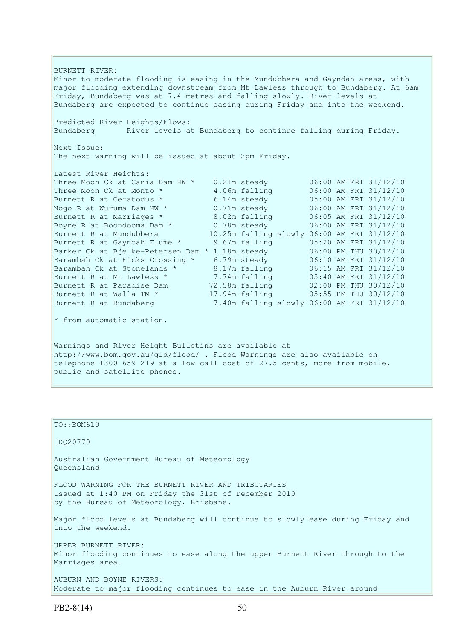BURNETT RIVER: Minor to moderate flooding is easing in the Mundubbera and Gayndah areas, with major flooding extending downstream from Mt Lawless through to Bundaberg. At 6am Friday, Bundaberg was at 7.4 metres and falling slowly. River levels at Bundaberg are expected to continue easing during Friday and into the weekend. Predicted River Heights/Flows: Bundaberg River levels at Bundaberg to continue falling during Friday. Next Issue: The next warning will be issued at about 2pm Friday. Latest River Heights: Three Moon Ck at Cania Dam HW \* 0.21m steady 06:00 AM FRI 31/12/10 Three Moon Ck at Monto \* 4.06m falling 06:00 AM FRI 31/12/10 Burnett R at Ceratodus \* 6.14m steady 05:00 AM FRI 31/12/10 Nogo R at Wuruma Dam HW  $\star$  0.71m steady 06:00 AM FRI 31/12/10 Burnett R at Marriages \* 8.02m falling 06:05 AM FRI 31/12/10 Boyne R at Boondooma Dam \* 0.78m steady 06:00 AM FRI 31/12/10 Burnett R at Mundubbera 10.25m falling slowly 06:00 AM FRI 31/12/10 Burnett R at Gayndah Flume \* 9.67m falling 05:20 AM FRI 31/12/10 Barker Ck at Bjelke-Petersen Dam \* 1.18m steady 06:00 PM THU 30/12/10 Barambah Ck at Ficks Crossing \* 6.79m steady 06:10 AM FRI 31/12/10 Barambah Ck at Stonelands \* 8.17m falling 06:15 AM FRI 31/12/10 Burnett R at Mt Lawless \* 7.74m falling 05:40 AM FRI 31/12/10 Burnett R at Paradise Dam  $72.58$ m falling  $02:00$  PM THU 30/12/10 Burnett R at Walla TM  $\star$  17.94m falling 05:55 PM THU 30/12/10 Burnett R at Bundaberg 7.40m falling slowly 06:00 AM FRI 31/12/10 \* from automatic station. Warnings and River Height Bulletins are available at http://www.bom.gov.au/qld/flood/ . Flood Warnings are also available on

telephone 1300 659 219 at a low call cost of 27.5 cents, more from mobile, public and satellite phones.

TO::BOM610 IDQ20770 Australian Government Bureau of Meteorology Queensland FLOOD WARNING FOR THE BURNETT RIVER AND TRIBUTARIES Issued at 1:40 PM on Friday the 31st of December 2010 by the Bureau of Meteorology, Brisbane. Major flood levels at Bundaberg will continue to slowly ease during Friday and into the weekend. UPPER BURNETT RIVER: Minor flooding continues to ease along the upper Burnett River through to the Marriages area. AUBURN AND BOYNE RIVERS: Moderate to major flooding continues to ease in the Auburn River around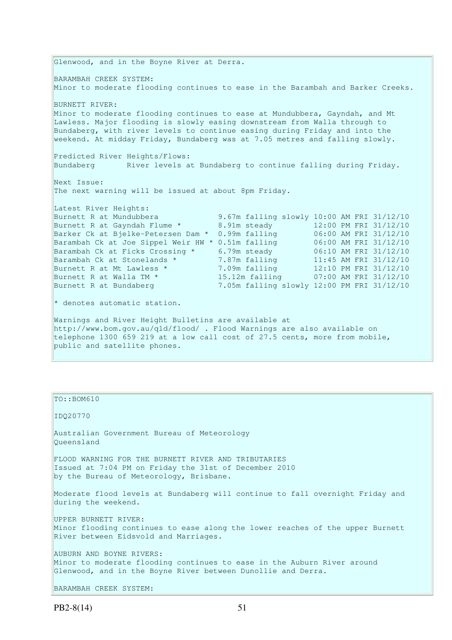Glenwood, and in the Boyne River at Derra. BARAMBAH CREEK SYSTEM: Minor to moderate flooding continues to ease in the Barambah and Barker Creeks. BURNETT RIVER: Minor to moderate flooding continues to ease at Mundubbera, Gayndah, and Mt Lawless. Major flooding is slowly easing downstream from Walla through to Bundaberg, with river levels to continue easing during Friday and into the weekend. At midday Friday, Bundaberg was at 7.05 metres and falling slowly. Predicted River Heights/Flows: Bundaberg River levels at Bundaberg to continue falling during Friday. Next Issue: The next warning will be issued at about 8pm Friday. Latest River Heights:<br>Burnett R at Mundubbera 9.67m falling slowly 10:00 AM FRI 31/12/10 Burnett R at Gayndah Flume \* 8.91m steady 12:00 PM FRI 31/12/10 Barker Ck at Bjelke-Petersen Dam \* 0.99m falling 06:00 AM FRI 31/12/10 Barambah Ck at Joe Sippel Weir HW \* 0.51m falling 06:00 AM FRI 31/12/10 Barambah Ck at Ficks Crossing \* 6.79m steady 06:10 AM FRI 31/12/10 Barambah Ck at Stonelands \* 7.87m falling 11:45 AM FRI 31/12/10 Burnett R at Mt Lawless \* 7.09m falling 12:10 PM FRI 31/12/10 Burnett R at Walla TM \* 15.12m falling 07:00 AM FRI 31/12/10 Burnett R at Bundaberg 7.05m falling slowly 12:00 PM FRI 31/12/10  $*$  denotes automatic station. Warnings and River Height Bulletins are available at http://www.bom.gov.au/qld/flood/ . Flood Warnings are also available on telephone 1300 659 219 at a low call cost of 27.5 cents, more from mobile, public and satellite phones.

TO::BOM610 IDQ20770 Australian Government Bureau of Meteorology Queensland FLOOD WARNING FOR THE BURNETT RIVER AND TRIBUTARIES Issued at 7:04 PM on Friday the 31st of December 2010 by the Bureau of Meteorology, Brisbane. Moderate flood levels at Bundaberg will continue to fall overnight Friday and during the weekend. UPPER BURNETT RIVER: Minor flooding continues to ease along the lower reaches of the upper Burnett River between Eidsvold and Marriages. AUBURN AND BOYNE RIVERS: Minor to moderate flooding continues to ease in the Auburn River around Glenwood, and in the Boyne River between Dunollie and Derra.

```
BARAMBAH CREEK SYSTEM:
```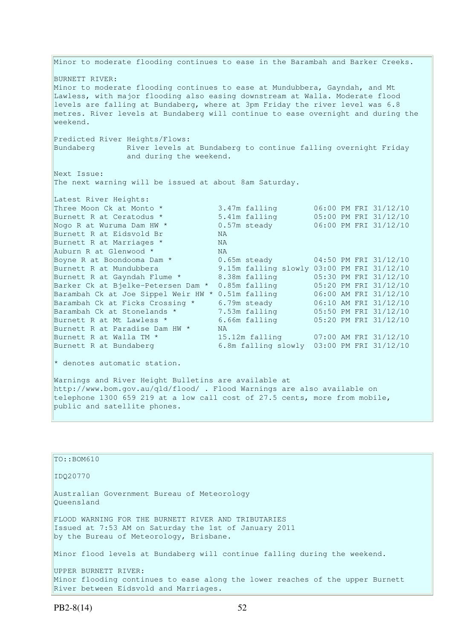Minor to moderate flooding continues to ease in the Barambah and Barker Creeks. BURNETT RIVER: Minor to moderate flooding continues to ease at Mundubbera, Gayndah, and Mt Lawless, with major flooding also easing downstream at Walla. Moderate flood levels are falling at Bundaberg, where at 3pm Friday the river level was 6.8 metres. River levels at Bundaberg will continue to ease overnight and during the weekend. Predicted River Heights/Flows:<br>Bundaberg River levels a River levels at Bundaberg to continue falling overnight Friday and during the weekend. Next Issue: The next warning will be issued at about 8am Saturday. Latest River Heights: Three Moon Ck at Monto  $*$  3.47m falling  $06:00$  PM FRI 31/12/10 Burnett R at Ceratodus \* 5.41m falling 05:00 PM FRI 31/12/10 Three Moon Ck at Monto \* 3.47m falling 06:00 PM FRI 31/12/10<br>
Burnett R at Ceratodus \* 5.41m falling 05:00 PM FRI 31/12/10<br>
Nogo R at Wuruma Dam HW \* 0.57m steady 06:00 PM FRI 31/12/10<br>
Burnett R at Eidsvold Br NA Burnett R at Eidsvold Br (NA)<br>Burnett R at Marriages \* (NA) Burnett R at Marriages  $*$ Auburn R at Glenwood \* NA Boyne R at Boondooma Dam  $*$  0.65m steady 04:50 PM FRI 31/12/10 Burnett R at Mundubbera 9.15m falling slowly 03:00 PM FRI 31/12/10 Burnett R at Gayndah Flume \* 8.38m falling 05:30 PM FRI 31/12/10 Barker Ck at Bjelke-Petersen Dam \* 0.85m falling 05:20 PM FRI 31/12/10 Barambah Ck at Joe Sippel Weir HW \* 0.51m falling 06:00 AM FRI 31/12/10 Barambah Ck at Ficks Crossing \* 6.79m steady 06:10 AM FRI 31/12/10 Barambah Ck at Stonelands \* 7.53m falling 05:50 PM FRI 31/12/10 Burnett R at Mt Lawless \* 6.66m falling 05:20 PM FRI 31/12/10 Barambah Ck at Stonelands \* 7.5<br>Burnett R at Mt Lawless \* 6.6<br>Burnett R at Paradise Dam HW \* NA<br>Burnett R at Walla TM \* 15. Burnett R at Walla TM \* 15.12m falling 07:00 AM FRI 31/12/10<br>Burnett R at Bundaberg 6.8m falling slowly 03:00 PM FRI 31/12/10  $6.8m$  falling slowly  $03:00$  PM FRI 31/12/10  $*$  denotes automatic station. Warnings and River Height Bulletins are available at http://www.bom.gov.au/qld/flood/ . Flood Warnings are also available on telephone 1300 659 219 at a low call cost of 27.5 cents, more from mobile, public and satellite phones.

| TO::BOM610                                                                                                                                              |
|---------------------------------------------------------------------------------------------------------------------------------------------------------|
| ID020770                                                                                                                                                |
| Australian Government Bureau of Meteorology<br>Oueensland                                                                                               |
| FLOOD WARNING FOR THE BURNETT RIVER AND TRIBUTARIES<br>Issued at 7:53 AM on Saturday the 1st of January 2011<br>by the Bureau of Meteorology, Brisbane. |
| Minor flood levels at Bundaberg will continue falling during the weekend.                                                                               |
| UPPER BURNETT RIVER:                                                                                                                                    |
| Minor flooding continues to ease along the lower reaches of the upper Burnett<br>River between Eidsvold and Marriages.                                  |
|                                                                                                                                                         |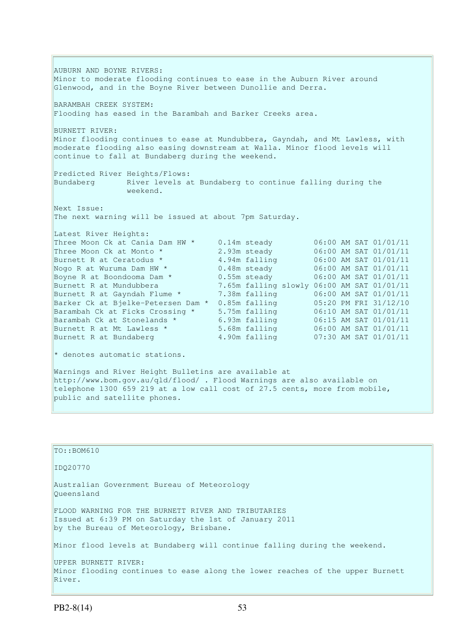AUBURN AND BOYNE RIVERS: Minor to moderate flooding continues to ease in the Auburn River around Glenwood, and in the Boyne River between Dunollie and Derra. BARAMBAH CREEK SYSTEM: Flooding has eased in the Barambah and Barker Creeks area. BURNETT RIVER: Minor flooding continues to ease at Mundubbera, Gayndah, and Mt Lawless, with moderate flooding also easing downstream at Walla. Minor flood levels will continue to fall at Bundaberg during the weekend. Predicted River Heights/Flows: Bundaberg River levels at Bundaberg to continue falling during the weekend. Next Issue: The next warning will be issued at about 7pm Saturday. Latest River Heights: Three Moon Ck at Cania Dam HW \* 0.14m steady 06:00 AM SAT 01/01/11 Three Moon Ck at Monto \* 2.93m steady 06:00 AM SAT 01/01/11<br>Burnett R at Ceratodus \* 4.94m falling 06:00 AM SAT 01/01/11 Burnett R at Ceratodus \* 4.94m falling<br>Nogo R at Wuruma Dam HW \* 0.48m steady Nogo R at Wuruma Dam HW \* 0.48m steady 06:00 AM SAT 01/01/11 Boyne R at Boondooma Dam \*  $0.55$ m steady  $06:00$  AM SAT 01/01/11 Burnett R at Mundubbera 7.65m falling slowly 06:00 AM SAT 01/01/11<br>Burnett R at Gayndah Flume \* 7.38m falling 06:00 AM SAT 01/01/11 Burnett K at Mundubberd<br>Burnett R at Gayndah Flume \* 7.38m falling 06:00 AM SAT 01/01/11<br>Barker Ck at Bjelke-Petersen Dam \* 0.85m falling 05:20 PM FRI 31/12/10 Barker Ck at Bjelke-Petersen Dam \* 0.85m falling 05:20 PM FRI 31/12/10<br>Barambah Ck at Ficks Crossing \* 5.75m falling 06:10 AM SAT 01/01/11 Barambah Ck at Ficks Crossing \* 5.75m falling 06:10 AM SAT 01/01/11<br>Barambah Ck at Stonelands \* 6.93m falling 06:15 AM SAT 01/01/11 Barambah Ck at Stonelands \* 6.93m falling 06:15 AM SAT 01/01/11<br>Burnett R at Mt Lawless \* 5.68m falling 06:00 AM SAT 01/01/11 Burnett R at Mt Lawless \* 5.68m falling Burnett R at Bundaberg 4.90m falling 07:30 AM SAT 01/01/11  $*$  denotes automatic stations. Warnings and River Height Bulletins are available at

http://www.bom.gov.au/qld/flood/ . Flood Warnings are also available on telephone 1300 659 219 at a low call cost of 27.5 cents, more from mobile, public and satellite phones.

| $TO: BOM610$                                                                                                                                            |
|---------------------------------------------------------------------------------------------------------------------------------------------------------|
| ID020770                                                                                                                                                |
| Australian Government Bureau of Meteorology<br>Oueensland                                                                                               |
| FLOOD WARNING FOR THE BURNETT RIVER AND TRIBUTARIES<br>Issued at 6:39 PM on Saturday the 1st of January 2011<br>by the Bureau of Meteorology, Brisbane. |
| Minor flood levels at Bundaberg will continue falling during the weekend.                                                                               |
| UPPER BURNETT RIVER:<br>Minor flooding continues to ease along the lower reaches of the upper Burnett<br>River.                                         |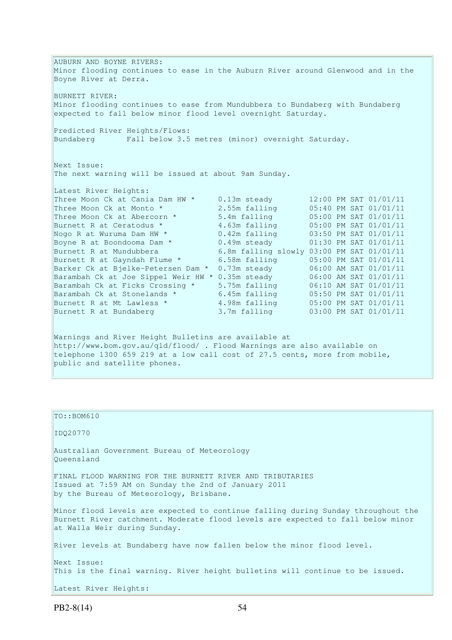AUBURN AND BOYNE RIVERS: Minor flooding continues to ease in the Auburn River around Glenwood and in the Boyne River at Derra. BURNETT RIVER: Minor flooding continues to ease from Mundubbera to Bundaberg with Bundaberg expected to fall below minor flood level overnight Saturday. Predicted River Heights/Flows: Bundaberg Fall below 3.5 metres (minor) overnight Saturday. Next Issue: The next warning will be issued at about 9am Sunday. Latest River Heights: Three Moon Ck at Cania Dam HW \* 0.13m steady 12:00 PM SAT 01/01/11 Three Moon Ck at Monto  $*$  2.55m falling 05:40 PM SAT 01/01/11 Three Moon Ck at Abercorn \* 5.4m falling 05:00 PM SAT 01/01/11 Burnett R at Ceratodus \* 3.63m falling 05:00 PM SAT 01/01/11 Nogo R at Wuruma Dam HW  $\star$  0.42m falling 03:50 PM SAT 01/01/11 Boyne R at Boondooma Dam \*  $0.49$ m steady  $01:30$  PM SAT 01/01/11 Burnett R at Mundubbera 6.8m falling slowly 03:00 PM SAT 01/01/11 Burnett R at Gayndah Flume \* 6.58m falling 05:00 PM SAT 01/01/11 Barker Ck at Bjelke-Petersen Dam \* 0.73m steady 06:00 AM SAT 01/01/11 Barambah Ck at Joe Sippel Weir HW \* 0.35m steady 06:00 AM SAT 01/01/11 Barambah Ck at Ficks Crossing \* 5.75m falling 06:10 AM SAT 01/01/11 Barambah Ck at Stonelands \* 6.45m falling 05:50 PM SAT 01/01/11 Burnett R at Mt Lawless \* 4.98m falling 05:00 PM SAT 01/01/11 Burnett R at Bundaberg 3.7m falling 03:00 PM SAT 01/01/11 Warnings and River Height Bulletins are available at http://www.bom.gov.au/qld/flood/ . Flood Warnings are also available on telephone 1300 659 219 at a low call cost of 27.5 cents, more from mobile, public and satellite phones.

| $TO: BOM610$                                                                                                                                                                                        |
|-----------------------------------------------------------------------------------------------------------------------------------------------------------------------------------------------------|
| IDQ20770                                                                                                                                                                                            |
| Australian Government Bureau of Meteorology<br>Oueensland                                                                                                                                           |
| FINAL FLOOD WARNING FOR THE BURNETT RIVER AND TRIBUTARIES<br>Issued at 7:59 AM on Sunday the 2nd of January 2011<br>by the Bureau of Meteorology, Brisbane.                                         |
| Minor flood levels are expected to continue falling during Sunday throughout the<br>Burnett River catchment. Moderate flood levels are expected to fall below minor<br>at Walla Weir during Sunday. |
| River levels at Bundaberg have now fallen below the minor flood level.                                                                                                                              |
| Next Issue:<br>This is the final warning. River height bulletins will continue to be issued.                                                                                                        |
| Latest River Heights:                                                                                                                                                                               |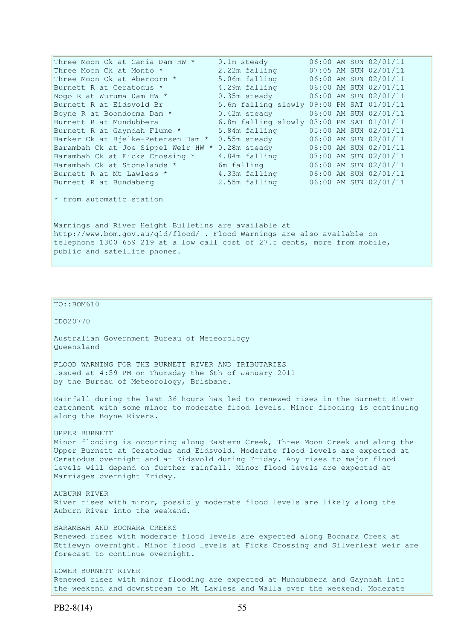| Three Moon Ck at Cania Dam HW *                                                                                                                                                                                                               | 0.1m steady                               |  | 06:00 AM SUN 02/01/11     |  |
|-----------------------------------------------------------------------------------------------------------------------------------------------------------------------------------------------------------------------------------------------|-------------------------------------------|--|---------------------------|--|
| Three Moon Ck at Monto *                                                                                                                                                                                                                      | 2.22m falling                             |  | 07:05 AM SUN 02/01/11     |  |
| Three Moon Ck at Abercorn *                                                                                                                                                                                                                   | 5.06m falling                             |  | 06:00 AM SUN 02/01/11     |  |
| Burnett R at Ceratodus *                                                                                                                                                                                                                      | 4.29m falling                             |  | 06:00 AM SUN 02/01/11     |  |
| Nogo R at Wuruma Dam HW *                                                                                                                                                                                                                     | $0.35m$ steady                            |  | 06:00 AM SUN 02/01/11     |  |
| Burnett R at Eidsvold Br                                                                                                                                                                                                                      | 5.6m falling slowly 09:00 PM SAT 01/01/11 |  |                           |  |
| Boyne R at Boondooma Dam *                                                                                                                                                                                                                    | $0.42m$ steady                            |  | $06:00$ AM SUN $02/01/11$ |  |
| Burnett R at Mundubbera                                                                                                                                                                                                                       | 6.8m falling slowly 03:00 PM SAT 01/01/11 |  |                           |  |
| Burnett R at Gayndah Flume *                                                                                                                                                                                                                  | 5.84m falling                             |  | 05:00 AM SUN 02/01/11     |  |
| Barker Ck at Bjelke-Petersen Dam *                                                                                                                                                                                                            | 0.55m steady                              |  | 06:00 AM SUN 02/01/11     |  |
| Barambah Ck at Joe Sippel Weir HW *                                                                                                                                                                                                           | 0.28m steady                              |  | 06:00 AM SUN 02/01/11     |  |
| Barambah Ck at Ficks Crossing *                                                                                                                                                                                                               | 4.84m falling                             |  | 07:00 AM SUN 02/01/11     |  |
| Barambah Ck at Stonelands *                                                                                                                                                                                                                   | 6m falling the state of the Solid State   |  | 06:00 AM SUN 02/01/11     |  |
| Burnett R at Mt Lawless *                                                                                                                                                                                                                     | 4.33m falling                             |  | 06:00 AM SUN 02/01/11     |  |
| Burnett R at Bundaberg                                                                                                                                                                                                                        | 2.55m falling                             |  | 06:00 AM SUN 02/01/11     |  |
| $\star$ from automatic station                                                                                                                                                                                                                |                                           |  |                           |  |
| Warnings and River Height Bulletins are available at<br>http://www.bom.gov.au/qld/flood/ . Flood Warnings are also available on<br>telephone 1300 659 219 at a low call cost of 27.5 cents, more from mobile,<br>public and satellite phones. |                                           |  |                           |  |
|                                                                                                                                                                                                                                               |                                           |  |                           |  |

## TO::BOM610 IDQ20770 Australian Government Bureau of Meteorology Queensland FLOOD WARNING FOR THE BURNETT RIVER AND TRIBUTARIES Issued at 4:59 PM on Thursday the 6th of January 2011 by the Bureau of Meteorology, Brisbane. Rainfall during the last 36 hours has led to renewed rises in the Burnett River catchment with some minor to moderate flood levels. Minor flooding is continuing along the Boyne Rivers. UPPER BURNETT Minor flooding is occurring along Eastern Creek, Three Moon Creek and along the Upper Burnett at Ceratodus and Eidsvold. Moderate flood levels are expected at Ceratodus overnight and at Eidsvold during Friday. Any rises to major flood levels will depend on further rainfall. Minor flood levels are expected at Marriages overnight Friday. AUBURN RIVER River rises with minor, possibly moderate flood levels are likely along the Auburn River into the weekend. BARAMBAH AND BOONARA CREEKS Renewed rises with moderate flood levels are expected along Boonara Creek at Ettiewyn overnight. Minor flood levels at Ficks Crossing and Silverleaf weir are forecast to continue overnight. LOWER BURNETT RIVER Renewed rises with minor flooding are expected at Mundubbera and Gayndah into the weekend and downstream to Mt Lawless and Walla over the weekend. Moderate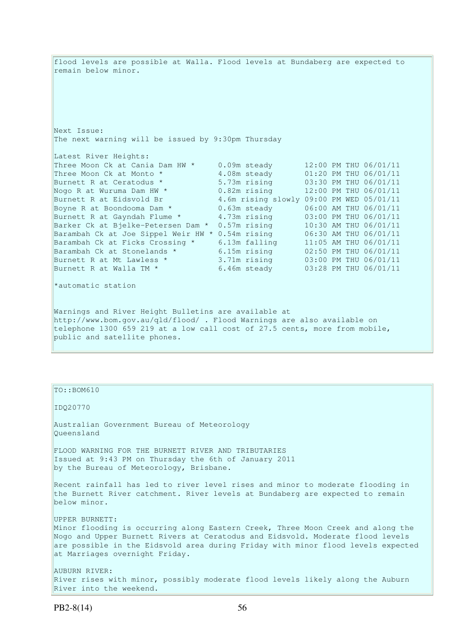flood levels are possible at Walla. Flood levels at Bundaberg are expected to remain below minor. Next Issue: The next warning will be issued by 9:30pm Thursday Latest River Heights: Three Moon Ck at Cania Dam HW \* 0.09m steady 12:00 PM THU 06/01/11 Three Moon Ck at Monto  $*$  4.08m steady 01:20 PM THU 06/01/11 Burnett R at Ceratodus \* 5.73m rising 03:30 PM THU 06/01/11 Three Moon Ck at Vanita Dam HW \* 1.08m steady 01:20 PM THU 06/01/11<br>
Burnett R at Ceratodus \* 5.73m rising 03:30 PM THU 06/01/11<br>
Nogo R at Wuruma Dam HW \* 0.82m rising 12:00 PM THU 06/01/11<br>
Burnett R at Eidsvold Br \* 4.6 Burnett R at Eidsvold Br 4.6m rising slowly 09:00 PM WED 05/01/11 Boyne R at Boondooma Dam  $*$  0.63m steady 06:00 AM THU 06/01/11 Burnett R at Gayndah Flume \* 4.73m rising 03:00 PM THU 06/01/11 Barker Ck at Bjelke-Petersen Dam \* 0.57m rising 10:30 AM THU 06/01/11 Barambah Ck at Joe Sippel Weir HW \* 0.54m rising 06:30 AM THU 06/01/11 Barambah Ck at Ficks Crossing \* 6.13m falling 11:05 AM THU 06/01/11 Barambah Ck at Stonelands \* 6.15m rising 02:50 PM THU 06/01/11 Burnett R at Mt Lawless \* 3.71m rising 03:00 PM THU 06/01/11 Burnett R at Walla TM \* 6.46m steady 03:28 PM THU 06/01/11 \*automatic station Warnings and River Height Bulletins are available at http://www.bom.gov.au/qld/flood/ . Flood Warnings are also available on telephone 1300 659 219 at a low call cost of 27.5 cents, more from mobile, public and satellite phones.

## TO::BOM610

## IDQ20770

Australian Government Bureau of Meteorology Queensland

FLOOD WARNING FOR THE BURNETT RIVER AND TRIBUTARIES Issued at 9:43 PM on Thursday the 6th of January 2011 by the Bureau of Meteorology, Brisbane.

Recent rainfall has led to river level rises and minor to moderate flooding in the Burnett River catchment. River levels at Bundaberg are expected to remain below minor.

UPPER BURNETT: Minor flooding is occurring along Eastern Creek, Three Moon Creek and along the Nogo and Upper Burnett Rivers at Ceratodus and Eidsvold. Moderate flood levels are possible in the Eidsvold area during Friday with minor flood levels expected at Marriages overnight Friday.

AUBURN RIVER: River rises with minor, possibly moderate flood levels likely along the Auburn River into the weekend.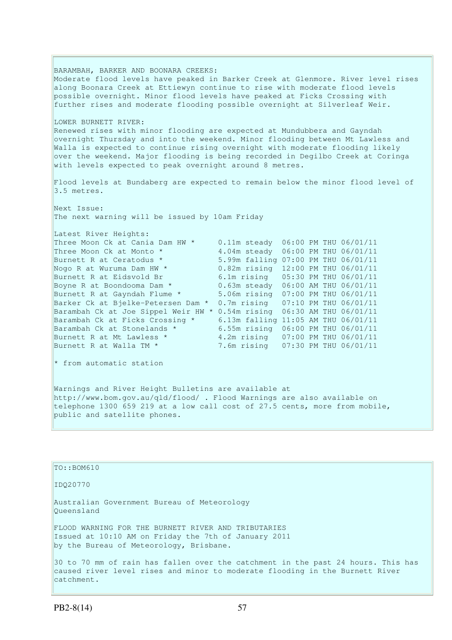BARAMBAH, BARKER AND BOONARA CREEKS: Moderate flood levels have peaked in Barker Creek at Glenmore. River level rises along Boonara Creek at Ettiewyn continue to rise with moderate flood levels possible overnight. Minor flood levels have peaked at Ficks Crossing with further rises and moderate flooding possible overnight at Silverleaf Weir. LOWER BURNETT RIVER: Renewed rises with minor flooding are expected at Mundubbera and Gayndah  $\overline{\text{overn}}$  overnight Thursday and into the weekend. Minor flooding between Mt Lawless and Walla is expected to continue rising overnight with moderate flooding likely over the weekend. Major flooding is being recorded in Degilbo Creek at Coringa with levels expected to peak overnight around 8 metres. Flood levels at Bundaberg are expected to remain below the minor flood level of 3.5 metres. Next Issue: The next warning will be issued by 10am Friday Latest River Heights: Three Moon Ck at Cania Dam HW \* 0.11m steady 06:00 PM THU 06/01/11 Three Moon Ck at Monto  $*$  4.04m steady 06:00 PM THU 06/01/11 Burnett R at Ceratodus \* 5.99m falling 07:00 PM THU 06/01/11 Nogo R at Wuruma Dam HW \* 0.82m rising 12:00 PM THU 06/01/11 Burnett R at Eidsvold Br 6.1m rising 05:30 PM THU 06/01/11 Boyne R at Boondooma Dam \* 0.63m steady 06:00 AM THU 06/01/11 Burnett R at Gayndah Flume \* 5.06m rising 07:00 PM THU 06/01/11 Barker Ck at Bjelke-Petersen Dam \* 0.7m rising 07:10 PM THU 06/01/11 Barambah Ck at Joe Sippel Weir HW \* 0.54m rising 06:30 AM THU 06/01/11 Barambah Ck at Ficks Crossing \* 6.13m falling 11:05 AM THU 06/01/11 Barambah Ck at Stonelands \* 6.55m rising 06:00 PM THU 06/01/11 Burnett R at Mt Lawless \* 4.2m rising 07:00 PM THU 06/01/11 Burnett R at Walla TM \* 7.6m rising 07:30 PM THU 06/01/11  $\star$  from automatic station Warnings and River Height Bulletins are available at http://www.bom.gov.au/qld/flood/ . Flood Warnings are also available on telephone 1300 659 219 at a low call cost of 27.5 cents, more from mobile, public and satellite phones.

| $TO: BOM610$                                                                                                                                                                   |
|--------------------------------------------------------------------------------------------------------------------------------------------------------------------------------|
| ID020770                                                                                                                                                                       |
| Australian Government Bureau of Meteorology<br>Oueensland                                                                                                                      |
| FLOOD WARNING FOR THE BURNETT RIVER AND TRIBUTARIES<br>Issued at 10:10 AM on Friday the 7th of January 2011<br>by the Bureau of Meteorology, Brisbane.                         |
| 30 to 70 mm of rain has fallen over the catchment in the past 24 hours. This has<br>caused river level rises and minor to moderate flooding in the Burnett River<br>catchment. |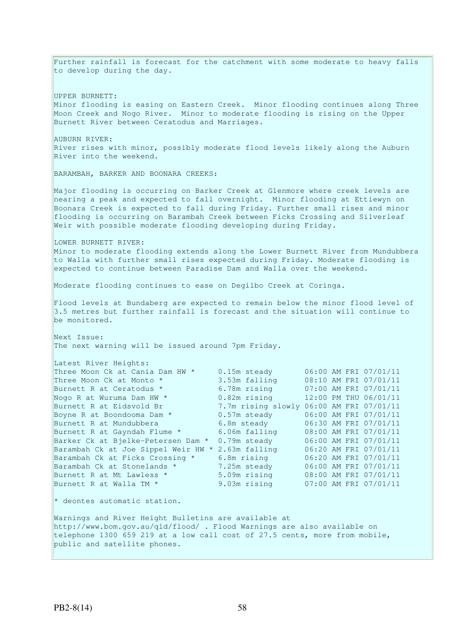Further rainfall is forecast for the catchment with some moderate to heavy falls to develop during the day. UPPER BURNETT: Minor flooding is easing on Eastern Creek. Minor flooding continues along Three Moon Creek and Nogo River. Minor to moderate flooding is rising on the Upper Burnett River between Ceratodus and Marriages. AUBURN RIVER: River rises with minor, possibly moderate flood levels likely along the Auburn River into the weekend. BARAMBAH, BARKER AND BOONARA CREEKS: Major flooding is occurring on Barker Creek at Glenmore where creek levels are nearing a peak and expected to fall overnight. Minor flooding at Ettiewyn on Boonara Creek is expected to fall during Friday. Further small rises and minor flooding is occurring on Barambah Creek between Ficks Crossing and Silverleaf Weir with possible moderate flooding developing during Friday. LOWER BURNETT RIVER: Minor to moderate flooding extends along the Lower Burnett River from Mundubbera to Walla with further small rises expected during Friday. Moderate flooding is expected to continue between Paradise Dam and Walla over the weekend. Moderate flooding continues to ease on Degilbo Creek at Coringa. Flood levels at Bundaberg are expected to remain below the minor flood level of 3.5 metres but further rainfall is forecast and the situation will continue to be monitored. Next Issue: The next warning will be issued around 7pm Friday. Latest River Heights: Three Moon Ck at Cania Dam HW \* 0.15m steady 06:00 AM FRI 07/01/11 Three Moon Ck at Monto \* 3.53m falling 08:10 AM FRI 07/01/11 Three Moon Ck at Monto \* 3.53m falling 08:10 AM FRI 07/01/11<br>Burnett R at Ceratodus \* 6.78m rising 07:00 AM FRI 07/01/11<br>Nogo R at Wuruma Dam HW \* 0.82m rising 12:00 PM THU 06/01/11<br>Burnett R at Eidsvold Br 7.7m rising slo Nogo R at Wuruma Dam HW  $^*$   $0.82$ m rising  $12:00$  PM THU 06/01/11 Burnett R at Eidsvold Br 7.7m rising slowly 06:00 AM FRI 07/01/11 Boyne R at Boondooma Dam  $*$  0.57m steady 06:00 AM FRI 07/01/11 Burnett R at Mundubbera 6.8m steady 06:30 AM FRI 07/01/11 Burnett R at Gayndah Flume \* 6.06m falling 08:00 AM FRI 07/01/11 Barker Ck at Bjelke-Petersen Dam \* 0.79m steady 06:00 AM FRI 07/01/11 Barambah Ck at Joe Sippel Weir HW \* 2.63m falling 06:20 AM FRI 07/01/11 Barambah Ck at Ficks Crossing \* 6.8m rising 06:20 AM FRI 07/01/11 Barambah Ck at Stonelands \* 7.25m steady 06:00 AM FRI 07/01/11 Burnett R at Mt Lawless \* 5.09m rising 08:00 AM FRI 07/01/11 Burnett R at Walla TM \* 9.03m rising 07:00 AM FRI 07/01/11 \* deontes automatic station. Warnings and River Height Bulletins are available at http://www.bom.gov.au/qld/flood/ . Flood Warnings are also available on telephone 1300 659 219 at a low call cost of 27.5 cents, more from mobile, public and satellite phones.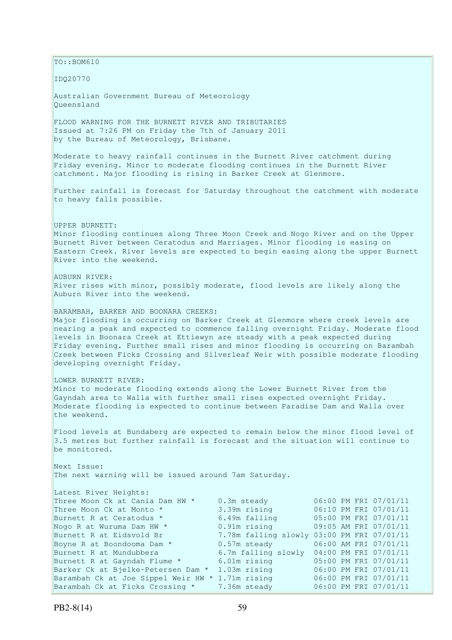$\vert$ TO::BOM610 IDQ20770 Australian Government Bureau of Meteorology Queensland FLOOD WARNING FOR THE BURNETT RIVER AND TRIBUTARIES Issued at 7:26 PM on Friday the 7th of January 2011 by the Bureau of Meteorology, Brisbane. Moderate to heavy rainfall continues in the Burnett River catchment during Friday evening. Minor to moderate flooding continues in the Burnett River catchment. Major flooding is rising in Barker Creek at Glenmore. Further rainfall is forecast for Saturday throughout the catchment with moderate to heavy falls possible. UPPER BURNETT: Minor flooding continues along Three Moon Creek and Nogo River and on the Upper Burnett River between Ceratodus and Marriages. Minor flooding is easing on Eastern Creek. River levels are expected to begin easing along the upper Burnett River into the weekend. AUBURN RIVER: River rises with minor, possibly moderate, flood levels are likely along the Auburn River into the weekend. BARAMBAH, BARKER AND BOONARA CREEKS: Major flooding is occurring on Barker Creek at Glenmore where creek levels are nearing a peak and expected to commence falling overnight Friday. Moderate flood levels in Boonara Creek at Ettiewyn are steady with a peak expected during Friday evening. Further small rises and minor flooding is occurring on Barambah Creek between Ficks Crossing and Silverleaf Weir with possible moderate flooding developing overnight Friday. LOWER BURNETT RIVER: Minor to moderate flooding extends along the Lower Burnett River from the Gayndah area to Walla with further small rises expected overnight Friday. Moderate flooding is expected to continue between Paradise Dam and Walla over the weekend. Flood levels at Bundaberg are expected to remain below the minor flood level of 3.5 metres but further rainfall is forecast and the situation will continue to be monitored. Next Issue: The next warning will be issued around 7am Saturday. Latest River Heights: Three Moon Ck at Cania Dam HW \* 0.3m steady 06:00 PM FRI 07/01/11 Three Moon Ck at Monto \* 3.39m rising 06:10 PM FRI 07/01/11<br>
Burnett R at Ceratodus \* 6.49m falling 05:00 PM FRI 07/01/11 Burnett R at Ceratodus \* 6.49m falling 05:00 PM FRI 07/01/11 Nogo R at Wuruma Dam HW  $*$  0.91m rising 09:05 AM FRI 07/01/11 Burnett R at Eidsvold Br 7.78m falling slowly 03:00 PM FRI 07/01/11<br>Bovne R at Boondooma Dam \* 0.57m steady 06:00 AM FRI 07/01/11 Boyne R at Boondooma Dam \* 0.57m steady 06:00 AM FRI 07/01/11 Burnett R at Mundubbera 6.7m falling slowly 04:00 PM FRI 07/01/11<br>Burnett R at Gayndah Flume \* 6.01m rising 05:00 PM FRI 07/01/11 6.01m rising 05:00 PM FRI 07/01/11 Barker Ck at Bjelke-Petersen Dam \* 1.03m rising 06:00 PM FRI 07/01/11 Barambah Ck at Joe Sippel Weir HW \* 1.71m rising 06:00 PM FRI 07/01/11 Barambah Ck at Ficks Crossing \* 7.36m steady 06:00 PM FRI 07/01/11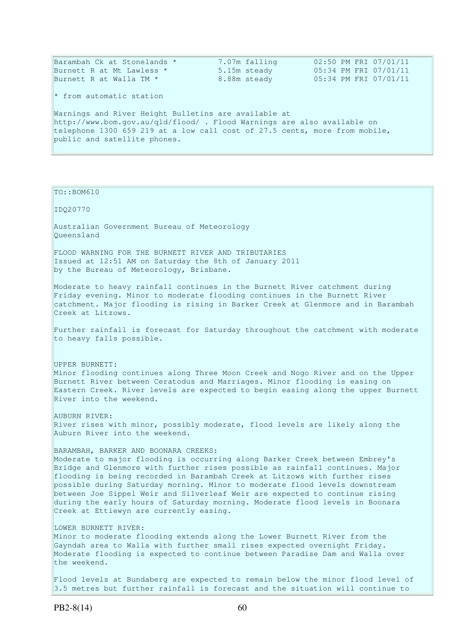| Barambah Ck at Stonelands *                                                                                                    | 7.07m falling | 02:50 PM FRI 07/01/11 |
|--------------------------------------------------------------------------------------------------------------------------------|---------------|-----------------------|
| Burnett R at Mt Lawless *                                                                                                      | 5.15m steady  | 05:34 PM FRI 07/01/11 |
| Burnett R at Walla TM *                                                                                                        | 8.88m steady  | 05:34 PM FRI 07/01/11 |
| $\star$ from automatic station                                                                                                 |               |                       |
| Warnings and River Height Bulletins are available at<br>http://www.bom.gov.au/gld/flood/. Flood Warnings are also available on |               |                       |
| telephone 1300 659 219 at a low call cost of 27.5 cents, more from mobile,                                                     |               |                       |
| public and satellite phones.                                                                                                   |               |                       |
|                                                                                                                                |               |                       |

TO::BOM610

IDQ20770

Australian Government Bureau of Meteorology Queensland

FLOOD WARNING FOR THE BURNETT RIVER AND TRIBUTARIES Issued at 12:51 AM on Saturday the 8th of January 2011 by the Bureau of Meteorology, Brisbane.

Moderate to heavy rainfall continues in the Burnett River catchment during Friday evening. Minor to moderate flooding continues in the Burnett River catchment. Major flooding is rising in Barker Creek at Glenmore and in Barambah Creek at Litzows.

Further rainfall is forecast for Saturday throughout the catchment with moderate to heavy falls possible.

UPPER BURNETT: Minor flooding continues along Three Moon Creek and Nogo River and on the Upper Burnett River between Ceratodus and Marriages. Minor flooding is easing on Eastern Creek. River levels are expected to begin easing along the upper Burnett River into the weekend.

AUBURN RIVER: River rises with minor, possibly moderate, flood levels are likely along the Auburn River into the weekend.

BARAMBAH, BARKER AND BOONARA CREEKS: Moderate to major flooding is occurring along Barker Creek between Embrey's Bridge and Glenmore with further rises possible as rainfall continues. Major flooding is being recorded in Barambah Creek at Litzows with further rises possible during Saturday morning. Minor to moderate flood levels downstream between Joe Sippel Weir and Silverleaf Weir are expected to continue rising during the early hours of Saturday morning. Moderate flood levels in Boonara Creek at Ettiewyn are currently easing.

LOWER BURNETT RIVER:

Minor to moderate flooding extends along the Lower Burnett River from the Gayndah area to Walla with further small rises expected overnight Friday. Moderate flooding is expected to continue between Paradise Dam and Walla over the weekend.

Flood levels at Bundaberg are expected to remain below the minor flood level of 3.5 metres but further rainfall is forecast and the situation will continue to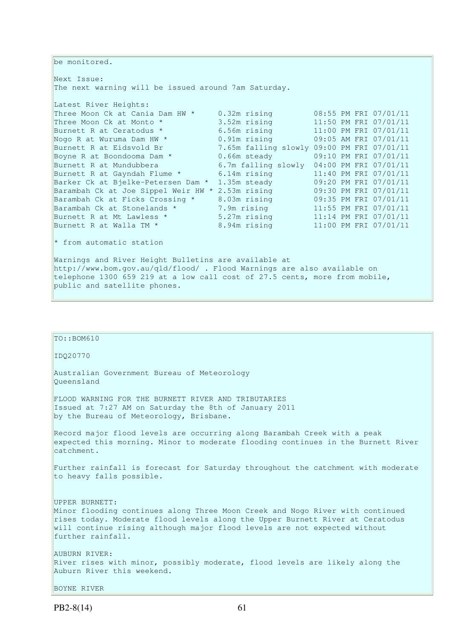```
be monitored. 
Next Issue: 
The next warning will be issued around 7am Saturday. 
Latest River Heights:
Three Moon Ck at Cania Dam HW * 0.32m rising 08:55 PM FRI 07/01/11<br>Three Moon Ck at Monto * 3.52m rising 11:50 PM FRI 07/01/11
Three Moon Ck at Cania Dam Inv = 0.52m rising = 0.53 PM FRI 07/01/11<br>
Three Moon Ck at Monto * 3.52m rising = 11:50 PM FRI 07/01/11<br>
Nogo R at Wuruma Dam HW * 0.91m rising = 09:05 AM FRI 07/01/11<br>
Burnett R at Eidsvold Br 
Burnett R at Ceratodus * 6.56m rising 11:00 PM FRI 07/01/11
Nogo R at Wuruma Dam HW * 0.91m rising 09:05 AM FRI 07/01/11 
Burnett R at Eidsvold Br 7.65m falling slowly 09:00 PM FRI 07/01/11 
Boyne R at Boondooma Dam * 0.66m steady 09:10 PM FRI 07/01/11
Burnett R at Mundubbera 6.7m falling slowly 04:00 PM FRI 07/01/11 
Burnett R at Gayndah Flume * 6.14m rising 11:40 PM FRI 07/01/11
Barker Ck at Bjelke-Petersen Dam * 1.35m steady 09:20 PM FRI 07/01/11 
Barambah Ck at Joe Sippel Weir HW * 2.53m rising 09:30 PM FRI 07/01/11 
Barambah Ck at Ficks Crossing * 8.03m rising 09:35 PM FRI 07/01/11 
Barambah Ck at Stonelands * 7.9m rising 11:55 PM FRI 07/01/11
Burnett R at Mt Lawless * 5.27m rising 11:14 PM FRI 07/01/11
Burnett R at Walla TM * 8.94m rising 11:00 PM FRI 07/01/11
* from automatic station 
Warnings and River Height Bulletins are available at 
http://www.bom.gov.au/qld/flood/ . Flood Warnings are also available on 
telephone 1300 659 219 at a low call cost of 27.5 cents, more from mobile, 
public and satellite phones.
```

| TO: <b>BOM610</b>                                                                                                                                                                                                                                                                  |
|------------------------------------------------------------------------------------------------------------------------------------------------------------------------------------------------------------------------------------------------------------------------------------|
| ID020770                                                                                                                                                                                                                                                                           |
| Australian Government Bureau of Meteorology<br>Oueensland                                                                                                                                                                                                                          |
| FLOOD WARNING FOR THE BURNETT RIVER AND TRIBUTARIES<br>Issued at 7:27 AM on Saturday the 8th of January 2011<br>by the Bureau of Meteorology, Brisbane.                                                                                                                            |
| Record major flood levels are occurring along Barambah Creek with a peak<br>expected this morning. Minor to moderate flooding continues in the Burnett River<br>catchment.                                                                                                         |
| Further rainfall is forecast for Saturday throughout the catchment with moderate<br>to heavy falls possible.                                                                                                                                                                       |
| UPPER BURNETT:<br>Minor flooding continues along Three Moon Creek and Nogo River with continued<br>rises today. Moderate flood levels along the Upper Burnett River at Ceratodus<br>will continue rising although major flood levels are not expected without<br>further rainfall. |
| AUBURN RIVER:<br>River rises with minor, possibly moderate, flood levels are likely along the<br>Auburn River this weekend.                                                                                                                                                        |
| BOYNE RIVER                                                                                                                                                                                                                                                                        |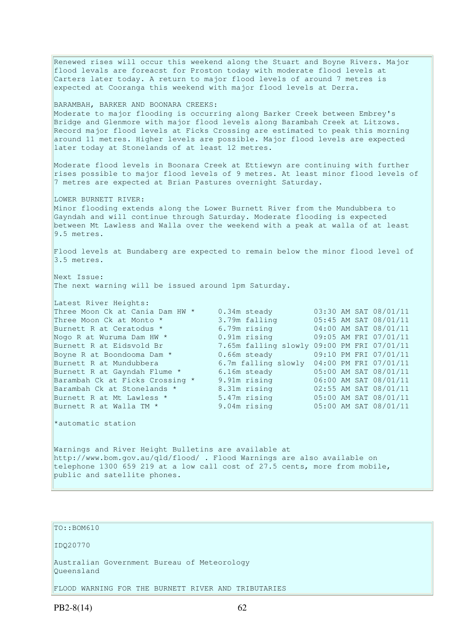Renewed rises will occur this weekend along the Stuart and Boyne Rivers. Major flood levals are foreacst for Proston today with moderate flood levels at Carters later today. A return to major flood levels of around 7 metres is expected at Cooranga this weekend with major flood levels at Derra. BARAMBAH, BARKER AND BOONARA CREEKS: Moderate to major flooding is occurring along Barker Creek between Embrey's Bridge and Glenmore with major flood levels along Barambah Creek at Litzows. Record major flood levels at Ficks Crossing are estimated to peak this morning around 11 metres. Higher levels are possible. Major flood levels are expected later today at Stonelands of at least 12 metres. Moderate flood levels in Boonara Creek at Ettiewyn are continuing with further rises possible to major flood levels of 9 metres. At least minor flood levels of 7 metres are expected at Brian Pastures overnight Saturday. LOWER BURNETT RIVER: Minor flooding extends along the Lower Burnett River from the Mundubbera to Gayndah and will continue through Saturday. Moderate flooding is expected between Mt Lawless and Walla over the weekend with a peak at walla of at least 9.5 metres. Flood levels at Bundaberg are expected to remain below the minor flood level of 3.5 metres. Next Issue: The next warning will be issued around 1pm Saturday. Latest River Heights: Three Moon Ck at Cania Dam HW \* 0.34m steady 03:30 AM SAT 08/01/11<br>Three Moon Ck at Monto \* 3.79m falling 05:45 AM SAT 08/01/11 Three Moon Ck at Monto \* 3.79m falling<br>Burnett R at Ceratodus \* 6.79m rising Burnett R at Ceratodus \* 6.79m rising 04:00 AM SAT 08/01/11 Nogo R at Wuruma Dam HW \* 0.91m rising 09:05 AM FRI 07/01/11 Nogo R at Wuruma Dam HW \*  $\begin{array}{cc} 0.91m & r \sin g & 09:05 & \text{AM FRI} & 07/01/11 \\ \text{Burnett R at Eidsvold Br} & 7.65m falling slowly 09:00 PM FRI 07/01/11 \\ \text{Boyne R at Boondooma Dam *} & 0.66m steady & 09:10 PM FRI 07/01/11 \end{array}$ Boyne R at Boondooma Dam \*  $0.66$ m steady  $0.9:10$  PM FRI 07/01/11 Burnett R at Mundubbera 6.7m falling slowly 04:00 PM FRI 07/01/11 Burnett R at Gayndah Flume \* 6.16m steady 05:00 AM SAT 08/01/11 Barambah Ck at Ficks Crossing \* 9.91m rising 06:00 AM SAT 08/01/11 Barambah Ck at Stonelands \* 8.31m rising 02:55 AM SAT 08/01/11 Burnett R at Mt Lawless \* 5.47m rising 05:00 AM SAT 08/01/11 Burnett R at Walla TM \* 9.04m rising 05:00 AM SAT 08/01/11 \*automatic station Warnings and River Height Bulletins are available at http://www.bom.gov.au/qld/flood/ . Flood Warnings are also available on telephone 1300 659 219 at a low call cost of 27.5 cents, more from mobile, public and satellite phones.

```
TO::BOM610
```
IDQ20770

Australian Government Bureau of Meteorology Queensland

FLOOD WARNING FOR THE BURNETT RIVER AND TRIBUTARIES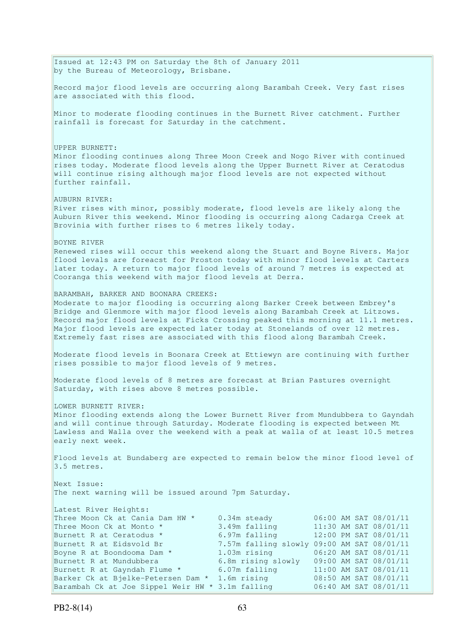Issued at 12:43 PM on Saturday the 8th of January 2011 by the Bureau of Meteorology, Brisbane. Record major flood levels are occurring along Barambah Creek. Very fast rises are associated with this flood. Minor to moderate flooding continues in the Burnett River catchment. Further rainfall is forecast for Saturday in the catchment. UPPER BURNETT: Minor flooding continues along Three Moon Creek and Nogo River with continued rises today. Moderate flood levels along the Upper Burnett River at Ceratodus will continue rising although major flood levels are not expected without further rainfall. AUBURN RIVER: River rises with minor, possibly moderate, flood levels are likely along the Auburn River this weekend. Minor flooding is occurring along Cadarga Creek at Brovinia with further rises to 6 metres likely today. BOYNE RIVER Renewed rises will occur this weekend along the Stuart and Boyne Rivers. Major flood levals are foreacst for Proston today with minor flood levels at Carters later today. A return to major flood levels of around 7 metres is expected at Cooranga this weekend with major flood levels at Derra. BARAMBAH, BARKER AND BOONARA CREEKS: Moderate to major flooding is occurring along Barker Creek between Embrey's Bridge and Glenmore with major flood levels along Barambah Creek at Litzows. Record major flood levels at Ficks Crossing peaked this morning at 11.1 metres. Major flood levels are expected later today at Stonelands of over 12 metres. Extremely fast rises are associated with this flood along Barambah Creek. Moderate flood levels in Boonara Creek at Ettiewyn are continuing with further rises possible to major flood levels of 9 metres. Moderate flood levels of 8 metres are forecast at Brian Pastures overnight Saturday, with rises above 8 metres possible. LOWER BURNETT RIVER: Minor flooding extends along the Lower Burnett River from Mundubbera to Gayndah and will continue through Saturday. Moderate flooding is expected between Mt Lawless and Walla over the weekend with a peak at walla of at least 10.5 metres early next week. Flood levels at Bundaberg are expected to remain below the minor flood level of 3.5 metres. Next Issue: The next warning will be issued around 7pm Saturday. Latest River Heights: Three Moon Ck at Cania Dam HW \* 0.34m steady 06:00 AM SAT 08/01/11<br>Three Moon Ck at Monto \* 3.49m falling 11:30 AM SAT 08/01/11 Three Moon Ck at Monto  $*$  3.49m falling 11:30 AM SAT 08/01/11 Burnett R at Ceratodus \* 6.97m falling 12:00 PM SAT 08/01/11 Burnett R at Eidsvold Br 7.57m falling slowly 09:00 AM SAT 08/01/11 Boyne R at Boondooma Dam \* 1.03m rising 06:20 AM SAT 08/01/11 Burnett R at Mundubbera 6.8m rising slowly 09:00 AM SAT 08/01/11 Burnett R at Gayndah Flume \* 6.07m falling 11:00 AM SAT 08/01/11 Barker Ck at Bjelke-Petersen Dam \* 1.6m rising 08:50 AM SAT 08/01/11 Barambah Ck at Joe Sippel Weir HW \* 3.1m falling 06:40 AM SAT 08/01/11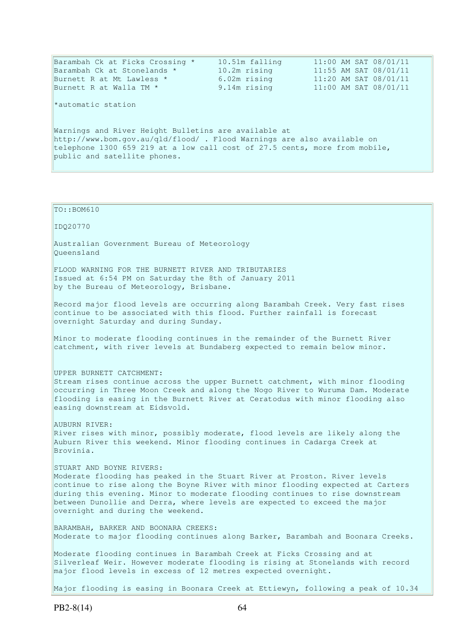| Burnett R at Walla TM *<br>*automatic station                                                                                                                                                                                                 | 9.14m rising | 11:00 AM SAT 08/01/11 |
|-----------------------------------------------------------------------------------------------------------------------------------------------------------------------------------------------------------------------------------------------|--------------|-----------------------|
| Warnings and River Height Bulletins are available at<br>http://www.bom.gov.au/gld/flood/ . Flood Warnings are also available on<br>telephone 1300 659 219 at a low call cost of 27.5 cents, more from mobile,<br>public and satellite phones. |              |                       |

IDQ20770 Australian Government Bureau of Meteorology Queensland FLOOD WARNING FOR THE BURNETT RIVER AND TRIBUTARIES Issued at 6:54 PM on Saturday the 8th of January 2011 by the Bureau of Meteorology, Brisbane. Record major flood levels are occurring along Barambah Creek. Very fast rises continue to be associated with this flood. Further rainfall is forecast overnight Saturday and during Sunday. Minor to moderate flooding continues in the remainder of the Burnett River catchment, with river levels at Bundaberg expected to remain below minor. UPPER BURNETT CATCHMENT: Stream rises continue across the upper Burnett catchment, with minor flooding occurring in Three Moon Creek and along the Nogo River to Wuruma Dam. Moderate flooding is easing in the Burnett River at Ceratodus with minor flooding also easing downstream at Eidsvold. AUBURN RIVER: River rises with minor, possibly moderate, flood levels are likely along the Auburn River this weekend. Minor flooding continues in Cadarga Creek at Brovinia. STUART AND BOYNE RIVERS: Moderate flooding has peaked in the Stuart River at Proston. River levels continue to rise along the Boyne River with minor flooding expected at Carters during this evening. Minor to moderate flooding continues to rise downstream between Dunollie and Derra, where levels are expected to exceed the major overnight and during the weekend. BARAMBAH, BARKER AND BOONARA CREEKS: Moderate to major flooding continues along Barker, Barambah and Boonara Creeks. Moderate flooding continues in Barambah Creek at Ficks Crossing and at Silverleaf Weir. However moderate flooding is rising at Stonelands with record major flood levels in excess of 12 metres expected overnight.

Major flooding is easing in Boonara Creek at Ettiewyn, following a peak of 10.34

TO::BOM610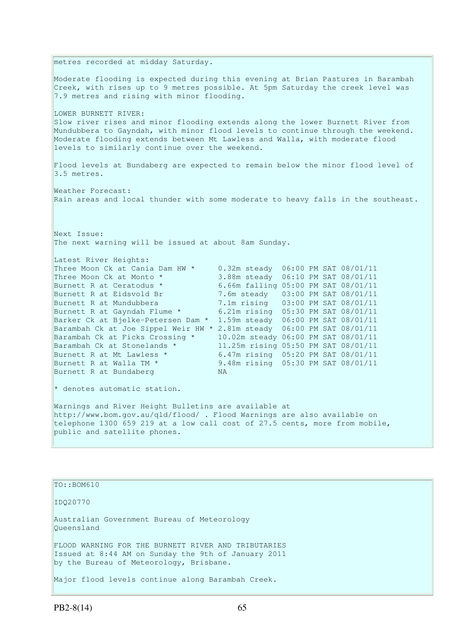metres recorded at midday Saturday. Moderate flooding is expected during this evening at Brian Pastures in Barambah Creek, with rises up to 9 metres possible. At 5pm Saturday the creek level was 7.9 metres and rising with minor flooding. LOWER BURNETT RIVER: Slow river rises and minor flooding extends along the lower Burnett River from Mundubbera to Gayndah, with minor flood levels to continue through the weekend. Moderate flooding extends between Mt Lawless and Walla, with moderate flood levels to similarly continue over the weekend. Flood levels at Bundaberg are expected to remain below the minor flood level of 3.5 metres. Weather Forecast: Rain areas and local thunder with some moderate to heavy falls in the southeast. Next Issue: The next warning will be issued at about 8am Sunday. Latest River Heights: Three Moon Ck at Cania Dam HW \* 0.32m steady 06:00 PM SAT 08/01/11<br>Three Moon Ck at Monto \* 3.88m steady 06:10 PM SAT 08/01/11<br>Burnett R at Ceratodus \* 6.66m falling 05:00 PM SAT 08/01/11 Three Moon Ck at Monto \* 3.88m steady 06:10 PM SAT 08/01/11 Burnett R at Ceratodus \* 6.66m falling 05:00 PM SAT 08/01/11 Burnett R at Eidsvold Br 7.6m steady 03:00 PM SAT 08/01/11<br>Burnett R at Mundubbera 7.1m rising 03:00 PM SAT 08/01/11 Burnett R at Mundubbera 7.1m rising 03:00 PM SAT 08/01/11 Burnett R at Gayndah Flume \* 6.21m rising 05:30 PM SAT 08/01/11 Barker Ck at Bjelke-Petersen Dam \* 1.59m steady 06:00 PM SAT 08/01/11 Barambah Ck at Joe Sippel Weir HW \* 2.81m steady 06:00 PM SAT 08/01/11 Barambah Ck at Ficks Crossing \* 10.02m steady 06:00 PM SAT 08/01/11 Barambah Ck at Stonelands \* 11.25m rising 05:50 PM SAT 08/01/11 Burnett R at Mt Lawless \* 6.47m rising 05:20 PM SAT 08/01/11 Burnett R at Walla TM \* 9.48m rising 05:30 PM SAT 08/01/11 Burnett R at Bundaberg NA \* denotes automatic station. Warnings and River Height Bulletins are available at http://www.bom.gov.au/qld/flood/ . Flood Warnings are also available on telephone 1300 659 219 at a low call cost of 27.5 cents, more from mobile, public and satellite phones.

TO::BOM610 IDQ20770 Australian Government Bureau of Meteorology Queensland FLOOD WARNING FOR THE BURNETT RIVER AND TRIBUTARIES Issued at 8:44 AM on Sunday the 9th of January 2011 by the Bureau of Meteorology, Brisbane.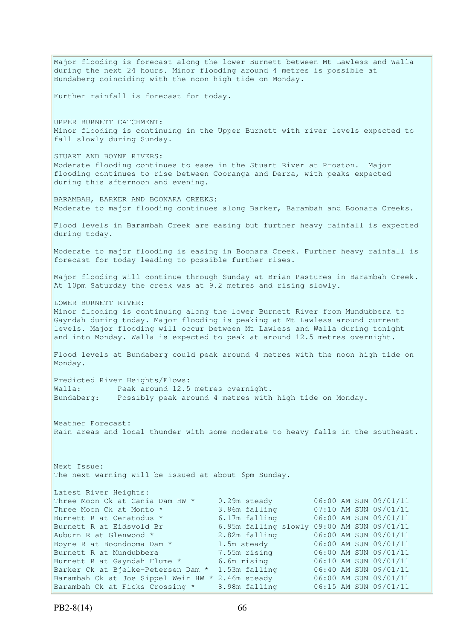Major flooding is forecast along the lower Burnett between Mt Lawless and Walla during the next 24 hours. Minor flooding around 4 metres is possible at Bundaberg coinciding with the noon high tide on Monday. Further rainfall is forecast for today. UPPER BURNETT CATCHMENT: Minor flooding is continuing in the Upper Burnett with river levels expected to fall slowly during Sunday. STUART AND BOYNE RIVERS: Moderate flooding continues to ease in the Stuart River at Proston. Major flooding continues to rise between Cooranga and Derra, with peaks expected during this afternoon and evening. BARAMBAH, BARKER AND BOONARA CREEKS: Moderate to major flooding continues along Barker, Barambah and Boonara Creeks. Flood levels in Barambah Creek are easing but further heavy rainfall is expected during today. Moderate to major flooding is easing in Boonara Creek. Further heavy rainfall is forecast for today leading to possible further rises. Major flooding will continue through Sunday at Brian Pastures in Barambah Creek. At 10pm Saturday the creek was at 9.2 metres and rising slowly. LOWER BURNETT RIVER: Minor flooding is continuing along the lower Burnett River from Mundubbera to Gayndah during today. Major flooding is peaking at Mt Lawless around current levels. Major flooding will occur between Mt Lawless and Walla during tonight and into Monday. Walla is expected to peak at around 12.5 metres overnight. Flood levels at Bundaberg could peak around 4 metres with the noon high tide on Monday. Predicted River Heights/Flows: Walla: Peak around 12.5 metres overnight. Bundaberg: Possibly peak around 4 metres with high tide on Monday. Weather Forecast: Rain areas and local thunder with some moderate to heavy falls in the southeast. Next Issue: The next warning will be issued at about 6pm Sunday. Latest River Heights: Three Moon Ck at Cania Dam HW \* 0.29m steady 06:00 AM SUN 09/01/11 Three Moon Ck at Monto \* 3.86m falling 07:10 AM SUN 09/01/11<br>Burnett R at Ceratodus \* 6.17m falling 06:00 AM SUN 09/01/11 Burnett R at Ceratodus  $*$  6.17m falling Burnett R at Eidsvold Br 6.95m falling slowly 09:00 AM SUN 09/01/11 Auburn R at Glenwood \* 2.82m falling 06:00 AM SUN 09/01/11 Boyne R at Boondooma Dam \* 1.5m steady 06:00 AM SUN 09/01/11 Burnett R at Mundubbera 7.55m rising 06:00 AM SUN 09/01/11 Burnett R at Gayndah Flume  $*$  6.6m rising  $6.6$  06:10 AM SUN 09/01/11 Barker Ck at Bjelke-Petersen Dam \* 1.53m falling 06:40 AM SUN 09/01/11 Barambah Ck at Joe Sippel Weir HW \* 2.46m steady 06:00 AM SUN 09/01/11 Barambah Ck at Ficks Crossing \* 8.98m falling 06:15 AM SUN 09/01/11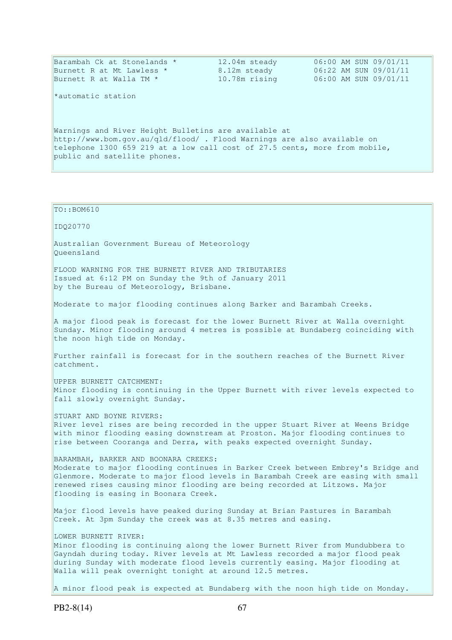| Barambah Ck at Stonelands *                                                | 12.04m steady | 06:00 AM SUN 09/01/11 |
|----------------------------------------------------------------------------|---------------|-----------------------|
| Burnett R at Mt Lawless *                                                  | 8.12m steady  | 06:22 AM SUN 09/01/11 |
| Burnett R at Walla TM $*$                                                  | 10.78m rising | 06:00 AM SUN 09/01/11 |
|                                                                            |               |                       |
| *automatic station                                                         |               |                       |
|                                                                            |               |                       |
|                                                                            |               |                       |
| Warnings and River Height Bulletins are available at                       |               |                       |
| http://www.bom.gov.au/qld/flood/ . Flood Warnings are also available on    |               |                       |
| telephone 1300 659 219 at a low call cost of 27.5 cents, more from mobile, |               |                       |
| public and satellite phones.                                               |               |                       |
|                                                                            |               |                       |
|                                                                            |               |                       |
|                                                                            |               |                       |

TO::BOM610 IDQ20770 Australian Government Bureau of Meteorology Queensland FLOOD WARNING FOR THE BURNETT RIVER AND TRIBUTARIES Issued at 6:12 PM on Sunday the 9th of January 2011 by the Bureau of Meteorology, Brisbane. Moderate to major flooding continues along Barker and Barambah Creeks. A major flood peak is forecast for the lower Burnett River at Walla overnight Sunday. Minor flooding around 4 metres is possible at Bundaberg coinciding with the noon high tide on Monday. Further rainfall is forecast for in the southern reaches of the Burnett River catchment. UPPER BURNETT CATCHMENT: Minor flooding is continuing in the Upper Burnett with river levels expected to fall slowly overnight Sunday. STUART AND BOYNE RIVERS: River level rises are being recorded in the upper Stuart River at Weens Bridge with minor flooding easing downstream at Proston. Major flooding continues to rise between Cooranga and Derra, with peaks expected overnight Sunday. BARAMBAH, BARKER AND BOONARA CREEKS: Moderate to major flooding continues in Barker Creek between Embrey's Bridge and Glenmore. Moderate to major flood levels in Barambah Creek are easing with small renewed rises causing minor flooding are being recorded at Litzows. Major flooding is easing in Boonara Creek. Major flood levels have peaked during Sunday at Brian Pastures in Barambah Creek. At 3pm Sunday the creek was at 8.35 metres and easing. LOWER BURNETT RIVER: Minor flooding is continuing along the lower Burnett River from Mundubbera to Gayndah during today. River levels at Mt Lawless recorded a major flood peak during Sunday with moderate flood levels currently easing. Major flooding at Walla will peak overnight tonight at around 12.5 metres.

A minor flood peak is expected at Bundaberg with the noon high tide on Monday.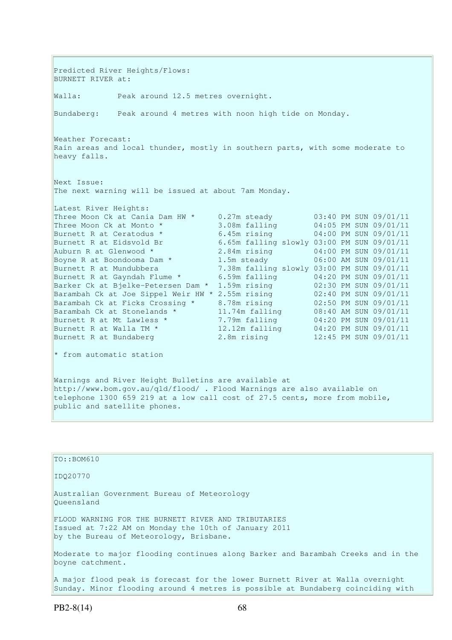Predicted River Heights/Flows: BURNETT RIVER at: Walla: Peak around 12.5 metres overnight. Bundaberg: Peak around 4 metres with noon high tide on Monday. Weather Forecast: Rain areas and local thunder, mostly in southern parts, with some moderate to heavy falls. Next Issue: The next warning will be issued at about 7am Monday. Latest River Heights: Three Moon Ck at Cania Dam HW  $*$  0.27m steady 03:40 PM SUN 09/01/11 Three Moon Ck at Monto \* 3.08m falling 04:05 PM SUN 09/01/11 Burnett R at Ceratodus \* 6.45m rising 04:00 PM SUN 09/01/11 Burnett R at Eidsvold Br 6.65m falling slowly 03:00 PM SUN 09/01/11 Auburn R at Glenwood  $*$  2.84m rising  $0.4:00$  PM SUN 09/01/11 Boyne R at Boondooma Dam  $*$  1.5m steady 06:00 AM SUN 09/01/11 Burnett R at Mundubbera 7.38m falling slowly 03:00 PM SUN 09/01/11 Burnett R at Gayndah Flume \* 6.59m falling 04:20 PM SUN 09/01/11 Burnett R at Mundubbera<br>Burnett R at Gayndah Flume \* 6.59m falling 04:20 PM SUN 09/01/11<br>Barker Ck at Bjelke-Petersen Dam \* 1.59m rising 02:30 PM SUN 09/01/11 Barambah Ck at Joe Sippel Weir HW \* 2.55m rising 02:40 PM SUN 09/01/11 Barambah Ck at Ficks Crossing \* 8.78m rising 02:50 PM SUN 09/01/11 Barambah Ck at Stonelands \* 11.74m falling 08:40 AM SUN 09/01/11 Burnett R at Mt Lawless \* 7.79m falling 04:20 PM SUN 09/01/11 Burnett R at Walla TM \* 12.12m falling 04:20 PM SUN 09/01/11 Burnett R at Bundaberg 2.8m rising 12:45 PM SUN 09/01/11  $*$  from automatic station Warnings and River Height Bulletins are available at http://www.bom.gov.au/qld/flood/ . Flood Warnings are also available on telephone 1300 659 219 at a low call cost of 27.5 cents, more from mobile, public and satellite phones.

| $TO: BOM610$                                                                                                                                           |
|--------------------------------------------------------------------------------------------------------------------------------------------------------|
| ID020770                                                                                                                                               |
| Australian Government Bureau of Meteorology<br>Oueensland                                                                                              |
| FLOOD WARNING FOR THE BURNETT RIVER AND TRIBUTARIES<br>Issued at 7:22 AM on Monday the 10th of January 2011<br>by the Bureau of Meteorology, Brisbane. |
| Moderate to major flooding continues along Barker and Barambah Creeks and in the<br>boyne catchment.                                                   |
| A major flood peak is forecast for the lower Burnett River at Walla overnight                                                                          |

flood peak is forecast for the lower Burnett River at Walla overnight Sunday. Minor flooding around 4 metres is possible at Bundaberg coinciding with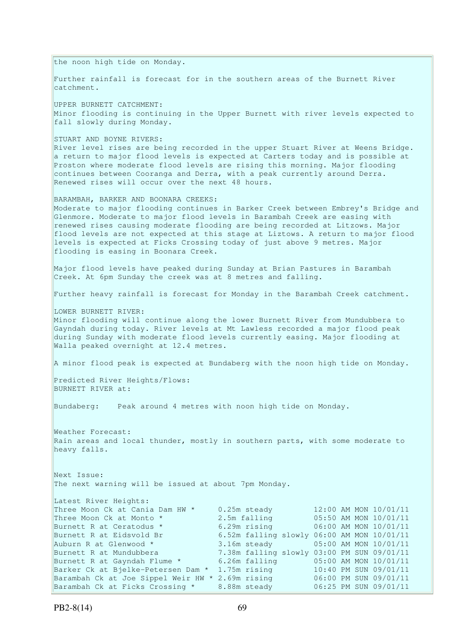the noon high tide on Monday. Further rainfall is forecast for in the southern areas of the Burnett River catchment. UPPER BURNETT CATCHMENT: Minor flooding is continuing in the Upper Burnett with river levels expected to fall slowly during Monday. STUART AND BOYNE RIVERS: River level rises are being recorded in the upper Stuart River at Weens Bridge. a return to major flood levels is expected at Carters today and is possible at Proston where moderate flood levels are rising this morning. Major flooding continues between Cooranga and Derra, with a peak currently around Derra. Renewed rises will occur over the next 48 hours. BARAMBAH, BARKER AND BOONARA CREEKS: Moderate to major flooding continues in Barker Creek between Embrey's Bridge and Glenmore. Moderate to major flood levels in Barambah Creek are easing with renewed rises causing moderate flooding are being recorded at Litzows. Major flood levels are not expected at this stage at Liztows. A return to major flood levels is expected at Ficks Crossing today of just above 9 metres. Major flooding is easing in Boonara Creek. Major flood levels have peaked during Sunday at Brian Pastures in Barambah Creek. At 6pm Sunday the creek was at 8 metres and falling. Further heavy rainfall is forecast for Monday in the Barambah Creek catchment. LOWER BURNETT RIVER: Minor flooding will continue along the lower Burnett River from Mundubbera to Gayndah during today. River levels at Mt Lawless recorded a major flood peak during Sunday with moderate flood levels currently easing. Major flooding at Walla peaked overnight at 12.4 metres. A minor flood peak is expected at Bundaberg with the noon high tide on Monday. Predicted River Heights/Flows: BURNETT RIVER at: Bundaberg: Peak around 4 metres with noon high tide on Monday. Weather Forecast: Rain areas and local thunder, mostly in southern parts, with some moderate to heavy falls. Next Issue: The next warning will be issued at about 7pm Monday. Latest River Heights: Three Moon Ck at Cania Dam HW  $*$  0.25m steady 12:00 AM MON  $10/01/11$ <br>Three Moon Ck at Monto  $*$  2.5m falling 05:50 AM MON 10/01/11 Three Moon Ck at Monto \* 2.5m falling 05:50 AM MON 10/01/11 Burnett R at Ceratodus \* 6.29m rising 06:00 AM MON 10/01/11 Burnett R at Eidsvold Br 6.52m falling slowly 06:00 AM MON 10/01/11 Auburn R at Glenwood \* 3.16m steady 05:00 AM MON 10/01/11 Burnett R at Mundubbera 7.38m falling slowly 03:00 PM SUN 09/01/11 Burnett R at Gayndah Flume \* 6.26m falling 05:00 AM MON 10/01/11 Barker Ck at Bjelke-Petersen Dam \* 1.75m rising 10:40 PM SUN 09/01/11 Barambah Ck at Joe Sippel Weir HW \* 2.69m rising 06:00 PM SUN 09/01/11 Barambah Ck at Ficks Crossing \* 8.88m steady 06:25 PM SUN 09/01/11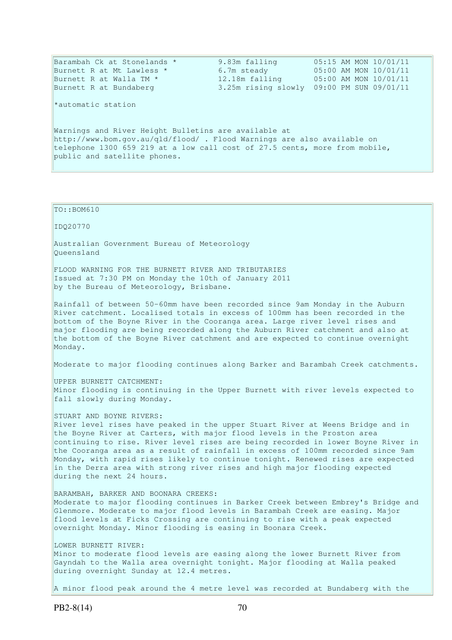| Barambah Ck at Stonelands *                                                | 9.83m falling | 05:15 AM MON 10/01/11                     |  |  |  |
|----------------------------------------------------------------------------|---------------|-------------------------------------------|--|--|--|
| Burnett R at Mt Lawless *                                                  | 6.7m steady   | 05:00 AM MON 10/01/11                     |  |  |  |
| Burnett R at Walla TM *                                                    |               | 12.18m falling 05:00 AM MON 10/01/11      |  |  |  |
| Burnett R at Bundaberg                                                     |               | 3.25m rising slowly 09:00 PM SUN 09/01/11 |  |  |  |
| *automatic station                                                         |               |                                           |  |  |  |
| Warnings and River Height Bulletins are available at                       |               |                                           |  |  |  |
| http://www.bom.gov.au/gld/flood/ . Flood Warnings are also available on    |               |                                           |  |  |  |
| telephone 1300 659 219 at a low call cost of 27.5 cents, more from mobile, |               |                                           |  |  |  |
| public and satellite phones.                                               |               |                                           |  |  |  |
|                                                                            |               |                                           |  |  |  |
|                                                                            |               |                                           |  |  |  |

IDQ20770 Australian Government Bureau of Meteorology Queensland FLOOD WARNING FOR THE BURNETT RIVER AND TRIBUTARIES Issued at 7:30 PM on Monday the 10th of January 2011 by the Bureau of Meteorology, Brisbane. Rainfall of between 50-60mm have been recorded since 9am Monday in the Auburn River catchment. Localised totals in excess of 100mm has been recorded in the bottom of the Boyne River in the Cooranga area. Large river level rises and major flooding are being recorded along the Auburn River catchment and also at the bottom of the Boyne River catchment and are expected to continue overnight Monday. Moderate to major flooding continues along Barker and Barambah Creek catchments. UPPER BURNETT CATCHMENT: Minor flooding is continuing in the Upper Burnett with river levels expected to fall slowly during Monday. STUART AND BOYNE RIVERS: River level rises have peaked in the upper Stuart River at Weens Bridge and in the Boyne River at Carters, with major flood levels in the Proston area continuing to rise. River level rises are being recorded in lower Boyne River in the Cooranga area as a result of rainfall in excess of 100mm recorded since 9am Monday, with rapid rises likely to continue tonight. Renewed rises are expected in the Derra area with strong river rises and high major flooding expected during the next 24 hours. BARAMBAH, BARKER AND BOONARA CREEKS: Moderate to major flooding continues in Barker Creek between Embrey's Bridge and Glenmore. Moderate to major flood levels in Barambah Creek are easing. Major flood levels at Ficks Crossing are continuing to rise with a peak expected overnight Monday. Minor flooding is easing in Boonara Creek. LOWER BURNETT RIVER: Minor to moderate flood levels are easing along the lower Burnett River from Gayndah to the Walla area overnight tonight. Major flooding at Walla peaked during overnight Sunday at 12.4 metres.

A minor flood peak around the 4 metre level was recorded at Bundaberg with the

TO::BOM610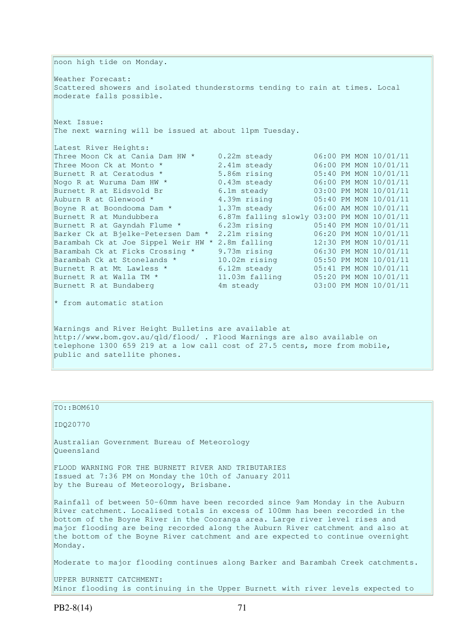noon high tide on Monday. Weather Forecast: Scattered showers and isolated thunderstorms tending to rain at times. Local moderate falls possible. Next Issue: The next warning will be issued at about 11pm Tuesday. Latest River Heights: Three Moon Ck at Cania Dam HW \* 0.22m steady<br>Three Moon Ck at Monto \* 2.41m steady Three Moon Ck at Monto  $*$  2.41m steady 06:00 PM MON 10/01/11 Burnett R at Ceratodus \* 5.86m rising 05:40 PM MON 10/01/11 Nogo R at Wuruma Dam HW \*  $0.43$ m steady  $0.6:00$  PM MON  $10/01/11$ Burnett R at Eidsvold Br 6.1m steady 03:00 PM MON 10/01/11 Auburn R at Glenwood  $*$  4.39m rising 05:40 PM MON 10/01/11 Boyne R at Boondooma Dam  $*$  1.37m steady 06:00 AM MON 10/01/11 Burnett R at Mundubbera 6.87m falling slowly 03:00 PM MON 10/01/11 Burnett R at Gayndah Flume \* 6.23m rising 05:40 PM MON 10/01/11 Barker Ck at Bjelke-Petersen Dam \* 2.21m rising 06:20 PM MON 10/01/11 Barambah Ck at Joe Sippel Weir HW \* 2.8m falling 12:30 PM MON 10/01/11 Barambah Ck at Ficks Crossing \* 9.73m rising 06:30 PM MON 10/01/11 Barambah Ck at Stonelands \* 10.02m rising 05:50 PM MON 10/01/11 Burnett R at Mt Lawless \* 6.12m steady 05:41 PM MON 10/01/11 Burnett R at Walla TM \* 11.03m falling 05:20 PM MON 10/01/11 Burnett R at Bundaberg 1999 Mondaberg 4m steady 103:00 PM MON 10/01/11 \* from automatic station Warnings and River Height Bulletins are available at http://www.bom.gov.au/qld/flood/ . Flood Warnings are also available on telephone 1300 659 219 at a low call cost of 27.5 cents, more from mobile, public and satellite phones.

TO::BOM610

IDQ20770

Australian Government Bureau of Meteorology Queensland

FLOOD WARNING FOR THE BURNETT RIVER AND TRIBUTARIES Issued at 7:36 PM on Monday the 10th of January 2011 by the Bureau of Meteorology, Brisbane.

Rainfall of between 50-60mm have been recorded since 9am Monday in the Auburn River catchment. Localised totals in excess of 100mm has been recorded in the bottom of the Boyne River in the Cooranga area. Large river level rises and major flooding are being recorded along the Auburn River catchment and also at the bottom of the Boyne River catchment and are expected to continue overnight Monday.

Moderate to major flooding continues along Barker and Barambah Creek catchments.

UPPER BURNETT CATCHMENT: Minor flooding is continuing in the Upper Burnett with river levels expected to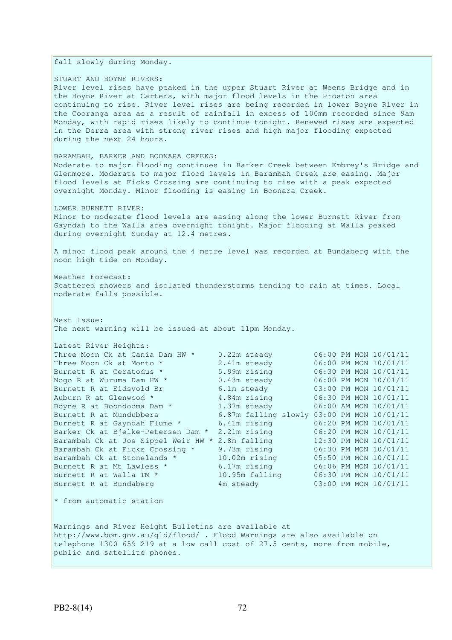fall slowly during Monday.

STUART AND BOYNE RIVERS:

River level rises have peaked in the upper Stuart River at Weens Bridge and in the Boyne River at Carters, with major flood levels in the Proston area continuing to rise. River level rises are being recorded in lower Boyne River in the Cooranga area as a result of rainfall in excess of 100mm recorded since 9am Monday, with rapid rises likely to continue tonight. Renewed rises are expected in the Derra area with strong river rises and high major flooding expected during the next 24 hours.

BARAMBAH, BARKER AND BOONARA CREEKS:

Moderate to major flooding continues in Barker Creek between Embrey's Bridge and Glenmore. Moderate to major flood levels in Barambah Creek are easing. Major flood levels at Ficks Crossing are continuing to rise with a peak expected overnight Monday. Minor flooding is easing in Boonara Creek.

LOWER BURNETT RIVER:

Minor to moderate flood levels are easing along the lower Burnett River from Gayndah to the Walla area overnight tonight. Major flooding at Walla peaked during overnight Sunday at 12.4 metres.

A minor flood peak around the 4 metre level was recorded at Bundaberg with the noon high tide on Monday.

Weather Forecast: Scattered showers and isolated thunderstorms tending to rain at times. Local moderate falls possible.

Next Issue: The next warning will be issued at about 11pm Monday.

| Latest River Heights:               |                                            |  |                       |
|-------------------------------------|--------------------------------------------|--|-----------------------|
| Three Moon Ck at Cania Dam HW *     | $0.22m$ steady                             |  | 06:00 PM MON 10/01/11 |
| Three Moon Ck at Monto *            | 2.41m steady                               |  | 06:00 PM MON 10/01/11 |
| Burnett R at Ceratodus *            | 5.99m rising                               |  | 06:30 PM MON 10/01/11 |
| Nogo R at Wuruma Dam HW *           | $0.43m$ steady                             |  | 06:00 PM MON 10/01/11 |
| Burnett R at Eidsvold Br            | 6.1m steady                                |  | 03:00 PM MON 10/01/11 |
| Auburn R at Glenwood *              | 4.84m rising                               |  | 06:30 PM MON 10/01/11 |
| Boyne R at Boondooma Dam *          | 1.37m steady                               |  | 06:00 AM MON 10/01/11 |
| Burnett R at Mundubbera             | 6.87m falling slowly 03:00 PM MON 10/01/11 |  |                       |
| Burnett R at Gayndah Flume *        | 6.41m rising                               |  | 06:20 PM MON 10/01/11 |
| Barker Ck at Bjelke-Petersen Dam *  | 2.21m rising                               |  | 06:20 PM MON 10/01/11 |
| Barambah Ck at Joe Sippel Weir HW * | 2.8m falling                               |  | 12:30 PM MON 10/01/11 |
| Barambah Ck at Ficks Crossing *     | 9.73m rising                               |  | 06:30 PM MON 10/01/11 |
| Barambah Ck at Stonelands *         | $10.02m$ rising                            |  | 05:50 PM MON 10/01/11 |
| Burnett R at Mt Lawless *           | 6.17m rising                               |  | 06:06 PM MON 10/01/11 |
| Burnett R at Walla TM *             | 10.95m falling                             |  | 06:30 PM MON 10/01/11 |
| Burnett R at Bundaberg              | 4m steady                                  |  | 03:00 PM MON 10/01/11 |
|                                     |                                            |  |                       |

\* from automatic station

Warnings and River Height Bulletins are available at http://www.bom.gov.au/qld/flood/ . Flood Warnings are also available on telephone 1300 659 219 at a low call cost of 27.5 cents, more from mobile, public and satellite phones.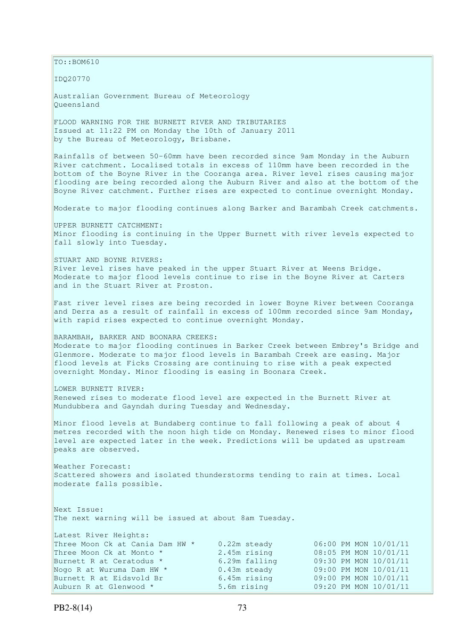$\vert$ TO::BOM610

IDQ20770

Australian Government Bureau of Meteorology Queensland

FLOOD WARNING FOR THE BURNETT RIVER AND TRIBUTARIES Issued at 11:22 PM on Monday the 10th of January 2011 by the Bureau of Meteorology, Brisbane.

Rainfalls of between 50-60mm have been recorded since 9am Monday in the Auburn River catchment. Localised totals in excess of 110mm have been recorded in the bottom of the Boyne River in the Cooranga area. River level rises causing major flooding are being recorded along the Auburn River and also at the bottom of the Boyne River catchment. Further rises are expected to continue overnight Monday.

Moderate to major flooding continues along Barker and Barambah Creek catchments.

UPPER BURNETT CATCHMENT: Minor flooding is continuing in the Upper Burnett with river levels expected to fall slowly into Tuesday.

STUART AND BOYNE RIVERS: River level rises have peaked in the upper Stuart River at Weens Bridge. Moderate to major flood levels continue to rise in the Boyne River at Carters and in the Stuart River at Proston.

Fast river level rises are being recorded in lower Boyne River between Cooranga and Derra as a result of rainfall in excess of 100mm recorded since 9am Monday, with rapid rises expected to continue overnight Monday.

BARAMBAH, BARKER AND BOONARA CREEKS: Moderate to major flooding continues in Barker Creek between Embrey's Bridge and Glenmore. Moderate to major flood levels in Barambah Creek are easing. Major flood levels at Ficks Crossing are continuing to rise with a peak expected overnight Monday. Minor flooding is easing in Boonara Creek.

LOWER BURNETT RIVER: Renewed rises to moderate flood level are expected in the Burnett River at Mundubbera and Gayndah during Tuesday and Wednesday.

Minor flood levels at Bundaberg continue to fall following a peak of about 4 metres recorded with the noon high tide on Monday. Renewed rises to minor flood level are expected later in the week. Predictions will be updated as upstream peaks are observed.

Weather Forecast: Scattered showers and isolated thunderstorms tending to rain at times. Local moderate falls possible.

Next Issue: The next warning will be issued at about 8am Tuesday.

| Latest River Heights:           |                |                       |
|---------------------------------|----------------|-----------------------|
| Three Moon Ck at Cania Dam HW * | $0.22m$ steady | 06:00 PM MON 10/01/11 |
| Three Moon Ck at Monto *        | 2.45m rising   | 08:05 PM MON 10/01/11 |
| Burnett R at Ceratodus *        | 6.29m falling  | 09:30 PM MON 10/01/11 |
| Nogo R at Wuruma Dam HW *       | $0.43m$ steady | 09:00 PM MON 10/01/11 |
| Burnett R at Eidsvold Br        | 6.45m rising   | 09:00 PM MON 10/01/11 |
| Auburn R at Glenwood *          | 5.6m rising    | 09:20 PM MON 10/01/11 |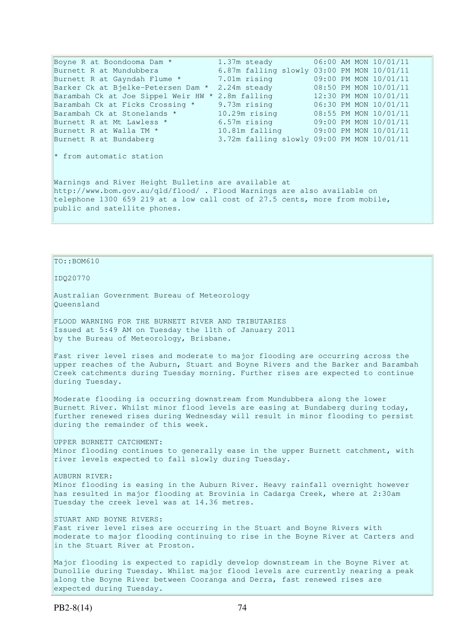Boyne R at Boondooma Dam \* 1.37m steady 06:00 AM MON 10/01/11 Burnett R at Mundubbera 6.87m falling slowly 03:00 PM MON 10/01/11 Burnett R at Gayndah Flume \* 7.01m rising 09:00 PM MON 10/01/11 Barker Ck at Bjelke-Petersen Dam \* 2.24m steady 08:50 PM MON 10/01/11 Barambah Ck at Joe Sippel Weir HW \* 2.8m falling 12:30 PM MON 10/01/11 Barambah Ck at Ficks Crossing \* 9.73m rising 06:30 PM MON 10/01/11 Barambah Ck at Stonelands \* 10.29m rising 08:55 PM MON 10/01/11 Burnett R at Mt Lawless \* 6.57m rising 09:00 PM MON 10/01/11 Burnett R at Walla TM \* 10.81m falling 09:00 PM MON 10/01/11 Burnett R at Bundaberg 3.72m falling slowly 09:00 PM MON 10/01/11 \* from automatic station Warnings and River Height Bulletins are available at http://www.bom.gov.au/qld/flood/ . Flood Warnings are also available on telephone 1300 659 219 at a low call cost of 27.5 cents, more from mobile, public and satellite phones.

### TO::BOM610

IDQ20770

Australian Government Bureau of Meteorology Queensland

FLOOD WARNING FOR THE BURNETT RIVER AND TRIBUTARIES Issued at 5:49 AM on Tuesday the 11th of January 2011 by the Bureau of Meteorology, Brisbane.

Fast river level rises and moderate to major flooding are occurring across the upper reaches of the Auburn, Stuart and Boyne Rivers and the Barker and Barambah Creek catchments during Tuesday morning. Further rises are expected to continue during Tuesday.

Moderate flooding is occurring downstream from Mundubbera along the lower Burnett River. Whilst minor flood levels are easing at Bundaberg during today, further renewed rises during Wednesday will result in minor flooding to persist during the remainder of this week.

UPPER BURNETT CATCHMENT: Minor flooding continues to generally ease in the upper Burnett catchment, with river levels expected to fall slowly during Tuesday.

AUBURN RIVER: Minor flooding is easing in the Auburn River. Heavy rainfall overnight however has resulted in major flooding at Brovinia in Cadarga Creek, where at 2:30am Tuesday the creek level was at 14.36 metres.

STUART AND BOYNE RIVERS: Fast river level rises are occurring in the Stuart and Boyne Rivers with moderate to major flooding continuing to rise in the Boyne River at Carters and in the Stuart River at Proston.

Major flooding is expected to rapidly develop downstream in the Boyne River at Dunollie during Tuesday. Whilst major flood levels are currently nearing a peak along the Boyne River between Cooranga and Derra, fast renewed rises are expected during Tuesday.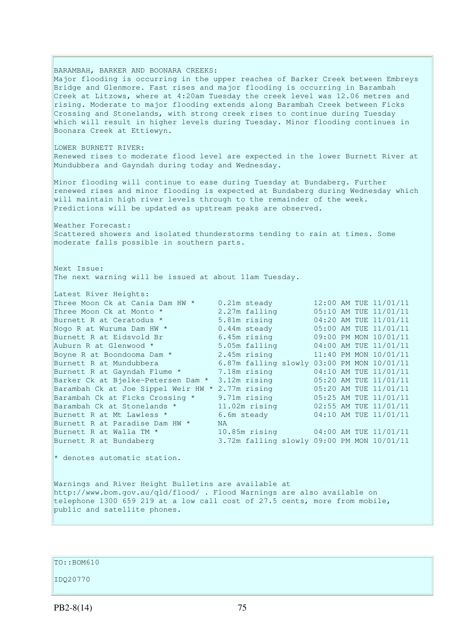BARAMBAH, BARKER AND BOONARA CREEKS: Major flooding is occurring in the upper reaches of Barker Creek between Embreys Bridge and Glenmore. Fast rises and major flooding is occurring in Barambah Creek at Litzows, where at 4:20am Tuesday the creek level was 12.06 metres and rising. Moderate to major flooding extends along Barambah Creek between Ficks Crossing and Stonelands, with strong creek rises to continue during Tuesday which will result in higher levels during Tuesday. Minor flooding continues in Boonara Creek at Ettiewyn. LOWER BURNETT RIVER: Renewed rises to moderate flood level are expected in the lower Burnett River at Mundubbera and Gayndah during today and Wednesday. Minor flooding will continue to ease during Tuesday at Bundaberg. Further renewed rises and minor flooding is expected at Bundaberg during Wednesday which will maintain high river levels through to the remainder of the week. Predictions will be updated as upstream peaks are observed. Weather Forecast: Scattered showers and isolated thunderstorms tending to rain at times. Some moderate falls possible in southern parts. Next Issue: The next warning will be issued at about 11am Tuesday. Latest River Heights: Three Moon Ck at Cania Dam HW \* 0.21m steady<br>
Three Moon Ck at Monto \* 2.27m falling<br>
Burnett R at Ceratodus \* 5.81m rising Three Moon Ck at Monto  $*$  2.27m falling  $05:10$  AM TUE  $11/01/11$ Burnett R at Ceratodus \* 5.81m rising 04:20 AM TUE 11/01/11 Nogo R at Wuruma Dam HW  $\star$  0.44m steady 05:00 AM TUE 11/01/11 Burnett R at Eidsvold Br 6.45m rising 09:00 PM MON 10/01/11 Nogo R at Wuruma Dam HW \* 0.44m steady 05:00 AM TUE 11/01/11<br>
Burnett R at Eidsvold Br 6.45m rising 09:00 PM MON 10/01/11<br>
Auburn R at Glenwood \* 5.05m falling 04:00 AM TUE 11/01/11<br>
Boyne R at Boondooma Dam \* 2.45m rising Boyne R at Boondooma Dam  $*$  2.45m rising 11:40 PM MON 10/01/11 Burnett R at Mundubbera 6.87m falling slowly 03:00 PM MON 10/01/11 Burnett R at Gayndah Flume \* 7.18m rising 04:10 AM TUE 11/01/11 Burnett R at Gayndah Flume \* 7.18m rising 04:10 AM TUE 11/01/11<br>Barker Ck at Bjelke-Petersen Dam \* 3.12m rising 05:20 AM TUE 11/01/11 Barambah Ck at Joe Sippel Weir HW \* 2.77m rising 05:20 AM TUE 11/01/11 Barambah Ck at Ficks Crossing \* 9.71m rising 05:25 AM TUE 11/01/11 Barambah Ck at Stonelands \* 11.02m rising 02:55 AM TUE 11/01/11 Burnett R at Mt Lawless \* 6.6m steady 04:10 AM TUE 11/01/11 Burnett R at Paradise Dam HW \* NA Burnett R at Walla TM \*  $10.85$ m rising  $04:00$  AM TUE  $11/01/11$ <br>Burnett R at Bundaberg 3.72m falling slowly 09:00 PM MON 10/01/11 Burnett R at Bundaberg 3.72m falling slowly 09:00 PM MON 10/01/11  $*$  denotes automatic station. Warnings and River Height Bulletins are available at http://www.bom.gov.au/qld/flood/ . Flood Warnings are also available on telephone 1300 659 219 at a low call cost of 27.5 cents, more from mobile, public and satellite phones.

TO::BOM610

IDQ20770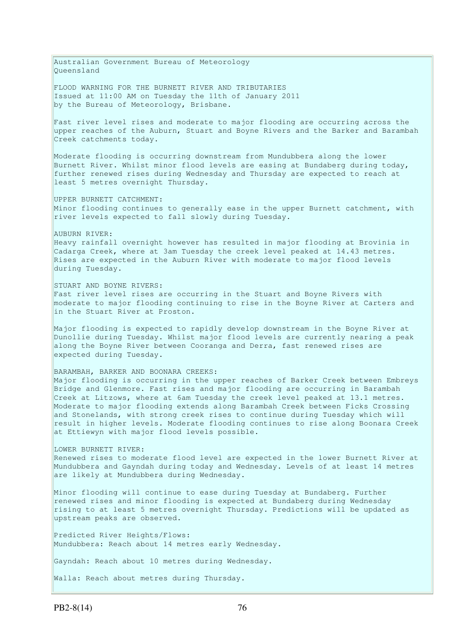Australian Government Bureau of Meteorology Queensland FLOOD WARNING FOR THE BURNETT RIVER AND TRIBUTARIES Issued at 11:00 AM on Tuesday the 11th of January 2011 by the Bureau of Meteorology, Brisbane. Fast river level rises and moderate to major flooding are occurring across the upper reaches of the Auburn, Stuart and Boyne Rivers and the Barker and Barambah Creek catchments today. Moderate flooding is occurring downstream from Mundubbera along the lower Burnett River. Whilst minor flood levels are easing at Bundaberg during today, further renewed rises during Wednesday and Thursday are expected to reach at least 5 metres overnight Thursday. UPPER BURNETT CATCHMENT: Minor flooding continues to generally ease in the upper Burnett catchment, with river levels expected to fall slowly during Tuesday. AUBURN RIVER: Heavy rainfall overnight however has resulted in major flooding at Brovinia in Cadarga Creek, where at 3am Tuesday the creek level peaked at 14.43 metres. Rises are expected in the Auburn River with moderate to major flood levels during Tuesday. STUART AND BOYNE RIVERS: Fast river level rises are occurring in the Stuart and Boyne Rivers with moderate to major flooding continuing to rise in the Boyne River at Carters and in the Stuart River at Proston. Major flooding is expected to rapidly develop downstream in the Boyne River at Dunollie during Tuesday. Whilst major flood levels are currently nearing a peak along the Boyne River between Cooranga and Derra, fast renewed rises are expected during Tuesday. BARAMBAH, BARKER AND BOONARA CREEKS: Major flooding is occurring in the upper reaches of Barker Creek between Embreys Bridge and Glenmore. Fast rises and major flooding are occurring in Barambah Creek at Litzows, where at 6am Tuesday the creek level peaked at 13.1 metres. Moderate to major flooding extends along Barambah Creek between Ficks Crossing and Stonelands, with strong creek rises to continue during Tuesday which will result in higher levels. Moderate flooding continues to rise along Boonara Creek at Ettiewyn with major flood levels possible. LOWER BURNETT RIVER: Renewed rises to moderate flood level are expected in the lower Burnett River at Mundubbera and Gayndah during today and Wednesday. Levels of at least 14 metres are likely at Mundubbera during Wednesday. Minor flooding will continue to ease during Tuesday at Bundaberg. Further renewed rises and minor flooding is expected at Bundaberg during Wednesday rising to at least 5 metres overnight Thursday. Predictions will be updated as upstream peaks are observed. Predicted River Heights/Flows: Mundubbera: Reach about 14 metres early Wednesday. Gayndah: Reach about 10 metres during Wednesday. Walla: Reach about metres during Thursday.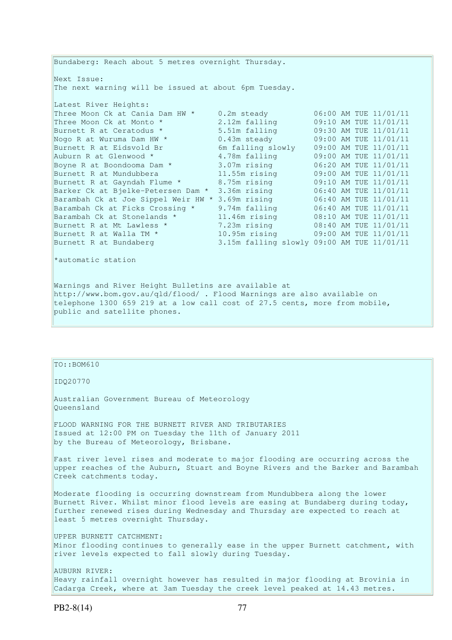Bundaberg: Reach about 5 metres overnight Thursday. Next Issue: The next warning will be issued at about 6pm Tuesday. Latest River Heights: Three Moon Ck at Cania Dam HW \* 0.2m steady 06:00 AM TUE 11/01/11 Three Moon Ck at Monto  $*$  2.12m falling 09:10 AM TUE 11/01/11 Burnett R at Ceratodus \* 5.51m falling 09:30 AM TUE 11/01/11 Nogo R at Wuruma Dam HW \* 0.43m steady 09:00 AM TUE 11/01/11 Burnett R at Eidsvold Br 6m falling slowly 09:00 AM TUE 11/01/11 Auburn R at Glenwood \* 4.78m falling 09:00 AM TUE 11/01/11 Boyne R at Boondooma Dam \* 3.07m rising 06:20 AM TUE 11/01/11 Burnett R at Mundubbera 11.55m rising 09:00 AM TUE 11/01/11 Burnett R at Gayndah Flume \* 8.75m rising 09:10 AM TUE 11/01/11 Barker Ck at Bjelke-Petersen Dam \* 3.36m rising 06:40 AM TUE 11/01/11 Barambah Ck at Joe Sippel Weir HW \* 3.69m rising 06:40 AM TUE 11/01/11 Barambah Ck at Ficks Crossing \* 9.74m falling 06:40 AM TUE 11/01/11 Barambah Ck at Stonelands \* 11.46m rising 08:10 AM TUE 11/01/11 Burnett R at Mt Lawless \* 7.23m rising 08:40 AM TUE 11/01/11 Burnett R at Walla TM \* 10.95m rising 09:00 AM TUE 11/01/11 Burnett R at Bundaberg 3.15m falling slowly 09:00 AM TUE 11/01/11

\*automatic station

Warnings and River Height Bulletins are available at http://www.bom.gov.au/qld/flood/ . Flood Warnings are also available on telephone 1300 659 219 at a low call cost of 27.5 cents, more from mobile, public and satellite phones.

# $TO: : BOM610$

IDQ20770

Australian Government Bureau of Meteorology Queensland

FLOOD WARNING FOR THE BURNETT RIVER AND TRIBUTARIES Issued at 12:00 PM on Tuesday the 11th of January 2011 by the Bureau of Meteorology, Brisbane.

Fast river level rises and moderate to major flooding are occurring across the upper reaches of the Auburn, Stuart and Boyne Rivers and the Barker and Barambah Creek catchments today.

Moderate flooding is occurring downstream from Mundubbera along the lower Burnett River. Whilst minor flood levels are easing at Bundaberg during today, further renewed rises during Wednesday and Thursday are expected to reach at least 5 metres overnight Thursday.

UPPER BURNETT CATCHMENT: Minor flooding continues to generally ease in the upper Burnett catchment, with river levels expected to fall slowly during Tuesday.

AUBURN RIVER: Heavy rainfall overnight however has resulted in major flooding at Brovinia in Cadarga Creek, where at 3am Tuesday the creek level peaked at 14.43 metres.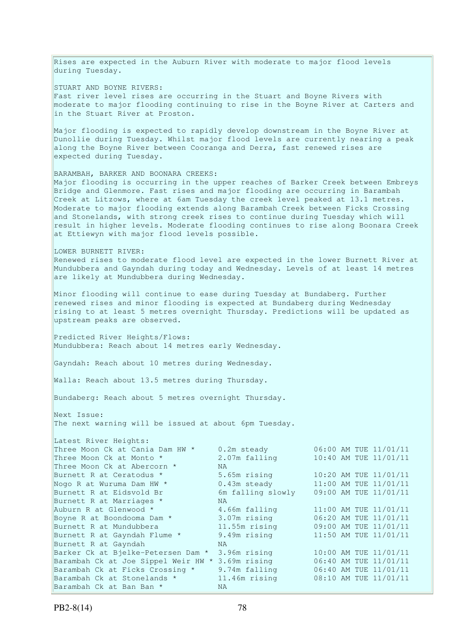Rises are expected in the Auburn River with moderate to major flood levels during Tuesday.

STUART AND BOYNE RIVERS: Fast river level rises are occurring in the Stuart and Boyne Rivers with moderate to major flooding continuing to rise in the Boyne River at Carters and in the Stuart River at Proston.

Major flooding is expected to rapidly develop downstream in the Boyne River at Dunollie during Tuesday. Whilst major flood levels are currently nearing a peak along the Boyne River between Cooranga and Derra, fast renewed rises are expected during Tuesday.

BARAMBAH, BARKER AND BOONARA CREEKS: Major flooding is occurring in the upper reaches of Barker Creek between Embreys Bridge and Glenmore. Fast rises and major flooding are occurring in Barambah Creek at Litzows, where at 6am Tuesday the creek level peaked at 13.1 metres. Moderate to major flooding extends along Barambah Creek between Ficks Crossing and Stonelands, with strong creek rises to continue during Tuesday which will result in higher levels. Moderate flooding continues to rise along Boonara Creek at Ettiewyn with major flood levels possible.

LOWER BURNETT RIVER: Renewed rises to moderate flood level are expected in the lower Burnett River at Mundubbera and Gayndah during today and Wednesday. Levels of at least 14 metres are likely at Mundubbera during Wednesday.

Minor flooding will continue to ease during Tuesday at Bundaberg. Further renewed rises and minor flooding is expected at Bundaberg during Wednesday rising to at least 5 metres overnight Thursday. Predictions will be updated as upstream peaks are observed.

Predicted River Heights/Flows: Mundubbera: Reach about 14 metres early Wednesday.

Gayndah: Reach about 10 metres during Wednesday.

Walla: Reach about 13.5 metres during Thursday.

Bundaberg: Reach about 5 metres overnight Thursday.

Next Issue:

The next warning will be issued at about 6pm Tuesday.

| Latest River Heights:               |                   |  |                       |
|-------------------------------------|-------------------|--|-----------------------|
| Three Moon Ck at Cania Dam HW *     | 0.2m steady       |  | 06:00 AM TUE 11/01/11 |
| Three Moon Ck at Monto *            | 2.07m falling     |  | 10:40 AM TUE 11/01/11 |
| Three Moon Ck at Abercorn *         | <b>NA</b>         |  |                       |
| Burnett R at Ceratodus *            | 5.65m rising      |  | 10:20 AM TUE 11/01/11 |
| Nogo R at Wuruma Dam HW *           | $0.43m$ steady    |  | 11:00 AM TUE 11/01/11 |
| Burnett R at Eidsvold Br            | 6m falling slowly |  | 09:00 AM TUE 11/01/11 |
| Burnett R at Marriages *            | NA.               |  |                       |
| Auburn R at Glenwood *              | 4.66m falling     |  | 11:00 AM TUE 11/01/11 |
| Boyne R at Boondooma Dam *          | 3.07m rising      |  | 06:20 AM TUE 11/01/11 |
| Burnett R at Mundubbera             | 11.55m rising     |  | 09:00 AM TUE 11/01/11 |
| Burnett R at Gayndah Flume *        | 9.49m rising      |  | 11:50 AM TUE 11/01/11 |
| Burnett R at Gayndah                | NA.               |  |                       |
| Barker Ck at Bjelke-Petersen Dam *  | 3.96m rising      |  | 10:00 AM TUE 11/01/11 |
| Barambah Ck at Joe Sippel Weir HW * | 3.69m rising      |  | 06:40 AM TUE 11/01/11 |
| Barambah Ck at Ficks Crossing *     | 9.74m falling     |  | 06:40 AM TUE 11/01/11 |
| Barambah Ck at Stonelands *         | $11.46m$ rising   |  | 08:10 AM TUE 11/01/11 |
| Barambah Ck at Ban Ban *            | <b>NA</b>         |  |                       |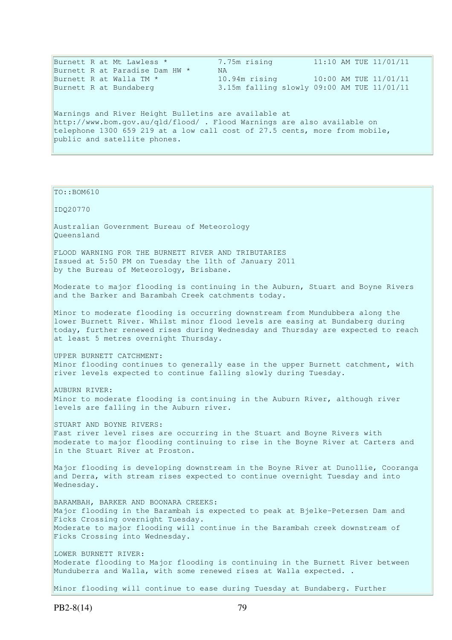| Burnett R at Mt Lawless *                                                  | 7.75m rising | $11:10$ AM TUE $11/01/11$                  |  |  |  |
|----------------------------------------------------------------------------|--------------|--------------------------------------------|--|--|--|
| Burnett R at Paradise Dam HW *                                             | NA.          |                                            |  |  |  |
| Burnett R at Walla TM *                                                    |              | 10.94m rising 10:00 AM TUE 11/01/11        |  |  |  |
| Burnett R at Bundaberg                                                     |              | 3.15m falling slowly 09:00 AM TUE 11/01/11 |  |  |  |
|                                                                            |              |                                            |  |  |  |
| Warnings and River Height Bulletins are available at                       |              |                                            |  |  |  |
| http://www.bom.gov.au/gld/flood/. Flood Warnings are also available on     |              |                                            |  |  |  |
| telephone 1300 659 219 at a low call cost of 27.5 cents, more from mobile, |              |                                            |  |  |  |
| public and satellite phones.                                               |              |                                            |  |  |  |
|                                                                            |              |                                            |  |  |  |

TO::BOM610 IDQ20770 Australian Government Bureau of Meteorology Queensland FLOOD WARNING FOR THE BURNETT RIVER AND TRIBUTARIES Issued at 5:50 PM on Tuesday the 11th of January 2011 by the Bureau of Meteorology, Brisbane. Moderate to major flooding is continuing in the Auburn, Stuart and Boyne Rivers and the Barker and Barambah Creek catchments today. Minor to moderate flooding is occurring downstream from Mundubbera along the lower Burnett River. Whilst minor flood levels are easing at Bundaberg during today, further renewed rises during Wednesday and Thursday are expected to reach at least 5 metres overnight Thursday. UPPER BURNETT CATCHMENT: Minor flooding continues to generally ease in the upper Burnett catchment, with river levels expected to continue falling slowly during Tuesday. AUBURN RIVER: Minor to moderate flooding is continuing in the Auburn River, although river levels are falling in the Auburn river. STUART AND BOYNE RIVERS: Fast river level rises are occurring in the Stuart and Boyne Rivers with moderate to major flooding continuing to rise in the Boyne River at Carters and in the Stuart River at Proston. Major flooding is developing downstream in the Boyne River at Dunollie, Cooranga and Derra, with stream rises expected to continue overnight Tuesday and into Wednesday. BARAMBAH, BARKER AND BOONARA CREEKS: Major flooding in the Barambah is expected to peak at Bjelke-Petersen Dam and Ficks Crossing overnight Tuesday. Moderate to major flooding will continue in the Barambah creek downstream of Ficks Crossing into Wednesday. LOWER BURNETT RIVER: Moderate flooding to Major flooding is continuing in the Burnett River between Munduberra and Walla, with some renewed rises at Walla expected. . Minor flooding will continue to ease during Tuesday at Bundaberg. Further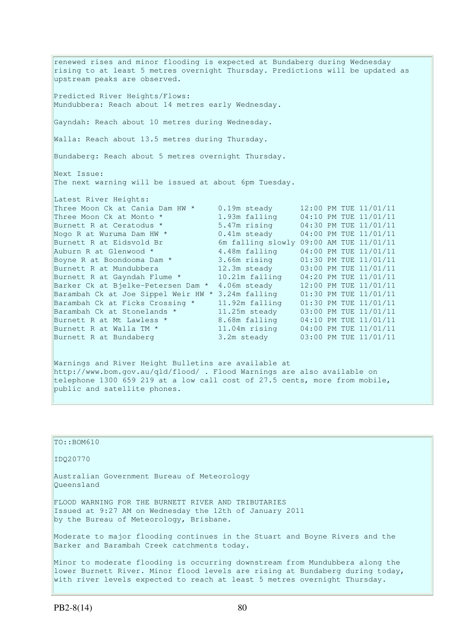renewed rises and minor flooding is expected at Bundaberg during Wednesday rising to at least 5 metres overnight Thursday. Predictions will be updated as upstream peaks are observed. Predicted River Heights/Flows: Mundubbera: Reach about 14 metres early Wednesday. Gayndah: Reach about 10 metres during Wednesday. Walla: Reach about 13.5 metres during Thursday. Bundaberg: Reach about 5 metres overnight Thursday. Next Issue: The next warning will be issued at about 6pm Tuesday. Latest River Heights: Three Moon Ck at Cania Dam HW \* 0.19m steady 12:00 PM TUE 11/01/11 Three Moon Ck at Monto  $\star$  1.93m falling 04:10 PM TUE 11/01/11 Burnett R at Ceratodus \* 5.47m rising 04:30 PM TUE 11/01/11 Nogo R at Wuruma Dam HW  $\star$  0.41m steady 04:00 PM TUE 11/01/11 Burnett R at Eidsvold Br 6m falling slowly 09:00 AM TUE 11/01/11 Auburn R at Glenwood  $\star$  4.48m falling 04:00 PM TUE 11/01/11 Boyne R at Boondooma Dam \* 3.66m rising 01:30 PM TUE 11/01/11 Burnett R at Mundubbera 12.3m steady 03:00 PM TUE 11/01/11 Burnett R at Gayndah Flume \* 10.21m falling 04:20 PM TUE 11/01/11 Barker Ck at Bjelke-Petersen Dam \* 4.06m steady 12:00 PM TUE 11/01/11 Barambah Ck at Joe Sippel Weir HW \* 3.24m falling 01:30 PM TUE 11/01/11 Barambah Ck at Ficks Crossing \* 11.92m falling 01:30 PM TUE 11/01/11 Barambah Ck at Stonelands \* 11.25m steady 03:00 PM TUE 11/01/11 Burnett R at Mt Lawless \* 8.68m falling 04:10 PM TUE 11/01/11 Burnett R at Walla TM \* 11.04m rising 04:00 PM TUE 11/01/11 Burnett R at Bundaberg 3.2m steady 03:00 PM TUE 11/01/11 Warnings and River Height Bulletins are available at http://www.bom.gov.au/qld/flood/ . Flood Warnings are also available on

telephone 1300 659 219 at a low call cost of 27.5 cents, more from mobile, public and satellite phones.

TO::BOM610 IDQ20770 Australian Government Bureau of Meteorology Queensland FLOOD WARNING FOR THE BURNETT RIVER AND TRIBUTARIES Issued at 9:27 AM on Wednesday the 12th of January 2011 by the Bureau of Meteorology, Brisbane. Moderate to major flooding continues in the Stuart and Boyne Rivers and the Barker and Barambah Creek catchments today. Minor to moderate flooding is occurring downstream from Mundubbera along the lower Burnett River. Minor flood levels are rising at Bundaberg during today,

with river levels expected to reach at least 5 metres overnight Thursday.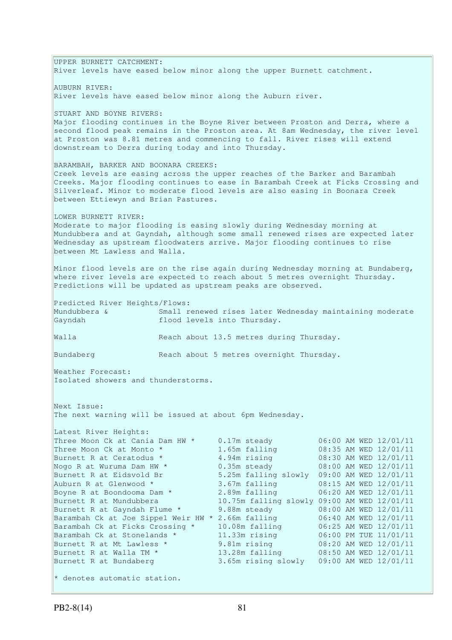UPPER BURNETT CATCHMENT: River levels have eased below minor along the upper Burnett catchment. AUBURN RIVER: River levels have eased below minor along the Auburn river. STUART AND BOYNE RIVERS: Major flooding continues in the Boyne River between Proston and Derra, where a second flood peak remains in the Proston area. At 8am Wednesday, the river level at Proston was 8.81 metres and commencing to fall. River rises will extend downstream to Derra during today and into Thursday. BARAMBAH, BARKER AND BOONARA CREEKS: Creek levels are easing across the upper reaches of the Barker and Barambah Creeks. Major flooding continues to ease in Barambah Creek at Ficks Crossing and Silverleaf. Minor to moderate flood levels are also easing in Boonara Creek between Ettiewyn and Brian Pastures. LOWER BURNETT RIVER: Moderate to major flooding is easing slowly during Wednesday morning at Mundubbera and at Gayndah, although some small renewed rises are expected later Wednesday as upstream floodwaters arrive. Major flooding continues to rise between Mt Lawless and Walla. Minor flood levels are on the rise again during Wednesday morning at Bundaberg, where river levels are expected to reach about 5 metres overnight Thursday. Predictions will be updated as upstream peaks are observed. Predicted River Heights/Flows: Mundubbera & Small renewed rises later Wednesday maintaining moderate Gayndah **flood** levels into Thursday. Walla Reach about 13.5 metres during Thursday. Bundaberg Reach about 5 metres overnight Thursday. Weather Forecast: Isolated showers and thunderstorms. Next Issue: The next warning will be issued at about 6pm Wednesday. Latest River Heights: Three Moon Ck at Cania Dam HW  $*$  0.17m steady 06:00 AM WED 12/01/11 Three Moon Ck at Monto  $*$  1.65m falling 08:35 AM WED 12/01/11 Burnett R at Ceratodus \* 4.94m rising 08:30 AM WED 12/01/11 Nogo R at Wuruma Dam HW  $^{\star}$   $0.35$ m steady  $0.8:00$  AM WED  $12/01/11$ Burnett R at Eidsvold Br 5.25m falling slowly 09:00 AM WED 12/01/11 Auburn R at Glenwood \* 3.67m falling 08:15 AM WED 12/01/11 Boyne R at Boondooma Dam \* 2.89m falling 06:20 AM WED 12/01/11 Burnett R at Mundubbera 10.75m falling slowly 09:00 AM WED 12/01/11 Burnett R at Gayndah Flume \* 9.88m steady 08:00 AM WED 12/01/11 Barambah Ck at Joe Sippel Weir HW \* 2.66m falling 06:40 AM WED 12/01/11 Barambah Ck at Ficks Crossing \* 10.08m falling 06:25 AM WED 12/01/11 Barambah Ck at Stonelands \* 11.33m rising 06:00 PM TUE 11/01/11 Burnett R at Mt Lawless \* 9.81m rising 08:20 AM WED 12/01/11 Burnett R at Walla TM \* 13.28m falling 08:50 AM WED 12/01/11 Burnett R at Bundaberg 3.65m rising slowly 09:00 AM WED 12/01/11  $*$  denotes automatic station.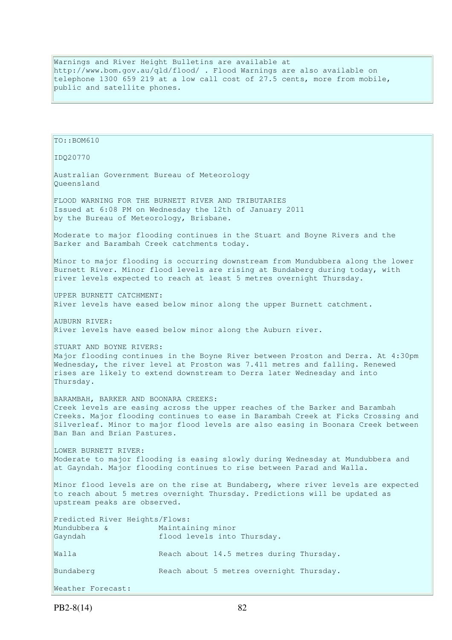Warnings and River Height Bulletins are available at http://www.bom.gov.au/qld/flood/ . Flood Warnings are also available on telephone 1300 659 219 at a low call cost of 27.5 cents, more from mobile, public and satellite phones.

```
TO::BOM610 
IDQ20770 
Australian Government Bureau of Meteorology 
Queensland 
FLOOD WARNING FOR THE BURNETT RIVER AND TRIBUTARIES 
Issued at 6:08 PM on Wednesday the 12th of January 2011 
by the Bureau of Meteorology, Brisbane.
Moderate to major flooding continues in the Stuart and Boyne Rivers and the 
Barker and Barambah Creek catchments today. 
Minor to major flooding is occurring downstream from Mundubbera along the lower 
Burnett River. Minor flood levels are rising at Bundaberg during today, with 
river levels expected to reach at least 5 metres overnight Thursday. 
UPPER BURNETT CATCHMENT: 
River levels have eased below minor along the upper Burnett catchment.
AUBURN RIVER: 
River levels have eased below minor along the Auburn river. 
STUART AND BOYNE RIVERS:
Major flooding continues in the Boyne River between Proston and Derra. At 4:30pm 
Wednesday, the river level at Proston was 7.411 metres and falling. Renewed 
rises are likely to extend downstream to Derra later Wednesday and into 
Thursday. 
BARAMBAH, BARKER AND BOONARA CREEKS: 
Creek levels are easing across the upper reaches of the Barker and Barambah 
Creeks. Major flooding continues to ease in Barambah Creek at Ficks Crossing and 
Silverleaf. Minor to major flood levels are also easing in Boonara Creek between
Ban Ban and Brian Pastures. 
LOWER BURNETT RIVER:
Moderate to major flooding is easing slowly during Wednesday at Mundubbera and 
at Gayndah. Major flooding continues to rise between Parad and Walla.
Minor flood levels are on the rise at Bundaberg, where river levels are expected 
to reach about 5 metres overnight Thursday. Predictions will be updated as 
upstream peaks are observed. 
Predicted River Heights/Flows: 
Mundubbera & Maintaining minor 
Gayndah flood levels into Thursday.
Walla Reach about 14.5 metres during Thursday.
Bundaberg Reach about 5 metres overnight Thursday. 
Weather Forecast:
```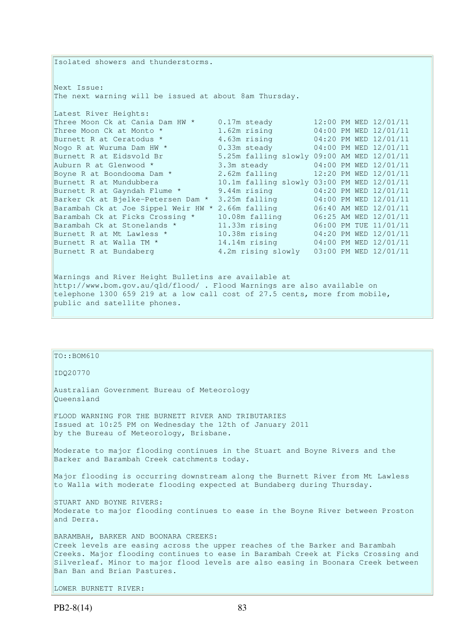Isolated showers and thunderstorms. Next Issue: The next warning will be issued at about 8am Thursday. Latest River Heights: Three Moon Ck at Cania Dam HW  $*$  0.17m steady 12:00 PM WED 12/01/11 Three Moon Ck at Monto \* 1.62m rising 04:00 PM WED 12/01/11 Burnett R at Ceratodus \* 3.63m rising 04:20 PM WED 12/01/11 Nogo R at Wuruma Dam HW \* 0.33m steady 04:00 PM WED 12/01/11 Burnett R at Eidsvold Br 5.25m falling slowly 09:00 AM WED 12/01/11 Auburn R at Glenwood  $*$  3.3m steady 04:00 PM WED 12/01/11 Boyne R at Boondooma Dam  $*$  2.62m falling 12:20 PM WED 12/01/11 Burnett R at Mundubbera 10.1m falling slowly 03:00 PM WED 12/01/11 Burnett R at Gayndah Flume \* 9.44m rising 04:20 PM WED 12/01/11 Barker Ck at Bjelke-Petersen Dam \* 3.25m falling 04:00 PM WED 12/01/11 Barambah Ck at Joe Sippel Weir HW \* 2.66m falling 06:40 AM WED 12/01/11 Barambah Ck at Ficks Crossing \* 10.08m falling 06:25 AM WED 12/01/11 Barambah Ck at Stonelands \* 11.33m rising 06:00 PM TUE 11/01/11 Burnett R at Mt Lawless \* 10.38m rising 04:20 PM WED 12/01/11 Burnett R at Walla TM \* 14.14m rising 04:00 PM WED 12/01/11 Burnett R at Bundaberg 4.2m rising slowly 03:00 PM WED 12/01/11 Warnings and River Height Bulletins are available at http://www.bom.gov.au/qld/flood/ . Flood Warnings are also available on telephone 1300 659 219 at a low call cost of 27.5 cents, more from mobile,

# $TO::BOM610$

public and satellite phones.

IDQ20770

Australian Government Bureau of Meteorology Queensland

FLOOD WARNING FOR THE BURNETT RIVER AND TRIBUTARIES Issued at 10:25 PM on Wednesday the 12th of January 2011 by the Bureau of Meteorology, Brisbane.

Moderate to major flooding continues in the Stuart and Boyne Rivers and the Barker and Barambah Creek catchments today.

Major flooding is occurring downstream along the Burnett River from Mt Lawless to Walla with moderate flooding expected at Bundaberg during Thursday.

STUART AND BOYNE RIVERS: Moderate to major flooding continues to ease in the Boyne River between Proston and Derra.

BARAMBAH, BARKER AND BOONARA CREEKS: Creek levels are easing across the upper reaches of the Barker and Barambah Creeks. Major flooding continues to ease in Barambah Creek at Ficks Crossing and Silverleaf. Minor to major flood levels are also easing in Boonara Creek between Ban Ban and Brian Pastures.

LOWER BURNETT RIVER: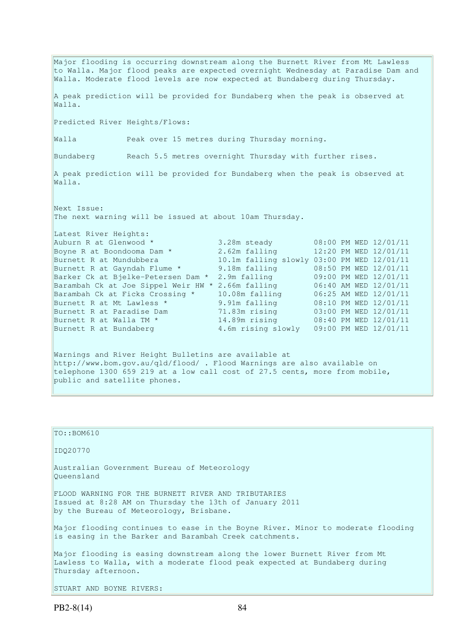Major flooding is occurring downstream along the Burnett River from Mt Lawless to Walla. Major flood peaks are expected overnight Wednesday at Paradise Dam and Walla. Moderate flood levels are now expected at Bundaberg during Thursday. A peak prediction will be provided for Bundaberg when the peak is observed at Walla. Predicted River Heights/Flows: Walla Peak over 15 metres during Thursday morning. Bundaberg Reach 5.5 metres overnight Thursday with further rises. A peak prediction will be provided for Bundaberg when the peak is observed at  $W = 11$ Next Issue: The next warning will be issued at about 10am Thursday. Latest River Heights: Auburn R at Glenwood  $*$  3.28m steady 08:00 PM WED 12/01/11 Boyne R at Boondooma Dam  $*$  2.62m falling 12:20 PM WED 12/01/11 Burnett R at Mundubbera 10.1m falling slowly 03:00 PM WED 12/01/11 Burnett R at Gayndah Flume \* 9.18m falling 08:50 PM WED 12/01/11 Barker Ck at Bjelke-Petersen Dam \* 2.9m falling 09:00 PM WED 12/01/11 Barambah Ck at Joe Sippel Weir HW \* 2.66m falling 06:40 AM WED 12/01/11 Barambah Ck at Ficks Crossing \* 10.08m falling 06:25 AM WED 12/01/11 Burnett R at Mt Lawless \* 9.91m falling 08:10 PM WED 12/01/11 Burnett R at Paradise Dam 71.83m rising 03:00 PM WED 12/01/11 Burnett R at Walla TM \* 14.89m rising 08:40 PM WED 12/01/11 Burnett R at Bundaberg 4.6m rising slowly 09:00 PM WED 12/01/11 Warnings and River Height Bulletins are available at http://www.bom.gov.au/qld/flood/ . Flood Warnings are also available on telephone 1300 659 219 at a low call cost of 27.5 cents, more from mobile,

```
public and satellite phones.
```
TO::BOM610 IDQ20770 Australian Government Bureau of Meteorology Queensland FLOOD WARNING FOR THE BURNETT RIVER AND TRIBUTARIES Issued at 8:28 AM on Thursday the 13th of January 2011 by the Bureau of Meteorology, Brisbane. Major flooding continues to ease in the Boyne River. Minor to moderate flooding is easing in the Barker and Barambah Creek catchments. Major flooding is easing downstream along the lower Burnett River from Mt Lawless to Walla, with a moderate flood peak expected at Bundaberg during Thursday afternoon.

STUART AND BOYNE RIVERS: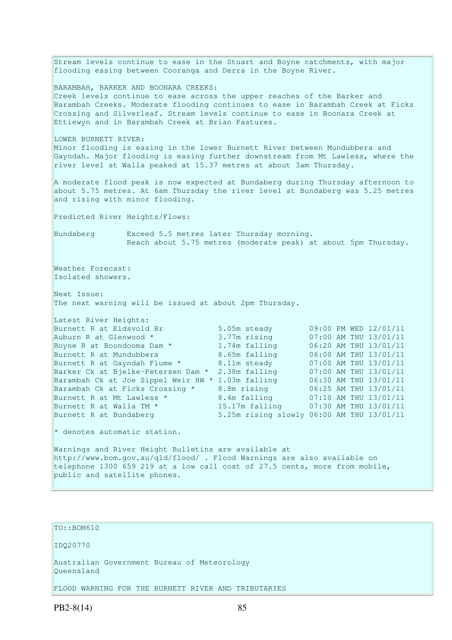Stream levels continue to ease in the Stuart and Boyne catchments, with major flooding easing between Cooranga and Derra in the Boyne River. BARAMBAH, BARKER AND BOONARA CREEKS: Creek levels continue to ease across the upper reaches of the Barker and Barambah Creeks. Moderate flooding continues to ease in Barambah Creek at Ficks Crossing and Silverleaf. Stream levels continue to ease in Boonara Creek at Ettiewyn and in Barambah Creek at Brian Pastures. LOWER BURNETT RIVER: Minor flooding is easing in the lower Burnett River between Mundubbera and Gayndah. Major flooding is easing further downstream from Mt Lawless, where the river level at Walla peaked at 15.37 metres at about 3am Thursday. A moderate flood peak is now expected at Bundaberg during Thursday afternoon to about 5.75 metres. At 6am Thursday the river level at Bundaberg was 5.25 metres and rising with minor flooding. Predicted River Heights/Flows: Bundaberg Exceed 5.5 metres later Thursday morning. Reach about 5.75 metres (moderate peak) at about 5pm Thursday. Weather Forecast: Isolated showers. Next Issue: The next warning will be issued at about 2pm Thursday. Latest River Heights: Burnett R at Eidsvold Br 5.05m steady 09:00 PM WED 12/01/11 Auburn R at Glenwood \* 3.77m rising 07:00 AM THU 13/01/11 Boyne R at Boondooma Dam \* 1.74m falling 06:20 AM THU 13/01/11 Burnett R at Mundubbera 8.65m falling 06:00 AM THU 13/01/11 Burnett R at Gayndah Flume \* 8.11m steady 07:00 AM THU 13/01/11 Barker Ck at Bjelke-Petersen Dam \* 2.38m falling 07:00 AM THU 13/01/11 Barambah Ck at Joe Sippel Weir HW \* 1.03m falling 06:30 AM THU 13/01/11 Barambah Ck at Ficks Crossing \* 8.8m rising 06:25 AM THU 13/01/11<br>Burnett R at Mt Lawless \* 8.4m falling 07:10 AM THU 13/01/11 Burnett R at Mt Lawless \* 3.4m falling 07:10 AM THU 13/01/11 Burnett R at Walla TM  $^{\star}$  15.17m falling 07:30 AM THU 13/01/11 Burnett R at Bundaberg 5.25m rising slowly 06:00 AM THU 13/01/11 \* denotes automatic station. Warnings and River Height Bulletins are available at http://www.bom.gov.au/qld/flood/ . Flood Warnings are also available on telephone 1300 659 219 at a low call cost of 27.5 cents, more from mobile, public and satellite phones.

TO::BOM610 IDQ20770 Australian Government Bureau of Meteorology Queensland FLOOD WARNING FOR THE BURNETT RIVER AND TRIBUTARIES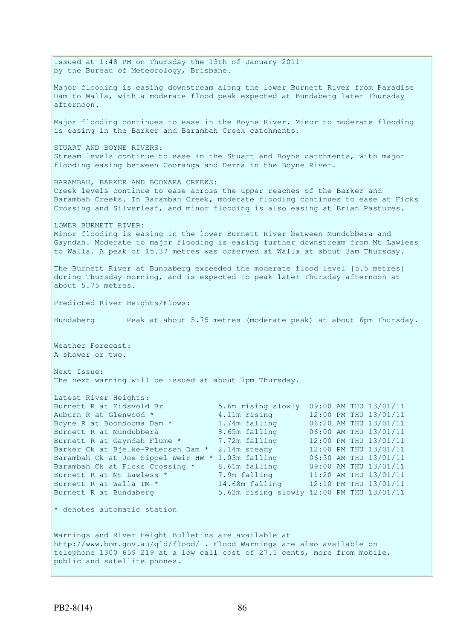Issued at 1:48 PM on Thursday the 13th of January 2011 by the Bureau of Meteorology, Brisbane. Major flooding is easing downstream along the lower Burnett River from Paradise Dam to Walla, with a moderate flood peak expected at Bundaberg later Thursday afternoon. Major flooding continues to ease in the Boyne River. Minor to moderate flooding is easing in the Barker and Barambah Creek catchments. STUART AND BOYNE RIVERS: Stream levels continue to ease in the Stuart and Boyne catchments, with major flooding easing between Cooranga and Derra in the Boyne River. BARAMBAH, BARKER AND BOONARA CREEKS: Creek levels continue to ease across the upper reaches of the Barker and Barambah Creeks. In Barambah Creek, moderate flooding continues to ease at Ficks Crossing and Silverleaf, and minor flooding is also easing at Brian Pastures. LOWER BURNETT RIVER: Minor flooding is easing in the lower Burnett River between Mundubbera and Gayndah. Moderate to major flooding is easing further downstream from Mt Lawless to Walla. A peak of 15.37 metres was observed at Walla at about 3am Thursday. The Burnett River at Bundaberg exceeded the moderate flood level [5.5 metres] during Thursday morning, and is expected to peak later Thursday afternoon at about 5.75 metres. Predicted River Heights/Flows: Bundaberg Peak at about 5.75 metres (moderate peak) at about 6pm Thursday. Weather Forecast: A shower or two. Next Issue: The next warning will be issued at about 7pm Thursday. Latest River Heights:<br>Burnett R at Eidsvold Br 5.6m rising slowly 09:00 AM THU 13/01/11 Auburn R at Glenwood  $*$  4.11m rising 12:00 PM THU 13/01/11 Boyne R at Boondooma Dam \* 1.74m falling 06:20 AM THU 13/01/11 Burnett R at Mundubbera 8.65m falling 06:00 AM THU 13/01/11 Burnett R at Gayndah Flume \* 7.72m falling 12:00 PM THU 13/01/11 Barker Ck at Bjelke-Petersen Dam \* 2.14m steady 12:00 PM THU 13/01/11 Barambah Ck at Joe Sippel Weir HW \* 1.03m falling 06:30 AM THU 13/01/11 Barambah Ck at Ficks Crossing \* 8.61m falling 09:00 AM THU 13/01/11 Burnett R at Mt Lawless \* 7.9m falling 11:20 AM THU 13/01/11 Burnett R at Walla TM  $^{\star}$  14.68m falling 12:10 PM THU 13/01/11 Burnett R at Bundaberg 5.62m rising slowly 12:00 PM THU 13/01/11 \* denotes automatic station Warnings and River Height Bulletins are available at http://www.bom.gov.au/qld/flood/ . Flood Warnings are also available on telephone 1300 659 219 at a low call cost of 27.5 cents, more from mobile, public and satellite phones.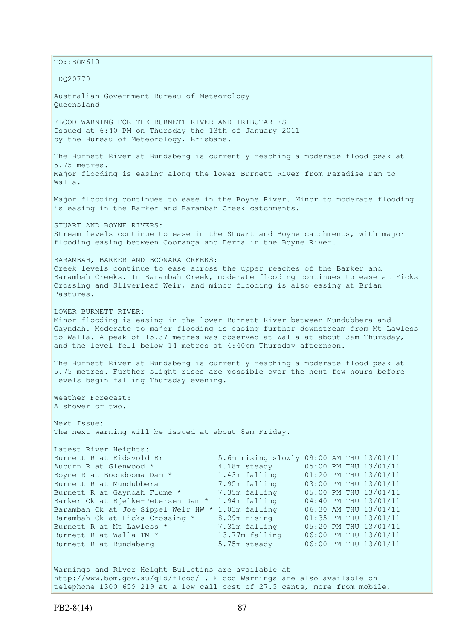$\vert$ TO::BOM610 IDQ20770 Australian Government Bureau of Meteorology Queensland FLOOD WARNING FOR THE BURNETT RIVER AND TRIBUTARIES Issued at 6:40 PM on Thursday the 13th of January 2011 by the Bureau of Meteorology, Brisbane. The Burnett River at Bundaberg is currently reaching a moderate flood peak at 5.75 metres. Major flooding is easing along the lower Burnett River from Paradise Dam to Walla. Major flooding continues to ease in the Boyne River. Minor to moderate flooding is easing in the Barker and Barambah Creek catchments. STUART AND BOYNE RIVERS: Stream levels continue to ease in the Stuart and Boyne catchments, with major flooding easing between Cooranga and Derra in the Boyne River. BARAMBAH, BARKER AND BOONARA CREEKS: Creek levels continue to ease across the upper reaches of the Barker and Barambah Creeks. In Barambah Creek, moderate flooding continues to ease at Ficks Crossing and Silverleaf Weir, and minor flooding is also easing at Brian Pastures. LOWER BURNETT RIVER: Minor flooding is easing in the lower Burnett River between Mundubbera and Gayndah. Moderate to major flooding is easing further downstream from Mt Lawless to Walla. A peak of 15.37 metres was observed at Walla at about 3am Thursday, and the level fell below 14 metres at 4:40pm Thursday afternoon. The Burnett River at Bundaberg is currently reaching a moderate flood peak at 5.75 metres. Further slight rises are possible over the next few hours before levels begin falling Thursday evening. Weather Forecast: A shower or two. Next Issue: The next warning will be issued at about 8am Friday. Latest River Heights: Burnett R at Eidsvold Br 5.6m rising slowly 09:00 AM THU 13/01/11 Auburn R at Glenwood \* 4.18m steady 05:00 PM THU 13/01/11 Boyne R at Boondooma Dam \* 1.43m falling 01:20 PM THU 13/01/11 Burnett R at Mundubbera 7.95m falling 03:00 PM THU 13/01/11 Burnett R at Gayndah Flume \* 7.35m falling 05:00 PM THU 13/01/11 Barker Ck at Bjelke-Petersen Dam \* 1.94m falling 04:40 PM THU 13/01/11 Barambah Ck at Joe Sippel Weir HW \* 1.03m falling 06:30 AM THU 13/01/11 Barambah Ck at Ficks Crossing \* 8.29m rising 01:35 PM THU 13/01/11<br>Burnett R at Mt Lawless \* 7.31m falling 05:20 PM THU 13/01/11 Burnett R at Mt Lawless \* 7.31m falling 05:20 PM THU 13/01/11 Burnett R at Walla TM \* 13.77m falling 06:00 PM THU 13/01/11 Burnett R at Bundaberg 5.75m steady 06:00 PM THU 13/01/11 Warnings and River Height Bulletins are available at http://www.bom.gov.au/qld/flood/ . Flood Warnings are also available on telephone 1300 659 219 at a low call cost of 27.5 cents, more from mobile,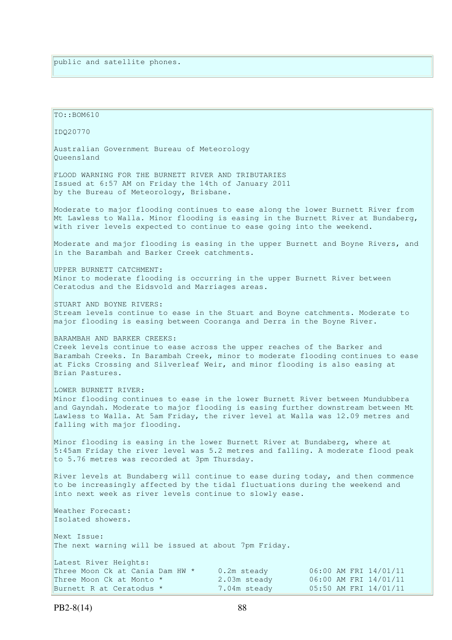$TO:  $BOM610$$ IDQ20770 Australian Government Bureau of Meteorology Queensland FLOOD WARNING FOR THE BURNETT RIVER AND TRIBUTARIES Issued at 6:57 AM on Friday the 14th of January 2011 by the Bureau of Meteorology, Brisbane. Moderate to major flooding continues to ease along the lower Burnett River from Mt Lawless to Walla. Minor flooding is easing in the Burnett River at Bundaberg, with river levels expected to continue to ease going into the weekend. Moderate and major flooding is easing in the upper Burnett and Boyne Rivers, and in the Barambah and Barker Creek catchments. UPPER BURNETT CATCHMENT: Minor to moderate flooding is occurring in the upper Burnett River between Ceratodus and the Eidsvold and Marriages areas. STUART AND BOYNE RIVERS: Stream levels continue to ease in the Stuart and Boyne catchments. Moderate to major flooding is easing between Cooranga and Derra in the Boyne River. BARAMBAH AND BARKER CREEKS: Creek levels continue to ease across the upper reaches of the Barker and Barambah Creeks. In Barambah Creek, minor to moderate flooding continues to ease at Ficks Crossing and Silverleaf Weir, and minor flooding is also easing at Brian Pastures. LOWER BURNETT RIVER: Minor flooding continues to ease in the lower Burnett River between Mundubbera and Gayndah. Moderate to major flooding is easing further downstream between Mt Lawless to Walla. At 5am Friday, the river level at Walla was 12.09 metres and falling with major flooding. Minor flooding is easing in the lower Burnett River at Bundaberg, where at 5:45am Friday the river level was 5.2 metres and falling. A moderate flood peak to 5.76 metres was recorded at 3pm Thursday. River levels at Bundaberg will continue to ease during today, and then commence to be increasingly affected by the tidal fluctuations during the weekend and into next week as river levels continue to slowly ease. Weather Forecast: Isolated showers. Next Issue: The next warning will be issued at about 7pm Friday. Latest River Heights: Three Moon Ck at Cania Dam HW \* 0.2m steady 06:00 AM FRI 14/01/11 Three Moon Ck at Monto \* 2.03m steady 06:00 AM FRI  $14/01/11$ Burnett R at Ceratodus  $*$  7.04m steady 05:50 AM FRI 14/01/11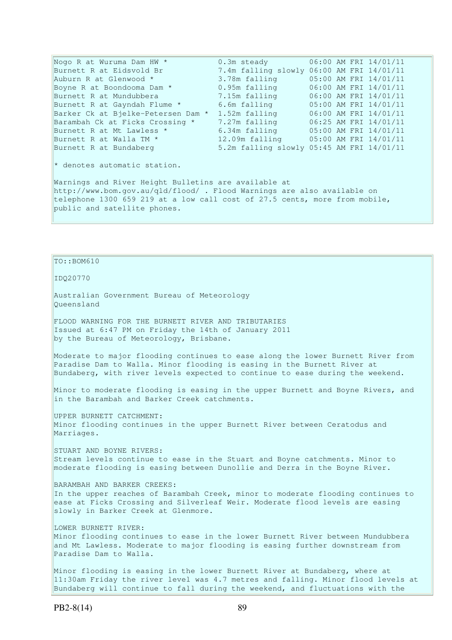Nogo R at Wuruma Dam HW  $\star$  0.3m steady 06:00 AM FRI 14/01/11 Burnett R at Eidsvold Br 7.4m falling slowly 06:00 AM FRI 14/01/11 Auburn R at Glenwood \* 3.78m falling 05:00 AM FRI 14/01/11 Boyne R at Boondooma Dam \* 0.95m falling 06:00 AM FRI 14/01/11 Burnett R at Mundubbera 7.15m falling 06:00 AM FRI 14/01/11 Burnett R at Gayndah Flume \* 6.6m falling 05:00 AM FRI 14/01/11 Barker Ck at Bjelke-Petersen Dam \* 1.52m falling 06:00 AM FRI 14/01/11 Barambah Ck at Ficks Crossing \* 7.27m falling 06:25 AM FRI 14/01/11 Barambah Ck at Ficks Crossing \* 7.27m falling 06:25 AM FRI  $14/01/11$ <br>Burnett R at Mt Lawless \* 6.34m falling 05:00 AM FRI  $14/01/11$ <br>Burnett R at Walla TM \* 12.09m falling 05:00 AM FRI 14/01/11 8.54m failing 05:00 AM FRI 14/01/11<br>12.09m falling 05:00 AM FRI 14/01/11 Burnett R at Bundaberg 5.2m falling slowly 05:45 AM FRI 14/01/11 \* denotes automatic station. Warnings and River Height Bulletins are available at http://www.bom.gov.au/qld/flood/ . Flood Warnings are also available on telephone 1300 659 219 at a low call cost of 27.5 cents, more from mobile, public and satellite phones.

#### $To::BOM610$

IDQ20770

Australian Government Bureau of Meteorology Queensland

FLOOD WARNING FOR THE BURNETT RIVER AND TRIBUTARIES Issued at 6:47 PM on Friday the 14th of January 2011 by the Bureau of Meteorology, Brisbane.

Moderate to major flooding continues to ease along the lower Burnett River from Paradise Dam to Walla. Minor flooding is easing in the Burnett River at Bundaberg, with river levels expected to continue to ease during the weekend.

Minor to moderate flooding is easing in the upper Burnett and Boyne Rivers, and in the Barambah and Barker Creek catchments.

UPPER BURNETT CATCHMENT: Minor flooding continues in the upper Burnett River between Ceratodus and Marriages.

STUART AND BOYNE RIVERS: Stream levels continue to ease in the Stuart and Boyne catchments. Minor to moderate flooding is easing between Dunollie and Derra in the Boyne River.

BARAMBAH AND BARKER CREEKS:

In the upper reaches of Barambah Creek, minor to moderate flooding continues to ease at Ficks Crossing and Silverleaf Weir. Moderate flood levels are easing slowly in Barker Creek at Glenmore.

## LOWER BURNETT RIVER:

Minor flooding continues to ease in the lower Burnett River between Mundubbera and Mt Lawless. Moderate to major flooding is easing further downstream from Paradise Dam to Walla.

Minor flooding is easing in the lower Burnett River at Bundaberg, where at 11:30am Friday the river level was 4.7 metres and falling. Minor flood levels at Bundaberg will continue to fall during the weekend, and fluctuations with the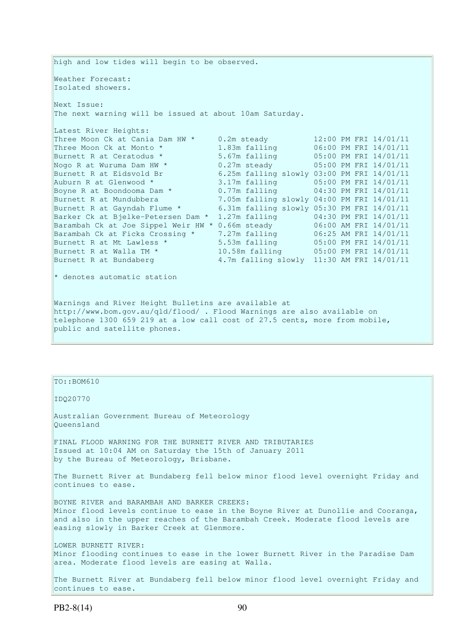high and low tides will begin to be observed. Weather Forecast: Isolated showers. Next Issue: The next warning will be issued at about 10am Saturday. Latest River Heights: Three Moon Ck at Cania Dam HW \* 0.2m steady 12:00 PM FRI 14/01/11<br>Three Moon Ck at Monto \* 1.83m falling 06:00 PM FRI 14/01/11 Three Moon Ck at Monto \* 1.83m falling 06:00 PM FRI 14/01/11<br>Burnett R at Ceratodus \* 5.67m falling 05:00 PM FRI 14/01/11 Burnett R at Ceratodus \* 5.67m falling 05:00 PM FRI 14/01/11 Nogo R at Wuruma Dam HW  $*$  0.27m steady 05:00 PM FRI 14/01/11 Burnett R at Eidsvold Br 6.25m falling slowly 03:00 PM FRI 14/01/11 Auburn R at Glenwood \* 3.17m falling 05:00 PM FRI 14/01/11 Boyne R at Boondooma Dam \* 0.77m falling 04:30 PM FRI 14/01/11 Burnett R at Mundubbera 7.05m falling slowly 04:00 PM FRI 14/01/11 Burnett R at Gayndah Flume \* 6.31m falling slowly 05:30 PM FRI 14/01/11 Barker Ck at Bjelke-Petersen Dam \* 1.27m falling 04:30 PM FRI 14/01/11 Barambah Ck at Joe Sippel Weir HW \* 0.66m steady 06:00 AM FRI 14/01/11 Barambah Ck at Ficks Crossing \* 7.27m falling 06:25 AM FRI 14/01/11 Burnett R at Mt Lawless \* 5.53m falling 05:00 PM FRI 14/01/11 Burnett R at Walla TM \* 10.58m falling 05:00 PM FRI 14/01/11 Burnett R at Bundaberg 4.7m falling slowly 11:30 AM FRI 14/01/11 \* denotes automatic station Warnings and River Height Bulletins are available at http://www.bom.gov.au/qld/flood/ . Flood Warnings are also available on telephone 1300 659 219 at a low call cost of 27.5 cents, more from mobile, public and satellite phones.

TO::BOM610

IDQ20770

Australian Government Bureau of Meteorology Queensland

FINAL FLOOD WARNING FOR THE BURNETT RIVER AND TRIBUTARIES Issued at 10:04 AM on Saturday the 15th of January 2011 by the Bureau of Meteorology, Brisbane.

The Burnett River at Bundaberg fell below minor flood level overnight Friday and continues to ease.

BOYNE RIVER and BARAMBAH AND BARKER CREEKS: Minor flood levels continue to ease in the Boyne River at Dunollie and Cooranga, and also in the upper reaches of the Barambah Creek. Moderate flood levels are easing slowly in Barker Creek at Glenmore.

LOWER BURNETT RIVER: Minor flooding continues to ease in the lower Burnett River in the Paradise Dam area. Moderate flood levels are easing at Walla.

The Burnett River at Bundaberg fell below minor flood level overnight Friday and continues to ease.